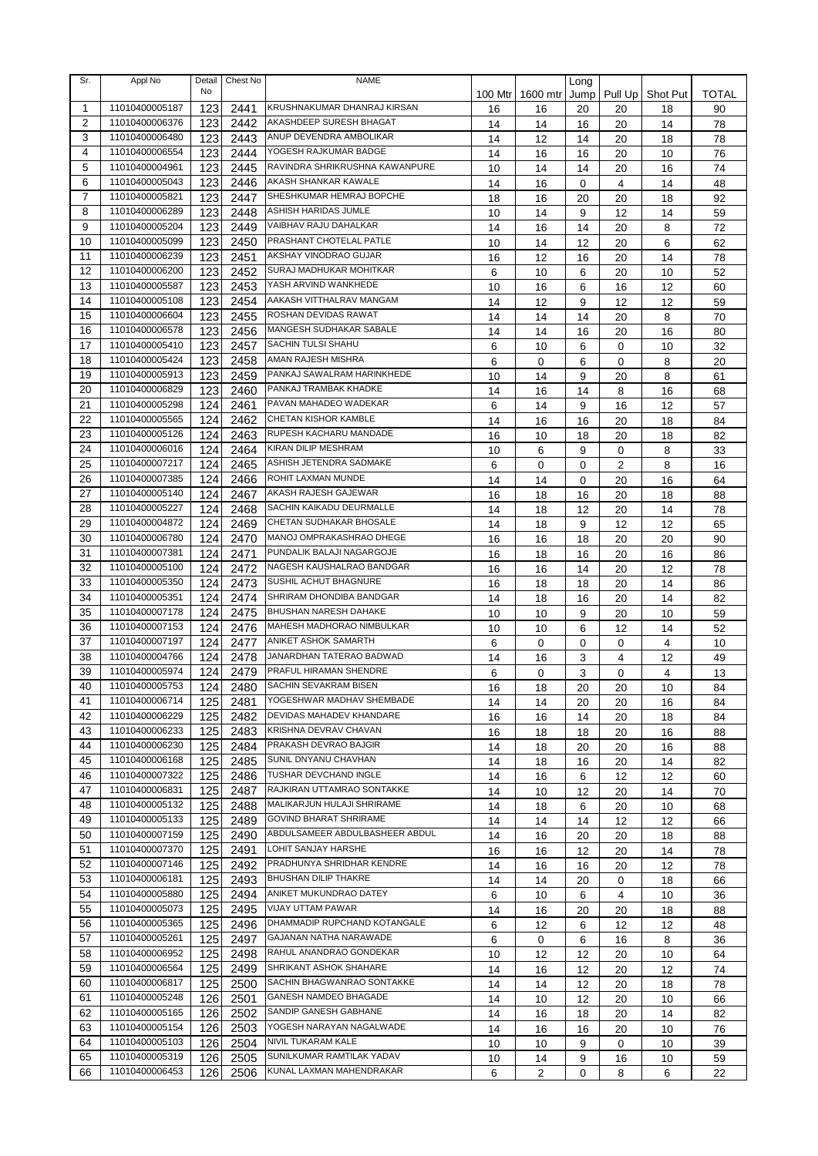| Sr.            | Appl No        | Detail<br>No | Chest No     | NAME                           |          |                | Long     |                |          |          |
|----------------|----------------|--------------|--------------|--------------------------------|----------|----------------|----------|----------------|----------|----------|
| 1              | 11010400005187 |              |              | KRUSHNAKUMAR DHANRAJ KIRSAN    | 100 Mtr  | 1600 mtr       | Jump     | Pull Up        | Shot Put | TOTAL    |
| 2              | 11010400006376 | 123<br>123   | 2441<br>2442 | AKASHDEEP SURESH BHAGAT        | 16<br>14 | 16<br>14       | 20       | 20             | 18       | 90<br>78 |
| 3              | 11010400006480 | 123          | 2443         | ANUP DEVENDRA AMBOLIKAR        | 14       | 12             | 16<br>14 | 20<br>20       | 14<br>18 | 78       |
| 4              | 11010400006554 | 123          | 2444         | YOGESH RAJKUMAR BADGE          | 14       | 16             | 16       | 20             | 10       | 76       |
| 5              | 11010400004961 | 123          | 2445         | RAVINDRA SHRIKRUSHNA KAWANPURE | 10       | 14             | 14       | 20             | 16       | 74       |
| 6              | 11010400005043 | 123          | 2446         | AKASH SHANKAR KAWALE           | 14       | 16             | 0        | 4              | 14       | 48       |
| $\overline{7}$ | 11010400005821 | 123          | 2447         | SHESHKUMAR HEMRAJ BOPCHE       | 18       | 16             | 20       | 20             | 18       | 92       |
| 8              | 11010400006289 | 123          | 2448         | ASHISH HARIDAS JUMLE           | 10       | 14             | 9        | 12             | 14       | 59       |
| 9              | 11010400005204 | 123          | 2449         | VAIBHAV RAJU DAHALKAR          | 14       | 16             | 14       | 20             | 8        | 72       |
| 10             | 11010400005099 | 123          | 2450         | PRASHANT CHOTELAL PATLE        | 10       | 14             | 12       | 20             | 6        | 62       |
| 11             | 11010400006239 | 123          | 2451         | AKSHAY VINODRAO GUJAR          | 16       | 12             | 16       | 20             | 14       | 78       |
| 12             | 11010400006200 | 123          | 2452         | SURAJ MADHUKAR MOHITKAR        | 6        | 10             | 6        | 20             | 10       | 52       |
| 13             | 11010400005587 | 123          | 2453         | YASH ARVIND WANKHEDE           | 10       | 16             | 6        | 16             | 12       | 60       |
| 14             | 11010400005108 | 123          | 2454         | AAKASH VITTHALRAV MANGAM       | 14       | 12             | 9        | 12             | 12       | 59       |
| 15             | 11010400006604 | 123          | 2455         | ROSHAN DEVIDAS RAWAT           | 14       | 14             | 14       | 20             | 8        | 70       |
| 16             | 11010400006578 | 123          | 2456         | <b>MANGESH SUDHAKAR SABALE</b> | 14       | 14             | 16       | 20             | 16       | 80       |
| 17             | 11010400005410 | 123          | 2457         | <b>SACHIN TULSI SHAHU</b>      | 6        | 10             | 6        | 0              | 10       | 32       |
| 18             | 11010400005424 | 123          | 2458         | AMAN RAJESH MISHRA             | 6        | 0              | 6        | $\mathbf 0$    | 8        | 20       |
| 19             | 11010400005913 | 123          | 2459         | PANKAJ SAWALRAM HARINKHEDE     | 10       | 14             | 9        | 20             | 8        | 61       |
| 20             | 11010400006829 | 123          | 2460         | PANKAJ TRAMBAK KHADKE          | 14       | 16             | 14       | 8              | 16       | 68       |
| 21             | 11010400005298 | 124          | 2461         | PAVAN MAHADEO WADEKAR          | 6        | 14             | 9        | 16             | 12       | 57       |
| 22             | 11010400005565 | 124          | 2462         | CHETAN KISHOR KAMBLE           | 14       | 16             | 16       | 20             | 18       | 84       |
| 23             | 11010400005126 | 124          | 2463         | RUPESH KACHARU MANDADE         | 16       | 10             | 18       | 20             | 18       | 82       |
| 24             | 11010400006016 | 124          | 2464         | KIRAN DILIP MESHRAM            | 10       | 6              | 9        | $\mathbf 0$    | 8        | 33       |
| 25             | 11010400007217 | 124          | 2465         | ASHISH JETENDRA SADMAKE        | 6        | 0              | 0        | $\overline{2}$ | 8        | 16       |
| 26             | 11010400007385 | 124          | 2466         | ROHIT LAXMAN MUNDE             | 14       | 14             | 0        | 20             | 16       | 64       |
| 27             | 11010400005140 | 124          | 2467         | AKASH RAJESH GAJEWAR           | 16       | 18             | 16       | 20             | 18       | 88       |
| 28             | 11010400005227 | 124          | 2468         | SACHIN KAIKADU DEURMALLE       | 14       | 18             | 12       | 20             | 14       | 78       |
| 29             | 11010400004872 | 124          | 2469         | CHETAN SUDHAKAR BHOSALE        | 14       | 18             | 9        | 12             | 12       | 65       |
| 30             | 11010400006780 | 124          | 2470         | MANOJ OMPRAKASHRAO DHEGE       | 16       | 16             | 18       | 20             | 20       | 90       |
| 31             | 11010400007381 | 124          | 2471         | PUNDALIK BALAJI NAGARGOJE      | 16       | 18             | 16       | 20             | 16       | 86       |
| 32             | 11010400005100 | 124          | 2472         | NAGESH KAUSHALRAO BANDGAR      | 16       | 16             | 14       | 20             | 12       | 78       |
| 33             | 11010400005350 | 124          | 2473         | SUSHIL ACHUT BHAGNURE          | 16       | 18             | 18       | 20             | 14       | 86       |
| 34             | 11010400005351 | 124          | 2474         | SHRIRAM DHONDIBA BANDGAR       | 14       | 18             | 16       | 20             | 14       | 82       |
| 35             | 11010400007178 | 124          | 2475         | BHUSHAN NARESH DAHAKE          | 10       | 10             | 9        | 20             | 10       | 59       |
| 36             | 11010400007153 | 124          | 2476         | MAHESH MADHORAO NIMBULKAR      | 10       | 10             | 6        | 12             | 14       | 52       |
| 37             | 11010400007197 | 124          | 2477         | ANIKET ASHOK SAMARTH           | 6        | 0              | 0        | 0              | 4        | 10       |
| 38             | 11010400004766 | 124          | 2478         | JANARDHAN TATERAO BADWAD       | 14       | 16             | 3        | 4              | 12       | 49       |
| 39             | 11010400005974 | 124          | 2479         | PRAFUL HIRAMAN SHENDRE         | 6        | $\Omega$       | 3        | $\mathbf 0$    | 4        | 13       |
| 40             | 11010400005753 | 124          | 2480         | <b>SACHIN SEVAKRAM BISEN</b>   | 16       | 18             | 20       | 20             | 10       | 84       |
| 41             | 11010400006714 | 125          | 2481         | YOGESHWAR MADHAV SHEMBADE      | 14       | 14             | 20       | 20             | 16       | 84       |
| 42             | 11010400006229 | 125          | 2482         | DEVIDAS MAHADEV KHANDARE       | 16       | 16             | 14       | 20             | 18       | 84       |
| 43             | 11010400006233 | 125          | 2483         | KRISHNA DEVRAV CHAVAN          | 16       | 18             | 18       | 20             | 16       | 88       |
| 44             | 11010400006230 | 125          | 2484         | PRAKASH DEVRAO BAJGIR          | 14       | 18             | 20       | 20             | 16       | 88       |
| 45             | 11010400006168 | 125          | 2485         | SUNIL DNYANU CHAVHAN           | 14       | 18             | 16       | 20             | 14       | 82       |
| 46             | 11010400007322 | 125          | 2486         | TUSHAR DEVCHAND INGLE          | 14       | 16             | 6        | 12             | 12       | 60       |
| 47             | 11010400006831 | 125          | 2487         | RAJKIRAN UTTAMRAO SONTAKKE     | 14       | 10             | 12       | 20             | 14       | 70       |
| 48             | 11010400005132 | 125          | 2488         | MALIKARJUN HULAJI SHRIRAME     | 14       | 18             | 6        | 20             | 10       | 68       |
| 49             | 11010400005133 | 125          | 2489         | GOVIND BHARAT SHRIRAME         | 14       | 14             | 14       | 12             | 12       | 66       |
| 50             | 11010400007159 | 125          | 2490         | ABDULSAMEER ABDULBASHEER ABDUL | 14       | 16             | 20       | 20             | 18       | 88       |
| 51             | 11010400007370 | 125          | 2491         | LOHIT SANJAY HARSHE            | 16       | 16             | 12       | 20             | 14       | 78       |
| 52             | 11010400007146 | 125          | 2492         | PRADHUNYA SHRIDHAR KENDRE      | 14       | 16             | 16       | 20             | 12       | 78       |
| 53             | 11010400006181 | 125          | 2493         | <b>BHUSHAN DILIP THAKRE</b>    | 14       | 14             | 20       | 0              | 18       | 66       |
| 54             | 11010400005880 | 125          | 2494         | ANIKET MUKUNDRAO DATEY         | 6        | 10             | 6        | 4              | 10       | 36       |
| 55             | 11010400005073 | 125          | 2495         | VIJAY UTTAM PAWAR              | 14       | 16             | 20       | 20             | 18       | 88       |
| 56             | 11010400005365 | 125          | 2496         | DHAMMADIP RUPCHAND KOTANGALE   | 6        | 12             | 6        | 12             | 12       | 48       |
| 57             | 11010400005261 | 125          | 2497         | GAJANAN NATHA NARAWADE         | 6        | 0              | 6        | 16             | 8        | 36       |
| 58             | 11010400006952 | 125          | 2498         | RAHUL ANANDRAO GONDEKAR        | 10       | 12             | 12       | 20             | 10       | 64       |
| 59             | 11010400006564 | 125          | 2499         | SHRIKANT ASHOK SHAHARE         | 14       | 16             | 12       | 20             | 12       | 74       |
| 60             | 11010400006817 | 125          | 2500         | SACHIN BHAGWANRAO SONTAKKE     | 14       | 14             | 12       | 20             | 18       | 78       |
| 61             | 11010400005248 | 126          | 2501         | GANESH NAMDEO BHAGADE          | 14       | 10             | 12       | 20             | 10       | 66       |
| 62             | 11010400005165 | 126          | 2502         | SANDIP GANESH GABHANE          | 14       | 16             | 18       | 20             | 14       | 82       |
| 63             | 11010400005154 | 126          | 2503         | YOGESH NARAYAN NAGALWADE       | 14       | 16             | 16       | 20             | 10       | 76       |
| 64             | 11010400005103 | 126          | 2504         | NIVIL TUKARAM KALE             | 10       | 10             | 9        | $\mathbf 0$    | 10       | 39       |
| 65             | 11010400005319 | 126          | 2505         | SUNILKUMAR RAMTILAK YADAV      | 10       | 14             | 9        | 16             | 10       | 59       |
| 66             | 11010400006453 | 126          | 2506         | KUNAL LAXMAN MAHENDRAKAR       | 6        | $\overline{2}$ | 0        | 8              | 6        | 22       |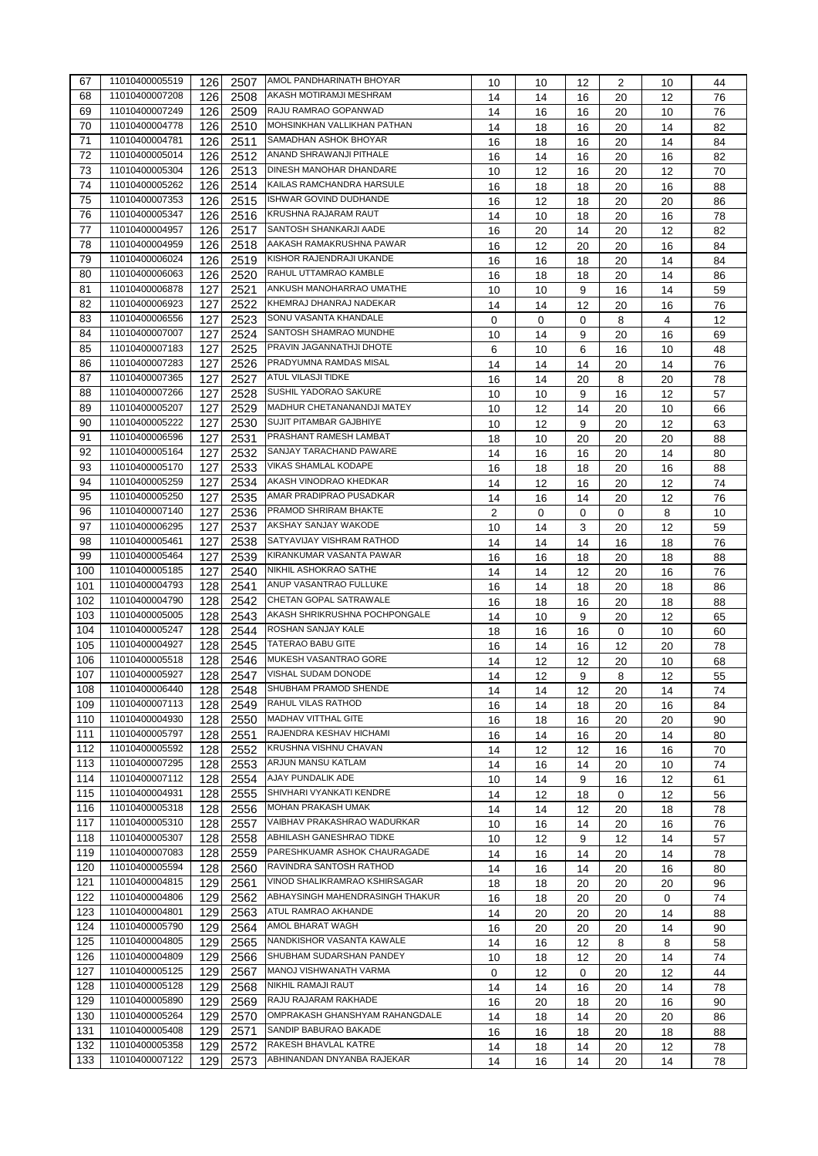| 67  | 11010400005519 | 126 | 2507         | AMOL PANDHARINATH BHOYAR        | 10 | 10 | 12 | 2           | 10 | 44       |
|-----|----------------|-----|--------------|---------------------------------|----|----|----|-------------|----|----------|
| 68  | 11010400007208 | 126 | 2508         | AKASH MOTIRAMJI MESHRAM         | 14 | 14 | 16 | 20          | 12 | 76       |
| 69  | 11010400007249 | 126 | 2509         | RAJU RAMRAO GOPANWAD            | 14 | 16 | 16 | 20          | 10 | 76       |
| 70  | 11010400004778 | 126 | 2510         | MOHSINKHAN VALLIKHAN PATHAN     | 14 | 18 | 16 | 20          | 14 | 82       |
| 71  | 11010400004781 | 126 | 2511         | SAMADHAN ASHOK BHOYAR           | 16 | 18 | 16 | 20          | 14 | 84       |
| 72  | 11010400005014 | 126 | 2512         | ANAND SHRAWANJI PITHALE         | 16 | 14 | 16 | 20          | 16 | 82       |
| 73  | 11010400005304 | 126 | 2513         | DINESH MANOHAR DHANDARE         | 10 | 12 | 16 | 20          | 12 | 70       |
| 74  | 11010400005262 | 126 | 2514         | KAILAS RAMCHANDRA HARSULE       | 16 | 18 | 18 | 20          | 16 | 88       |
| 75  | 11010400007353 | 126 | 2515         | ISHWAR GOVIND DUDHANDE          | 16 | 12 | 18 | 20          | 20 | 86       |
| 76  | 11010400005347 | 126 | 2516         | <b>KRUSHNA RAJARAM RAUT</b>     | 14 | 10 | 18 | 20          | 16 | 78       |
| 77  | 11010400004957 | 126 | 2517         | SANTOSH SHANKARJI AADE          |    |    |    |             |    |          |
| 78  | 11010400004959 | 126 |              | AAKASH RAMAKRUSHNA PAWAR        | 16 | 20 | 14 | 20          | 12 | 82<br>84 |
| 79  | 11010400006024 | 126 | 2518<br>2519 | KISHOR RAJENDRAJI UKANDE        | 16 | 12 | 20 | 20          | 16 |          |
| 80  | 11010400006063 |     |              | RAHUL UTTAMRAO KAMBLE           | 16 | 16 | 18 | 20          | 14 | 84       |
| 81  | 11010400006878 | 126 | 2520         | ANKUSH MANOHARRAO UMATHE        | 16 | 18 | 18 | 20          | 14 | 86       |
| 82  | 11010400006923 | 127 | 2521         | KHEMRAJ DHANRAJ NADEKAR         | 10 | 10 | 9  | 16          | 14 | 59       |
|     | 11010400006556 | 127 | 2522         | SONU VASANTA KHANDALE           | 14 | 14 | 12 | 20          | 16 | 76       |
| 83  | 11010400007007 | 127 | 2523         | SANTOSH SHAMRAO MUNDHE          | 0  | 0  | 0  | 8           | 4  | 12       |
| 84  |                | 127 | 2524         | PRAVIN JAGANNATHJI DHOTE        | 10 | 14 | 9  | 20          | 16 | 69       |
| 85  | 11010400007183 | 127 | 2525         |                                 | 6  | 10 | 6  | 16          | 10 | 48       |
| 86  | 11010400007283 | 127 | 2526         | PRADYUMNA RAMDAS MISAL          | 14 | 14 | 14 | 20          | 14 | 76       |
| 87  | 11010400007365 | 127 | 2527         | <b>ATUL VILASJI TIDKE</b>       | 16 | 14 | 20 | 8           | 20 | 78       |
| 88  | 11010400007266 | 127 | 2528         | SUSHIL YADORAO SAKURE           | 10 | 10 | 9  | 16          | 12 | 57       |
| 89  | 11010400005207 | 127 | 2529         | MADHUR CHETANANANDJI MATEY      | 10 | 12 | 14 | 20          | 10 | 66       |
| 90  | 11010400005222 | 127 | 2530         | SUJIT PITAMBAR GAJBHIYE         | 10 | 12 | 9  | 20          | 12 | 63       |
| 91  | 11010400006596 | 127 | 2531         | PRASHANT RAMESH LAMBAT          | 18 | 10 | 20 | 20          | 20 | 88       |
| 92  | 11010400005164 | 127 | 2532         | SANJAY TARACHAND PAWARE         | 14 | 16 | 16 | 20          | 14 | 80       |
| 93  | 11010400005170 | 127 | 2533         | VIKAS SHAMLAL KODAPE            | 16 | 18 | 18 | 20          | 16 | 88       |
| 94  | 11010400005259 | 127 | 2534         | AKASH VINODRAO KHEDKAR          | 14 | 12 | 16 | 20          | 12 | 74       |
| 95  | 11010400005250 | 127 | 2535         | AMAR PRADIPRAO PUSADKAR         | 14 | 16 | 14 | 20          | 12 | 76       |
| 96  | 11010400007140 | 127 | 2536         | PRAMOD SHRIRAM BHAKTE           | 2  | 0  | 0  | 0           | 8  | 10       |
| 97  | 11010400006295 | 127 | 2537         | AKSHAY SANJAY WAKODE            | 10 | 14 | 3  | 20          | 12 | 59       |
| 98  | 11010400005461 | 127 | 2538         | SATYAVIJAY VISHRAM RATHOD       | 14 | 14 | 14 | 16          | 18 | 76       |
| 99  | 11010400005464 | 127 | 2539         | KIRANKUMAR VASANTA PAWAR        | 16 | 16 | 18 | 20          | 18 | 88       |
| 100 | 11010400005185 | 127 | 2540         | NIKHIL ASHOKRAO SATHE           | 14 | 14 | 12 | 20          | 16 | 76       |
| 101 | 11010400004793 | 128 | 2541         | ANUP VASANTRAO FULLUKE          | 16 | 14 | 18 | 20          | 18 | 86       |
| 102 | 11010400004790 | 128 | 2542         | CHETAN GOPAL SATRAWALE          | 16 | 18 | 16 | 20          | 18 | 88       |
| 103 | 11010400005005 | 128 | 2543         | AKASH SHRIKRUSHNA POCHPONGALE   | 14 | 10 | 9  | 20          | 12 | 65       |
| 104 | 11010400005247 | 128 | 2544         | ROSHAN SANJAY KALE              | 18 | 16 | 16 | $\mathbf 0$ | 10 | 60       |
| 105 | 11010400004927 | 128 | 2545         | <b>TATERAO BABU GITE</b>        | 16 | 14 | 16 | 12          | 20 | 78       |
| 106 | 11010400005518 | 128 | 2546         | MUKESH VASANTRAO GORE           | 14 | 12 | 12 | 20          | 10 | 68       |
| 107 | 11010400005927 | 128 | 2547         | VISHAL SUDAM DONODE             | 14 | 12 | 9  | 8           | 12 | 55       |
| 108 | 11010400006440 | 128 |              | 2548 SHUBHAM PRAMOD SHENDE      | 14 | 14 | 12 | 20          | 14 | 74       |
| 109 | 11010400007113 | 128 | 2549         | RAHUL VILAS RATHOD              | 16 | 14 | 18 | 20          | 16 | 84       |
| 110 | 11010400004930 | 128 | 2550         | MADHAV VITTHAL GITE             | 16 | 18 | 16 | 20          | 20 | 90       |
| 111 | 11010400005797 | 128 | 2551         | RAJENDRA KESHAV HICHAMI         | 16 | 14 | 16 | 20          | 14 | 80       |
| 112 | 11010400005592 | 128 | 2552         | KRUSHNA VISHNU CHAVAN           | 14 | 12 | 12 | 16          | 16 | 70       |
| 113 | 11010400007295 | 128 | 2553         | ARJUN MANSU KATLAM              | 14 | 16 | 14 | 20          | 10 | 74       |
| 114 | 11010400007112 | 128 | 2554         | AJAY PUNDALIK ADE               | 10 | 14 | 9  | 16          | 12 | 61       |
| 115 | 11010400004931 | 128 | 2555         | SHIVHARI VYANKATI KENDRE        | 14 | 12 | 18 | 0           | 12 | 56       |
| 116 | 11010400005318 | 128 | 2556         | MOHAN PRAKASH UMAK              | 14 | 14 | 12 | 20          | 18 | 78       |
| 117 | 11010400005310 | 128 | 2557         | VAIBHAV PRAKASHRAO WADURKAR     | 10 | 16 | 14 | 20          | 16 | 76       |
| 118 | 11010400005307 | 128 | 2558         | ABHILASH GANESHRAO TIDKE        | 10 | 12 | 9  | 12          | 14 | 57       |
| 119 | 11010400007083 | 128 | 2559         | PARESHKUAMR ASHOK CHAURAGADE    | 14 | 16 | 14 | 20          | 14 | 78       |
| 120 | 11010400005594 | 128 | 2560         | RAVINDRA SANTOSH RATHOD         | 14 | 16 | 14 | 20          | 16 | 80       |
| 121 | 11010400004815 | 129 | 2561         | VINOD SHALIKRAMRAO KSHIRSAGAR   | 18 | 18 | 20 | 20          | 20 | 96       |
| 122 | 11010400004806 | 129 | 2562         | ABHAYSINGH MAHENDRASINGH THAKUR | 16 | 18 | 20 | 20          | 0  | 74       |
| 123 | 11010400004801 | 129 | 2563         | ATUL RAMRAO AKHANDE             | 14 | 20 | 20 | 20          | 14 | 88       |
| 124 | 11010400005790 | 129 | 2564         | AMOL BHARAT WAGH                | 16 | 20 | 20 | 20          | 14 | 90       |
| 125 | 11010400004805 | 129 | 2565         | NANDKISHOR VASANTA KAWALE       | 14 | 16 | 12 | 8           | 8  | 58       |
| 126 | 11010400004809 | 129 | 2566         | SHUBHAM SUDARSHAN PANDEY        | 10 | 18 | 12 | 20          | 14 | 74       |
| 127 | 11010400005125 | 129 | 2567         | MANOJ VISHWANATH VARMA          | 0  | 12 | 0  | 20          | 12 | 44       |
| 128 | 11010400005128 | 129 | 2568         | NIKHIL RAMAJI RAUT              | 14 | 14 | 16 | 20          | 14 | 78       |
| 129 | 11010400005890 | 129 | 2569         | RAJU RAJARAM RAKHADE            | 16 | 20 | 18 | 20          | 16 | 90       |
| 130 | 11010400005264 | 129 | 2570         | OMPRAKASH GHANSHYAM RAHANGDALE  | 14 | 18 | 14 | 20          | 20 | 86       |
| 131 | 11010400005408 | 129 | 2571         | SANDIP BABURAO BAKADE           | 16 | 16 | 18 | 20          | 18 | 88       |
| 132 | 11010400005358 | 129 | 2572         | RAKESH BHAVLAL KATRE            | 14 | 18 | 14 | 20          | 12 | 78       |
| 133 | 11010400007122 | 129 | 2573         | ABHINANDAN DNYANBA RAJEKAR      | 14 | 16 | 14 | 20          | 14 | 78       |
|     |                |     |              |                                 |    |    |    |             |    |          |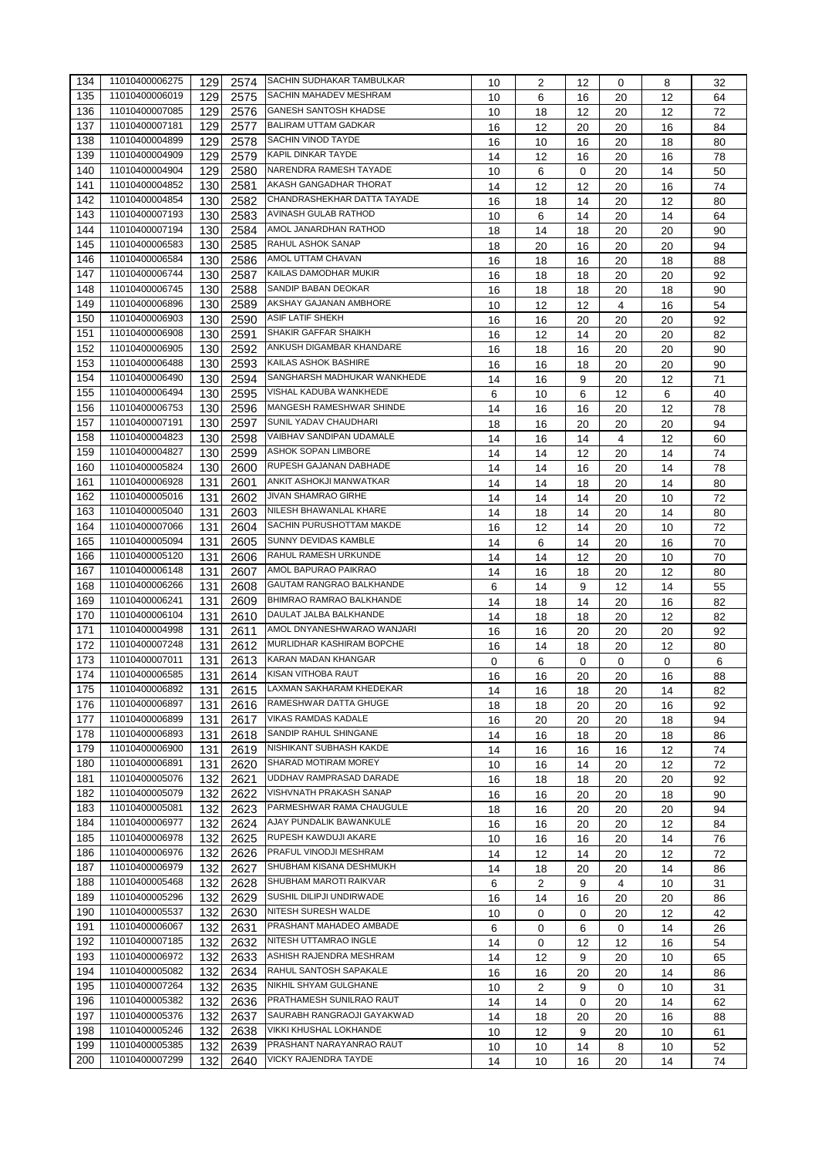| 134 | 11010400006275 | 129 | 2574 | SACHIN SUDHAKAR TAMBULKAR       | 10 | 2  | 12 | 0           | 8  | 32 |
|-----|----------------|-----|------|---------------------------------|----|----|----|-------------|----|----|
| 135 | 11010400006019 | 129 | 2575 | <b>SACHIN MAHADEV MESHRAM</b>   | 10 | 6  | 16 | 20          | 12 | 64 |
| 136 | 11010400007085 | 129 | 2576 | <b>GANESH SANTOSH KHADSE</b>    | 10 | 18 | 12 | 20          | 12 | 72 |
| 137 | 11010400007181 | 129 | 2577 | <b>BALIRAM UTTAM GADKAR</b>     | 16 | 12 | 20 | 20          | 16 | 84 |
| 138 | 11010400004899 | 129 | 2578 | SACHIN VINOD TAYDE              | 16 | 10 | 16 | 20          | 18 | 80 |
| 139 | 11010400004909 | 129 | 2579 | <b>KAPIL DINKAR TAYDE</b>       | 14 | 12 | 16 | 20          | 16 | 78 |
| 140 | 11010400004904 | 129 | 2580 | NARENDRA RAMESH TAYADE          | 10 | 6  | 0  | 20          | 14 | 50 |
| 141 | 11010400004852 | 130 | 2581 | AKASH GANGADHAR THORAT          | 14 |    |    |             |    | 74 |
| 142 | 11010400004854 |     |      | CHANDRASHEKHAR DATTA TAYADE     |    | 12 | 12 | 20          | 16 |    |
|     |                | 130 | 2582 | AVINASH GULAB RATHOD            | 16 | 18 | 14 | 20          | 12 | 80 |
| 143 | 11010400007193 | 130 | 2583 | AMOL JANARDHAN RATHOD           | 10 | 6  | 14 | 20          | 14 | 64 |
| 144 | 11010400007194 | 130 | 2584 |                                 | 18 | 14 | 18 | 20          | 20 | 90 |
| 145 | 11010400006583 | 130 | 2585 | <b>RAHUL ASHOK SANAP</b>        | 18 | 20 | 16 | 20          | 20 | 94 |
| 146 | 11010400006584 | 130 | 2586 | AMOL UTTAM CHAVAN               | 16 | 18 | 16 | 20          | 18 | 88 |
| 147 | 11010400006744 | 130 | 2587 | KAILAS DAMODHAR MUKIR           | 16 | 18 | 18 | 20          | 20 | 92 |
| 148 | 11010400006745 | 130 | 2588 | SANDIP BABAN DEOKAR             | 16 | 18 | 18 | 20          | 18 | 90 |
| 149 | 11010400006896 | 130 | 2589 | AKSHAY GAJANAN AMBHORE          | 10 | 12 | 12 | 4           | 16 | 54 |
| 150 | 11010400006903 | 130 | 2590 | <b>ASIF LATIF SHEKH</b>         | 16 | 16 | 20 | 20          | 20 | 92 |
| 151 | 11010400006908 | 130 | 2591 | SHAKIR GAFFAR SHAIKH            | 16 | 12 | 14 | 20          | 20 | 82 |
| 152 | 11010400006905 | 130 | 2592 | ANKUSH DIGAMBAR KHANDARE        | 16 | 18 | 16 | 20          | 20 | 90 |
| 153 | 11010400006488 | 130 | 2593 | KAILAS ASHOK BASHIRE            | 16 | 16 | 18 | 20          | 20 | 90 |
| 154 | 11010400006490 | 130 | 2594 | SANGHARSH MADHUKAR WANKHEDE     | 14 | 16 | 9  | 20          | 12 | 71 |
| 155 | 11010400006494 | 130 | 2595 | VISHAL KADUBA WANKHEDE          | 6  | 10 | 6  | 12          | 6  | 40 |
| 156 | 11010400006753 | 130 | 2596 | MANGESH RAMESHWAR SHINDE        | 14 | 16 | 16 | 20          | 12 | 78 |
| 157 | 11010400007191 | 130 | 2597 | SUNIL YADAV CHAUDHARI           | 18 | 16 | 20 | 20          | 20 | 94 |
| 158 | 11010400004823 | 130 | 2598 | VAIBHAV SANDIPAN UDAMALE        |    |    |    |             |    |    |
| 159 | 11010400004827 | 130 | 2599 | <b>ASHOK SOPAN LIMBORE</b>      | 14 | 16 | 14 | 4           | 12 | 60 |
|     | 11010400005824 |     |      | RUPESH GAJANAN DABHADE          | 14 | 14 | 12 | 20          | 14 | 74 |
| 160 |                | 130 | 2600 |                                 | 14 | 14 | 16 | 20          | 14 | 78 |
| 161 | 11010400006928 | 131 | 2601 | ANKIT ASHOKJI MANWATKAR         | 14 | 14 | 18 | 20          | 14 | 80 |
| 162 | 11010400005016 | 131 | 2602 | <b>JIVAN SHAMRAO GIRHE</b>      | 14 | 14 | 14 | 20          | 10 | 72 |
| 163 | 11010400005040 | 131 | 2603 | NILESH BHAWANLAL KHARE          | 14 | 18 | 14 | 20          | 14 | 80 |
| 164 | 11010400007066 | 131 | 2604 | SACHIN PURUSHOTTAM MAKDE        | 16 | 12 | 14 | 20          | 10 | 72 |
| 165 | 11010400005094 | 131 | 2605 | SUNNY DEVIDAS KAMBLE            | 14 | 6  | 14 | 20          | 16 | 70 |
| 166 | 11010400005120 | 131 | 2606 | RAHUL RAMESH URKUNDE            | 14 | 14 | 12 | 20          | 10 | 70 |
| 167 | 11010400006148 | 131 | 2607 | AMOL BAPURAO PAIKRAO            | 14 | 16 | 18 | 20          | 12 | 80 |
| 168 | 11010400006266 | 131 | 2608 | GAUTAM RANGRAO BALKHANDE        | 6  | 14 | 9  | 12          | 14 | 55 |
| 169 | 11010400006241 | 131 | 2609 | <b>BHIMRAO RAMRAO BALKHANDE</b> | 14 | 18 | 14 | 20          | 16 | 82 |
| 170 | 11010400006104 | 131 | 2610 | DAULAT JALBA BALKHANDE          | 14 | 18 | 18 | 20          | 12 | 82 |
| 171 | 11010400004998 | 131 | 2611 | AMOL DNYANESHWARAO WANJARI      | 16 | 16 | 20 | 20          | 20 | 92 |
| 172 | 11010400007248 | 131 | 2612 | MURLIDHAR KASHIRAM BOPCHE       | 16 | 14 | 18 | 20          | 12 | 80 |
| 173 | 11010400007011 | 131 | 2613 | <b>KARAN MADAN KHANGAR</b>      | 0  | 6  | 0  | 0           | 0  | 6  |
| 174 | 11010400006585 | 131 | 2614 | KISAN VITHOBA RAUT              | 16 | 16 | 20 | 20          | 16 | 88 |
| 175 | 11010400006892 | 131 |      | 2615 LAXMAN SAKHARAM KHEDEKAR   | 14 | 16 | 18 | 20          | 14 | 82 |
| 176 | 11010400006897 | 131 | 2616 | RAMESHWAR DATTA GHUGE           | 18 | 18 | 20 | 20          | 16 | 92 |
| 177 | 11010400006899 | 131 | 2617 | VIKAS RAMDAS KADALE             | 16 | 20 | 20 | 20          | 18 | 94 |
| 178 | 11010400006893 |     |      | SANDIP RAHUL SHINGANE           |    |    |    |             |    |    |
|     | 11010400006900 | 131 | 2618 | NISHIKANT SUBHASH KAKDE         | 14 | 16 | 18 | 20          | 18 | 86 |
| 179 |                | 131 | 2619 | SHARAD MOTIRAM MOREY            | 14 | 16 | 16 | 16          | 12 | 74 |
| 180 | 11010400006891 | 131 | 2620 | UDDHAV RAMPRASAD DARADE         | 10 | 16 | 14 | 20          | 12 | 72 |
| 181 | 11010400005076 | 132 | 2621 |                                 | 16 | 18 | 18 | 20          | 20 | 92 |
| 182 | 11010400005079 | 132 | 2622 | VISHVNATH PRAKASH SANAP         | 16 | 16 | 20 | 20          | 18 | 90 |
| 183 | 11010400005081 | 132 | 2623 | PARMESHWAR RAMA CHAUGULE        | 18 | 16 | 20 | 20          | 20 | 94 |
| 184 | 11010400006977 | 132 | 2624 | AJAY PUNDALIK BAWANKULE         | 16 | 16 | 20 | 20          | 12 | 84 |
| 185 | 11010400006978 | 132 | 2625 | RUPESH KAWDUJI AKARE            | 10 | 16 | 16 | 20          | 14 | 76 |
| 186 | 11010400006976 | 132 | 2626 | PRAFUL VINODJI MESHRAM          | 14 | 12 | 14 | 20          | 12 | 72 |
| 187 | 11010400006979 | 132 | 2627 | SHUBHAM KISANA DESHMUKH         | 14 | 18 | 20 | 20          | 14 | 86 |
| 188 | 11010400005468 | 132 | 2628 | SHUBHAM MAROTI RAIKVAR          | 6  | 2  | 9  | 4           | 10 | 31 |
| 189 | 11010400005296 | 132 | 2629 | SUSHIL DILIPJI UNDIRWADE        | 16 | 14 | 16 | 20          | 20 | 86 |
| 190 | 11010400005537 | 132 | 2630 | NITESH SURESH WALDE             | 10 | 0  | 0  | 20          | 12 | 42 |
| 191 | 11010400006067 | 132 | 2631 | PRASHANT MAHADEO AMBADE         | 6  | 0  | 6  | $\mathbf 0$ | 14 | 26 |
| 192 | 11010400007185 | 132 | 2632 | NITESH UTTAMRAO INGLE           | 14 | 0  | 12 | 12          | 16 | 54 |
| 193 | 11010400006972 | 132 | 2633 | ASHISH RAJENDRA MESHRAM         | 14 | 12 | 9  | 20          | 10 | 65 |
| 194 | 11010400005082 | 132 | 2634 | RAHUL SANTOSH SAPAKALE          | 16 | 16 | 20 | 20          | 14 | 86 |
| 195 | 11010400007264 | 132 | 2635 | NIKHIL SHYAM GULGHANE           | 10 | 2  | 9  | 0           | 10 | 31 |
| 196 | 11010400005382 | 132 | 2636 | PRATHAMESH SUNILRAO RAUT        | 14 | 14 | 0  | 20          | 14 | 62 |
| 197 | 11010400005376 | 132 | 2637 | SAURABH RANGRAOJI GAYAKWAD      |    |    |    |             |    |    |
| 198 | 11010400005246 |     |      | VIKKI KHUSHAL LOKHANDE          | 14 | 18 | 20 | 20          | 16 | 88 |
|     |                | 132 | 2638 | PRASHANT NARAYANRAO RAUT        | 10 | 12 | 9  | 20          | 10 | 61 |
| 199 | 11010400005385 | 132 | 2639 |                                 | 10 | 10 | 14 | 8           | 10 | 52 |
| 200 | 11010400007299 | 132 | 2640 | VICKY RAJENDRA TAYDE            | 14 | 10 | 16 | 20          | 14 | 74 |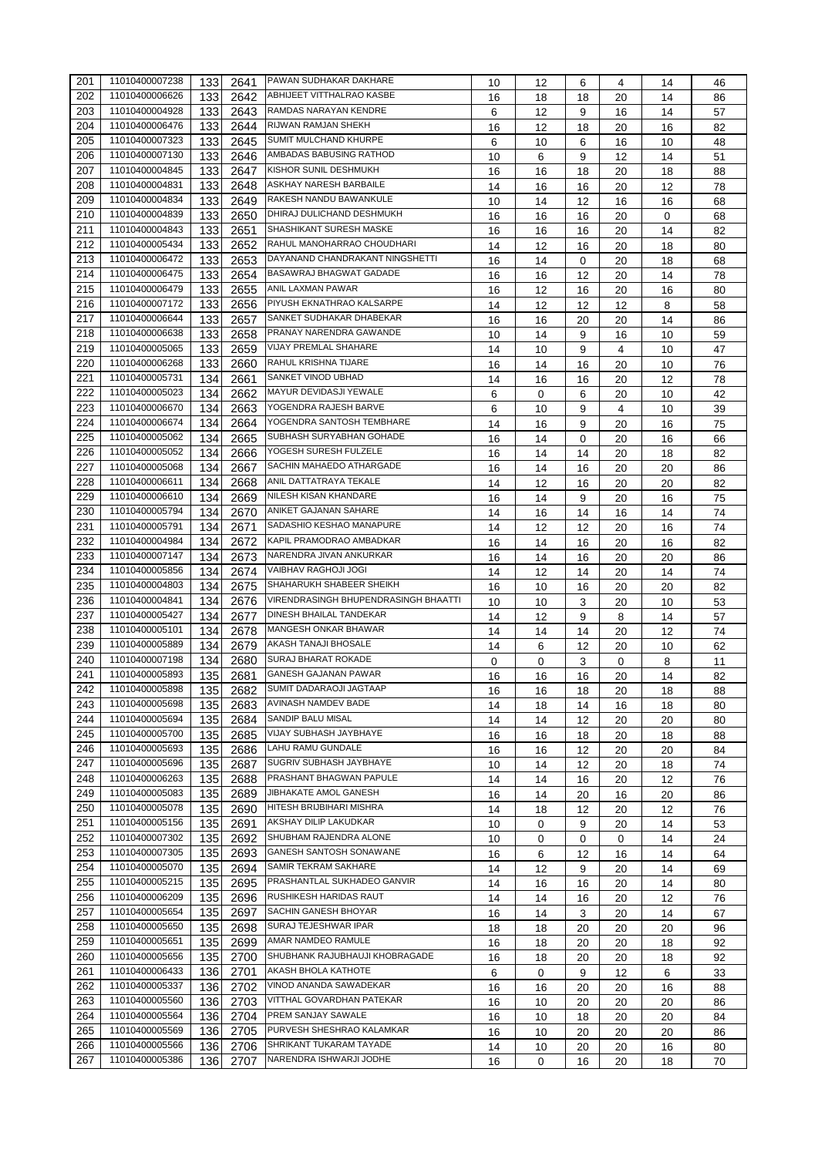| 201              | 11010400007238                   | 133        | 2641         | PAWAN SUDHAKAR DAKHARE                        | 10       | 12       | 6        | 4        | 14       | 46       |
|------------------|----------------------------------|------------|--------------|-----------------------------------------------|----------|----------|----------|----------|----------|----------|
| 202              | 11010400006626                   | 133        | 2642         | ABHIJEET VITTHALRAO KASBE                     | 16       | 18       | 18       | 20       | 14       | 86       |
| 203              | 11010400004928                   | 133        | 2643         | RAMDAS NARAYAN KENDRE                         | 6        | 12       | 9        | 16       | 14       | 57       |
| 204              | 11010400006476                   | 133        | 2644         | RIJWAN RAMJAN SHEKH                           | 16       | 12       | 18       | 20       | 16       | 82       |
| 205              | 11010400007323                   | 133        | 2645         | SUMIT MULCHAND KHURPE                         | 6        | 10       | 6        | 16       | 10       | 48       |
| 206              | 11010400007130                   | 133        | 2646         | AMBADAS BABUSING RATHOD                       | 10       | 6        | 9        | 12       | 14       | 51       |
| 207              | 11010400004845                   | 133        | 2647         | KISHOR SUNIL DESHMUKH                         | 16       | 16       | 18       | 20       | 18       | 88       |
| 208              | 11010400004831                   | 133        | 2648         | ASKHAY NARESH BARBAILE                        | 14       | 16       | 16       | 20       | 12       | 78       |
| 209              | 11010400004834                   | 133        | 2649         | RAKESH NANDU BAWANKULE                        | 10       | 14       | 12       | 16       | 16       | 68       |
| 210              | 11010400004839                   | 133        | 2650         | DHIRAJ DULICHAND DESHMUKH                     | 16       | 16       | 16       | 20       | 0        | 68       |
| 211              | 11010400004843                   | 133        | 2651         | SHASHIKANT SURESH MASKE                       | 16       | 16       | 16       | 20       | 14       | 82       |
| 212              | 11010400005434                   | 133        | 2652         | RAHUL MANOHARRAO CHOUDHARI                    | 14       | 12       | 16       | 20       | 18       | 80       |
| 213              | 11010400006472                   | 133        | 2653         | DAYANAND CHANDRAKANT NINGSHETTI               | 16       | 14       | 0        | 20       | 18       | 68       |
| 214              | 11010400006475                   | 133        | 2654         | BASAWRAJ BHAGWAT GADADE                       | 16       | 16       | 12       | 20       | 14       | 78       |
| 215              | 11010400006479                   | 133        | 2655         | ANIL LAXMAN PAWAR                             | 16       | 12       | 16       | 20       | 16       | 80       |
| 216              | 11010400007172                   | 133        | 2656         | PIYUSH EKNATHRAO KALSARPE                     | 14       | 12       | 12       | 12       | 8        | 58       |
| 217              | 11010400006644                   | 133        | 2657         | SANKET SUDHAKAR DHABEKAR                      | 16       | 16       | 20       | 20       | 14       | 86       |
| 218              | 11010400006638                   | 133        | 2658         | PRANAY NARENDRA GAWANDE                       | 10       | 14       | 9        | 16       | 10       | 59       |
| 219              | 11010400005065                   | 133        | 2659         | VIJAY PREMLAL SHAHARE                         | 14       | 10       | 9        | 4        | 10       | 47       |
| 220              | 11010400006268                   | 133        | 2660         | RAHUL KRISHNA TIJARE                          | 16       | 14       | 16       | 20       | 10       | 76       |
| 221              | 11010400005731                   | 134        | 2661         | SANKET VINOD UBHAD                            | 14       | 16       | 16       | 20       | 12       | 78       |
| 222              | 11010400005023                   | 134        | 2662         | MAYUR DEVIDASJI YEWALE                        | 6        | 0        | 6        | 20       | 10       | 42       |
| 223              | 11010400006670                   | 134        | 2663         | YOGENDRA RAJESH BARVE                         | 6        | 10       | 9        | 4        | 10       | 39       |
| 224              | 11010400006674                   | 134        | 2664         | YOGENDRA SANTOSH TEMBHARE                     | 14       | 16       | 9        | 20       | 16       | 75       |
| 225              | 11010400005062                   | 134        | 2665         | SUBHASH SURYABHAN GOHADE                      | 16       | 14       | 0        | 20       | 16       | 66       |
| 226              | 11010400005052                   | 134        | 2666         | YOGESH SURESH FULZELE                         | 16       | 14       | 14       | 20       | 18       | 82       |
| 227              | 11010400005068                   | 134        | 2667         | SACHIN MAHAEDO ATHARGADE                      | 16       | 14       | 16       | 20       | 20       | 86       |
| 228              | 11010400006611                   | 134        | 2668         | ANIL DATTATRAYA TEKALE                        | 14       | 12       | 16       | 20       | 20       | 82       |
| 229              | 11010400006610                   | 134        | 2669         | NILESH KISAN KHANDARE                         | 16       | 14       | 9        | 20       | 16       | 75       |
| 230              | 11010400005794                   | 134        | 2670         | ANIKET GAJANAN SAHARE                         | 14       | 16       | 14       | 16       | 14       | 74       |
| 231              | 11010400005791                   | 134        | 2671         | SADASHIO KESHAO MANAPURE                      | 14       | 12       | 12       | 20       | 16       | 74       |
| 232              | 11010400004984                   | 134        | 2672         | KAPIL PRAMODRAO AMBADKAR                      | 16       | 14       | 16       | 20       | 16       | 82       |
| 233              | 11010400007147                   | 134        | 2673         | NARENDRA JIVAN ANKURKAR                       | 16       | 14       | 16       | 20       | 20       | 86       |
| 234              | 11010400005856                   | 134        | 2674         | VAIBHAV RAGHOJI JOGI                          | 14       | 12       | 14       | 20       | 14       | 74       |
| 235              | 11010400004803                   | 134        | 2675         | SHAHARUKH SHABEER SHEIKH                      | 16       | 10       | 16       | 20       | 20       | 82       |
| 236              | 11010400004841                   | 134        | 2676         | VIRENDRASINGH BHUPENDRASINGH BHAATTI          | 10       | 10       | 3        | 20       | 10       | 53       |
| 237              | 11010400005427                   | 134        | 2677         | DINESH BHAILAL TANDEKAR                       | 14       | 12       | 9        | 8        | 14       | 57       |
| 238              | 11010400005101                   | 134        | 2678         | <b>MANGESH ONKAR BHAWAR</b>                   | 14       | 14       | 14       | 20       | 12       | 74       |
| 239              | 11010400005889                   | 134        | 2679         | AKASH TANAJI BHOSALE                          | 14       | 6        | 12       | 20       | 10       | 62       |
| 240              | 11010400007198                   | 134        | 2680         | SURAJ BHARAT ROKADE                           | 0        | 0        | 3        | 0        | 8        | 11       |
| 241              | 11010400005893                   | 135        | 2681         | <b>GANESH GAJANAN PAWAR</b>                   | 16       | 16       | 16       | 20       | 14       | 82       |
| $\overline{242}$ | 11010400005898                   | 135        |              | 2682 SUMIT DADARAOJI JAGTAAP                  | 16       | 16       | 18       | 20       | 18       | 88       |
| 243              | 11010400005698                   | 135        | 2683         | <b>AVINASH NAMDEV BADE</b>                    | 14       | 18       | 14       | 16       | 18       | 80       |
| 244              | 11010400005694                   | 135        | 2684         | SANDIP BALU MISAL                             | 14       | 14       | 12       | 20       | 20       | 80       |
| 245              | 11010400005700                   | 135        | 2685         | VIJAY SUBHASH JAYBHAYE                        | 16       | 16       | 18       | 20       | 18       | 88       |
| 246              | 11010400005693                   | 135        | 2686         | LAHU RAMU GUNDALE                             | 16       | 16       | 12       | 20       | 20       | 84       |
| 247              | 11010400005696                   | 135        | 2687         | SUGRIV SUBHASH JAYBHAYE                       |          |          | 12       |          |          | 74       |
| 248              | 11010400006263                   | 135        | 2688         | PRASHANT BHAGWAN PAPULE                       | 10<br>14 | 14<br>14 | 16       | 20<br>20 | 18<br>12 | 76       |
| 249              | 11010400005083                   | 135        | 2689         | JIBHAKATE AMOL GANESH                         |          |          |          |          |          |          |
| 250              | 11010400005078                   | 135        | 2690         | HITESH BRIJBIHARI MISHRA                      | 16<br>14 | 14<br>18 | 20<br>12 | 16<br>20 | 20<br>12 | 86<br>76 |
| 251              | 11010400005156                   | 135        | 2691         | AKSHAY DILIP LAKUDKAR                         | 10       | 0        | 9        | 20       | 14       | 53       |
| 252              | 11010400007302                   | 135        | 2692         | SHUBHAM RAJENDRA ALONE                        | 10       | 0        | 0        | 0        |          | 24       |
| 253              | 11010400007305                   | 135        | 2693         | GANESH SANTOSH SONAWANE                       | 16       | 6        | 12       | 16       | 14<br>14 | 64       |
| 254              | 11010400005070                   | 135        | 2694         | SAMIR TEKRAM SAKHARE                          |          |          |          |          |          |          |
|                  | 11010400005215                   |            |              | PRASHANTLAL SUKHADEO GANVIR                   | 14       | 12       | 9        | 20       | 14       | 69       |
| 255<br>256       | 11010400006209                   | 135<br>135 | 2695<br>2696 | RUSHIKESH HARIDAS RAUT                        | 14       | 16<br>14 | 16       | 20       | 14       | 80<br>76 |
|                  |                                  |            |              | SACHIN GANESH BHOYAR                          | 14       |          | 16       | 20       | 12       |          |
| 257              | 11010400005654<br>11010400005650 | 135        | 2697         | SURAJ TEJESHWAR IPAR                          | 16       | 14       | 3        | 20       | 14       | 67       |
| 258              |                                  | 135        | 2698         | AMAR NAMDEO RAMULE                            | 18       | 18       | 20       | 20       | 20       | 96       |
| 259              | 11010400005651                   | 135        | 2699         | SHUBHANK RAJUBHAUJI KHOBRAGADE                | 16       | 18       | 20       | 20       | 18       | 92       |
| 260              | 11010400005656                   | 135        | 2700         |                                               | 16       | 18       | 20       | 20       | 18       | 92       |
| 261              | 11010400006433                   | 136        | 2701         | AKASH BHOLA KATHOTE<br>VINOD ANANDA SAWADEKAR | 6        | 0        | 9        | 12       | 6        | 33       |
| 262              | 11010400005337                   | 136        | 2702         |                                               | 16       | 16       | 20       | 20       | 16       | 88       |
| 263              | 11010400005560                   | 136        | 2703         | VITTHAL GOVARDHAN PATEKAR                     | 16       | 10       | 20       | 20       | 20       | 86       |
| 264              | 11010400005564                   | 136        | 2704         | PREM SANJAY SAWALE                            | 16       | 10       | 18       | 20       | 20       | 84       |
| 265              | 11010400005569                   | 136        | 2705         | PURVESH SHESHRAO KALAMKAR                     | 16       | 10       | 20       | 20       | 20       | 86       |
| 266              | 11010400005566                   | 136        | 2706         | SHRIKANT TUKARAM TAYADE                       | 14       | 10       | 20       | 20       | 16       | 80       |
| 267              | 11010400005386                   | 136        | 2707         | NARENDRA ISHWARJI JODHE                       | 16       | 0        | 16       | 20       | 18       | 70       |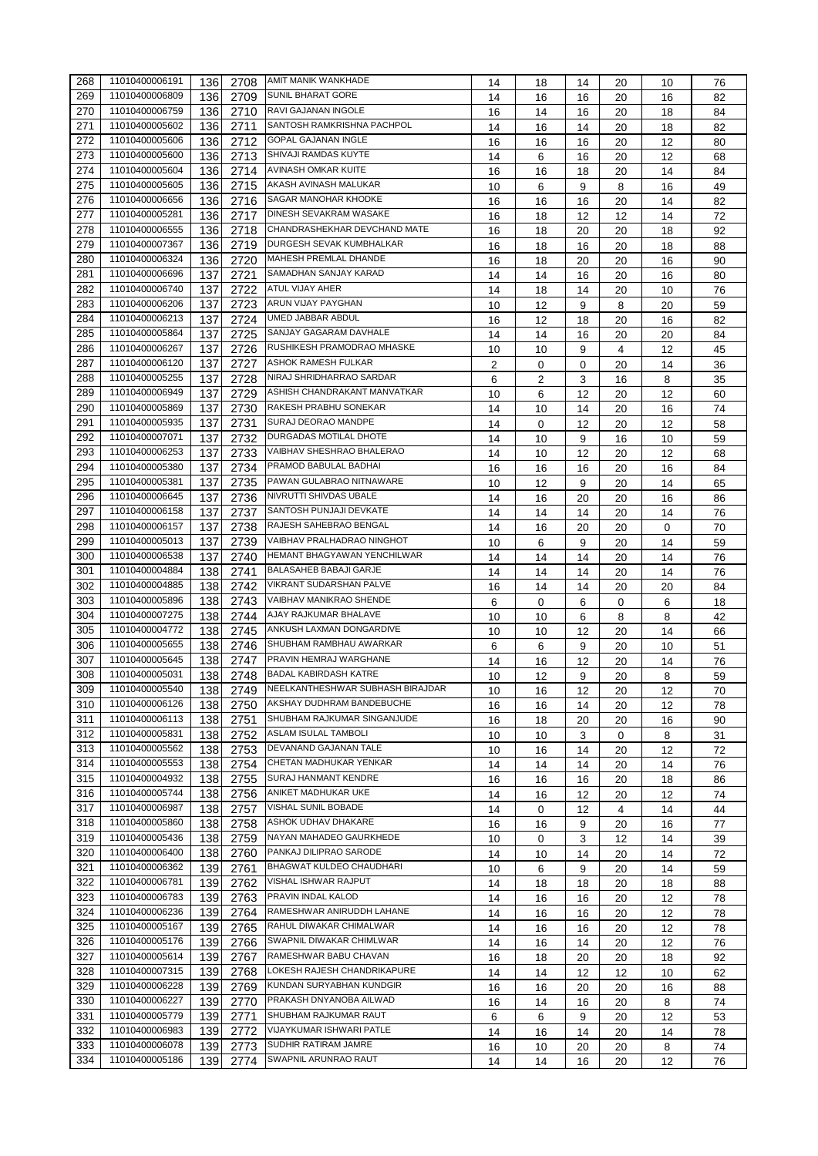| 268 | 11010400006191                   | 136 | 2708 | AMIT MANIK WANKHADE              | 14 | 18 | 14 | 20 | 10 | 76 |
|-----|----------------------------------|-----|------|----------------------------------|----|----|----|----|----|----|
| 269 | 11010400006809                   | 136 | 2709 | <b>SUNIL BHARAT GORE</b>         | 14 | 16 | 16 | 20 | 16 | 82 |
| 270 | 11010400006759                   | 136 | 2710 | RAVI GAJANAN INGOLE              | 16 | 14 | 16 | 20 | 18 | 84 |
| 271 | 11010400005602                   | 136 | 2711 | SANTOSH RAMKRISHNA PACHPOL       | 14 | 16 | 14 | 20 | 18 | 82 |
| 272 | 11010400005606                   | 136 | 2712 | <b>GOPAL GAJANAN INGLE</b>       | 16 | 16 | 16 | 20 | 12 | 80 |
| 273 | 11010400005600                   | 136 | 2713 | SHIVAJI RAMDAS KUYTE             | 14 | 6  | 16 | 20 | 12 | 68 |
| 274 | 11010400005604                   | 136 | 2714 | AVINASH OMKAR KUITE              | 16 | 16 | 18 | 20 | 14 | 84 |
| 275 | 11010400005605                   | 136 | 2715 | AKASH AVINASH MALUKAR            | 10 | 6  | 9  | 8  | 16 | 49 |
| 276 | 11010400006656                   | 136 | 2716 | SAGAR MANOHAR KHODKE             | 16 | 16 | 16 | 20 | 14 | 82 |
| 277 | 11010400005281                   | 136 | 2717 | DINESH SEVAKRAM WASAKE           | 16 | 18 | 12 | 12 | 14 | 72 |
| 278 | 11010400006555                   | 136 | 2718 | CHANDRASHEKHAR DEVCHAND MATE     | 16 | 18 | 20 | 20 | 18 | 92 |
| 279 | 11010400007367                   | 136 | 2719 | DURGESH SEVAK KUMBHALKAR         | 16 | 18 | 16 | 20 | 18 | 88 |
| 280 | 11010400006324                   | 136 | 2720 | <b>MAHESH PREMLAL DHANDE</b>     | 16 | 18 | 20 | 20 | 16 | 90 |
| 281 | 11010400006696                   | 137 | 2721 | SAMADHAN SANJAY KARAD            | 14 | 14 | 16 | 20 | 16 | 80 |
| 282 | 11010400006740                   | 137 | 2722 | <b>ATUL VIJAY AHER</b>           | 14 |    |    |    |    |    |
| 283 | 11010400006206                   | 137 | 2723 | ARUN VIJAY PAYGHAN               |    | 18 | 14 | 20 | 10 | 76 |
| 284 | 11010400006213                   | 137 | 2724 | UMED JABBAR ABDUL                | 10 | 12 | 9  | 8  | 20 | 59 |
|     | 11010400005864                   |     |      | SANJAY GAGARAM DAVHALE           | 16 | 12 | 18 | 20 | 16 | 82 |
| 285 |                                  | 137 | 2725 | RUSHIKESH PRAMODRAO MHASKE       | 14 | 14 | 16 | 20 | 20 | 84 |
| 286 | 11010400006267                   | 137 | 2726 |                                  | 10 | 10 | 9  | 4  | 12 | 45 |
| 287 | 11010400006120                   | 137 | 2727 | ASHOK RAMESH FULKAR              | 2  | 0  | 0  | 20 | 14 | 36 |
| 288 | 11010400005255                   | 137 | 2728 | NIRAJ SHRIDHARRAO SARDAR         | 6  | 2  | 3  | 16 | 8  | 35 |
| 289 | 11010400006949                   | 137 | 2729 | ASHISH CHANDRAKANT MANVATKAR     | 10 | 6  | 12 | 20 | 12 | 60 |
| 290 | 11010400005869                   | 137 | 2730 | RAKESH PRABHU SONEKAR            | 14 | 10 | 14 | 20 | 16 | 74 |
| 291 | 11010400005935                   | 137 | 2731 | SURAJ DEORAO MANDPE              | 14 | 0  | 12 | 20 | 12 | 58 |
| 292 | 11010400007071                   | 137 | 2732 | DURGADAS MOTILAL DHOTE           | 14 | 10 | 9  | 16 | 10 | 59 |
| 293 | 11010400006253                   | 137 | 2733 | VAIBHAV SHESHRAO BHALERAO        | 14 | 10 | 12 | 20 | 12 | 68 |
| 294 | 11010400005380                   | 137 | 2734 | PRAMOD BABULAL BADHAI            | 16 | 16 | 16 | 20 | 16 | 84 |
| 295 | 11010400005381                   | 137 | 2735 | PAWAN GULABRAO NITNAWARE         | 10 | 12 | 9  | 20 | 14 | 65 |
| 296 | 11010400006645                   | 137 | 2736 | NIVRUTTI SHIVDAS UBALE           | 14 | 16 | 20 | 20 | 16 | 86 |
| 297 | 11010400006158                   | 137 | 2737 | SANTOSH PUNJAJI DEVKATE          | 14 | 14 | 14 | 20 | 14 | 76 |
| 298 | 11010400006157                   | 137 | 2738 | RAJESH SAHEBRAO BENGAL           | 14 | 16 | 20 | 20 | 0  | 70 |
| 299 | 11010400005013                   | 137 | 2739 | VAIBHAV PRALHADRAO NINGHOT       | 10 | 6  | 9  | 20 | 14 | 59 |
| 300 | 11010400006538                   | 137 | 2740 | HEMANT BHAGYAWAN YENCHILWAR      | 14 | 14 | 14 | 20 | 14 | 76 |
| 301 | 11010400004884                   | 138 | 2741 | <b>BALASAHEB BABAJI GARJE</b>    | 14 | 14 | 14 | 20 | 14 | 76 |
| 302 | 11010400004885                   | 138 | 2742 | VIKRANT SUDARSHAN PALVE          | 16 | 14 | 14 | 20 | 20 | 84 |
| 303 | 11010400005896                   | 138 | 2743 | VAIBHAV MANIKRAO SHENDE          | 6  | 0  | 6  | 0  | 6  | 18 |
| 304 | 11010400007275                   | 138 | 2744 | AJAY RAJKUMAR BHALAVE            | 10 | 10 | 6  | 8  | 8  | 42 |
| 305 | 11010400004772                   | 138 | 2745 | ANKUSH LAXMAN DONGARDIVE         | 10 | 10 | 12 | 20 | 14 | 66 |
| 306 | 11010400005655                   | 138 | 2746 | SHUBHAM RAMBHAU AWARKAR          | 6  | 6  | 9  | 20 | 10 | 51 |
| 307 | 11010400005645                   | 138 | 2747 | PRAVIN HEMRAJ WARGHANE           | 14 | 16 | 12 | 20 | 14 | 76 |
| 308 | 11010400005031                   | 138 | 2748 | <b>BADAL KABIRDASH KATRE</b>     | 10 | 12 | 9  | 20 | 8  | 59 |
| 309 | 11010400005540                   | 138 | 2749 | NEELKANTHESHWAR SUBHASH BIRAJDAR | 10 | 16 | 12 | 20 | 12 | 70 |
| 310 | 11010400006126                   | 138 | 2750 | AKSHAY DUDHRAM BANDEBUCHE        |    |    |    |    |    |    |
| 311 | 11010400006113                   | 138 | 2751 | SHUBHAM RAJKUMAR SINGANJUDE      | 16 | 16 | 14 | 20 | 12 | 78 |
| 312 | 11010400005831                   | 138 |      | ASLAM ISULAL TAMBOLI             | 16 | 18 | 20 | 20 | 16 | 90 |
|     | 11010400005562                   |     | 2752 | DEVANAND GAJANAN TALE            | 10 | 10 | 3  | 0  | 8  | 31 |
| 313 |                                  | 138 | 2753 | CHETAN MADHUKAR YENKAR           | 10 | 16 | 14 | 20 | 12 | 72 |
| 314 | 11010400005553<br>11010400004932 | 138 | 2754 | SURAJ HANMANT KENDRE             | 14 | 14 | 14 | 20 | 14 | 76 |
| 315 |                                  | 138 | 2755 | ANIKET MADHUKAR UKE              | 16 | 16 | 16 | 20 | 18 | 86 |
| 316 | 11010400005744                   | 138 | 2756 | VISHAL SUNIL BOBADE              | 14 | 16 | 12 | 20 | 12 | 74 |
| 317 | 11010400006987                   | 138 | 2757 | ASHOK UDHAV DHAKARE              | 14 | 0  | 12 | 4  | 14 | 44 |
| 318 | 11010400005860                   | 138 | 2758 |                                  | 16 | 16 | 9  | 20 | 16 | 77 |
| 319 | 11010400005436                   | 138 | 2759 | NAYAN MAHADEO GAURKHEDE          | 10 | 0  | 3  | 12 | 14 | 39 |
| 320 | 11010400006400                   | 138 | 2760 | PANKAJ DILIPRAO SARODE           | 14 | 10 | 14 | 20 | 14 | 72 |
| 321 | 11010400006362                   | 139 | 2761 | BHAGWAT KULDEO CHAUDHARI         | 10 | 6  | 9  | 20 | 14 | 59 |
| 322 | 11010400006781                   | 139 | 2762 | VISHAL ISHWAR RAJPUT             | 14 | 18 | 18 | 20 | 18 | 88 |
| 323 | 11010400006783                   | 139 | 2763 | PRAVIN INDAL KALOD               | 14 | 16 | 16 | 20 | 12 | 78 |
| 324 | 11010400006236                   | 139 | 2764 | RAMESHWAR ANIRUDDH LAHANE        | 14 | 16 | 16 | 20 | 12 | 78 |
| 325 | 11010400005167                   | 139 | 2765 | RAHUL DIWAKAR CHIMALWAR          | 14 | 16 | 16 | 20 | 12 | 78 |
| 326 | 11010400005176                   | 139 | 2766 | SWAPNIL DIWAKAR CHIMLWAR         | 14 | 16 | 14 | 20 | 12 | 76 |
| 327 | 11010400005614                   | 139 | 2767 | RAMESHWAR BABU CHAVAN            | 16 | 18 | 20 | 20 | 18 | 92 |
| 328 | 11010400007315                   | 139 | 2768 | LOKESH RAJESH CHANDRIKAPURE      | 14 | 14 | 12 | 12 | 10 | 62 |
| 329 | 11010400006228                   | 139 | 2769 | KUNDAN SURYABHAN KUNDGIR         | 16 | 16 | 20 | 20 | 16 | 88 |
| 330 | 11010400006227                   | 139 | 2770 | PRAKASH DNYANOBA AILWAD          | 16 | 14 | 16 | 20 | 8  | 74 |
| 331 | 11010400005779                   | 139 | 2771 | SHUBHAM RAJKUMAR RAUT            | 6  | 6  | 9  | 20 | 12 | 53 |
| 332 | 11010400006983                   | 139 | 2772 | VIJAYKUMAR ISHWARI PATLE         | 14 | 16 | 14 | 20 | 14 | 78 |
| 333 | 11010400006078                   | 139 | 2773 | SUDHIR RATIRAM JAMRE             | 16 | 10 | 20 | 20 | 8  | 74 |
| 334 | 11010400005186                   | 139 | 2774 | SWAPNIL ARUNRAO RAUT             | 14 | 14 | 16 | 20 | 12 | 76 |
|     |                                  |     |      |                                  |    |    |    |    |    |    |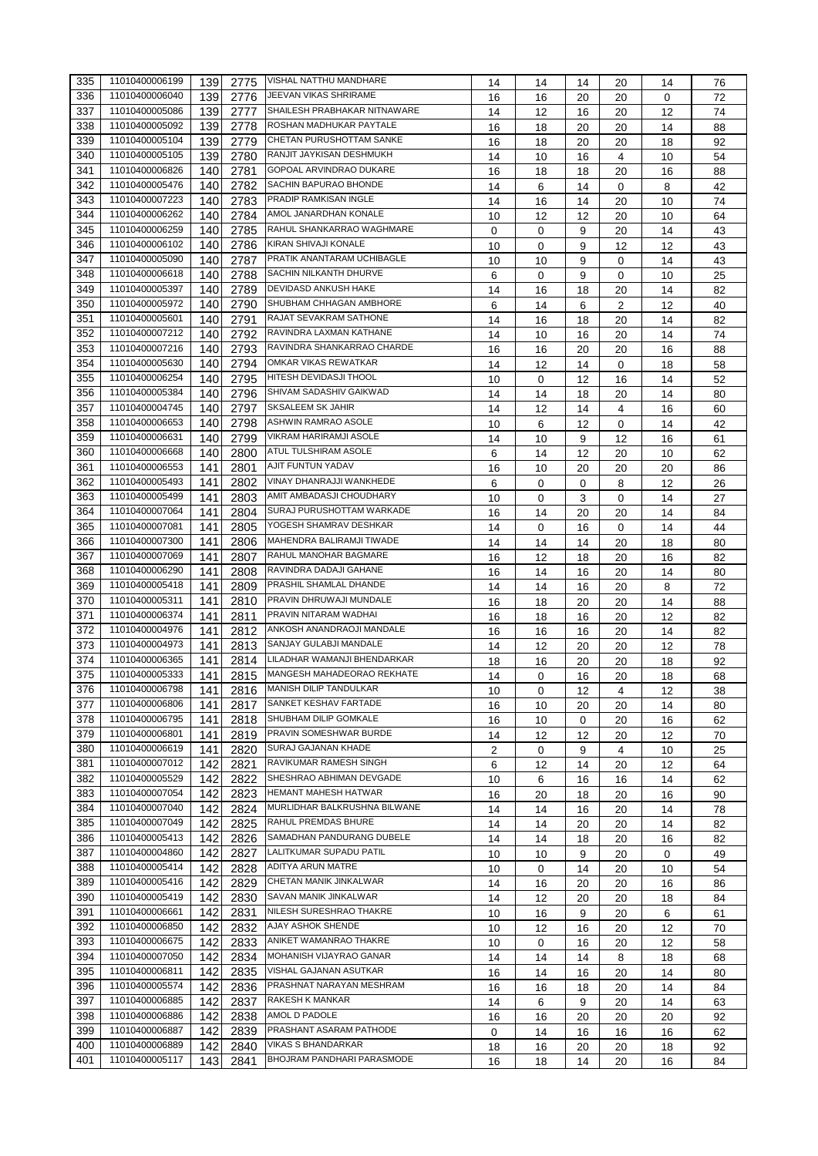| 335 | 11010400006199 | 139 | 2775         | <b>VISHAL NATTHU MANDHARE</b>  | 14 | 14       | 14 | 20          | 14 | 76 |
|-----|----------------|-----|--------------|--------------------------------|----|----------|----|-------------|----|----|
| 336 | 11010400006040 | 139 | 2776         | JEEVAN VIKAS SHRIRAME          | 16 | 16       | 20 | 20          | 0  | 72 |
| 337 | 11010400005086 | 139 | 2777         | SHAILESH PRABHAKAR NITNAWARE   | 14 | 12       | 16 | 20          | 12 | 74 |
| 338 | 11010400005092 | 139 | 2778         | ROSHAN MADHUKAR PAYTALE        | 16 | 18       | 20 | 20          | 14 | 88 |
| 339 | 11010400005104 | 139 | 2779         | CHETAN PURUSHOTTAM SANKE       | 16 | 18       | 20 | 20          | 18 | 92 |
| 340 | 11010400005105 | 139 | 2780         | RANJIT JAYKISAN DESHMUKH       | 14 | 10       | 16 | 4           | 10 | 54 |
| 341 | 11010400006826 | 140 | 2781         | <b>GOPOAL ARVINDRAO DUKARE</b> | 16 | 18       | 18 | 20          | 16 | 88 |
| 342 | 11010400005476 | 140 | 2782         | SACHIN BAPURAO BHONDE          | 14 | 6        | 14 | $\mathbf 0$ | 8  | 42 |
| 343 | 11010400007223 | 140 | 2783         | PRADIP RAMKISAN INGLE          | 14 | 16       | 14 | 20          | 10 | 74 |
| 344 | 11010400006262 | 140 | 2784         | AMOL JANARDHAN KONALE          | 10 | 12       | 12 | 20          | 10 | 64 |
| 345 | 11010400006259 | 140 | 2785         | RAHUL SHANKARRAO WAGHMARE      | 0  | 0        | 9  | 20          | 14 | 43 |
| 346 | 11010400006102 | 140 | 2786         | KIRAN SHIVAJI KONALE           | 10 | 0        | 9  | 12          | 12 | 43 |
| 347 | 11010400005090 | 140 | 2787         | PRATIK ANANTARAM UCHIBAGLE     | 10 | 10       | 9  | $\mathbf 0$ | 14 | 43 |
| 348 | 11010400006618 | 140 | 2788         | SACHIN NILKANTH DHURVE         | 6  | 0        | 9  | 0           | 10 | 25 |
| 349 | 11010400005397 | 140 | 2789         | DEVIDASD ANKUSH HAKE           | 14 | 16       | 18 | 20          | 14 | 82 |
| 350 | 11010400005972 | 140 | 2790         | <b>SHUBHAM CHHAGAN AMBHORE</b> | 6  | 14       | 6  | 2           | 12 | 40 |
| 351 | 11010400005601 | 140 | 2791         | RAJAT SEVAKRAM SATHONE         | 14 | 16       | 18 | 20          | 14 | 82 |
| 352 | 11010400007212 | 140 | 2792         | RAVINDRA LAXMAN KATHANE        | 14 | 10       | 16 | 20          | 14 | 74 |
| 353 | 11010400007216 | 140 | 2793         | RAVINDRA SHANKARRAO CHARDE     | 16 | 16       | 20 | 20          | 16 | 88 |
| 354 | 11010400005630 | 140 | 2794         | OMKAR VIKAS REWATKAR           | 14 | 12       | 14 | 0           | 18 | 58 |
| 355 | 11010400006254 | 140 | 2795         | HITESH DEVIDASJI THOOL         | 10 | 0        | 12 | 16          | 14 | 52 |
| 356 | 11010400005384 | 140 | 2796         | SHIVAM SADASHIV GAIKWAD        | 14 | 14       | 18 | 20          | 14 | 80 |
| 357 | 11010400004745 | 140 | 2797         | <b>SKSALEEM SK JAHIR</b>       | 14 | 12       | 14 | 4           | 16 | 60 |
| 358 | 11010400006653 | 140 | 2798         | <b>ASHWIN RAMRAO ASOLE</b>     |    |          |    |             |    |    |
| 359 | 11010400006631 |     |              | VIKRAM HARIRAMJI ASOLE         | 10 | 6        | 12 | 0           | 14 | 42 |
|     |                | 140 | 2799         | ATUL TULSHIRAM ASOLE           | 14 | 10       | 9  | 12          | 16 | 61 |
| 360 | 11010400006668 | 140 | 2800         |                                | 6  | 14       | 12 | 20          | 10 | 62 |
| 361 | 11010400006553 | 141 | 2801         | AJIT FUNTUN YADAV              | 16 | 10       | 20 | 20          | 20 | 86 |
| 362 | 11010400005493 | 141 | 2802         | VINAY DHANRAJJI WANKHEDE       | 6  | $\Omega$ | 0  | 8           | 12 | 26 |
| 363 | 11010400005499 | 141 | 2803         | AMIT AMBADASJI CHOUDHARY       | 10 | 0        | 3  | 0           | 14 | 27 |
| 364 | 11010400007064 | 141 | 2804         | SURAJ PURUSHOTTAM WARKADE      | 16 | 14       | 20 | 20          | 14 | 84 |
| 365 | 11010400007081 | 141 | 2805         | YOGESH SHAMRAV DESHKAR         | 14 | 0        | 16 | 0           | 14 | 44 |
| 366 | 11010400007300 | 141 | 2806         | MAHENDRA BALIRAMJI TIWADE      | 14 | 14       | 14 | 20          | 18 | 80 |
| 367 | 11010400007069 | 141 | 2807         | RAHUL MANOHAR BAGMARE          | 16 | 12       | 18 | 20          | 16 | 82 |
| 368 | 11010400006290 | 141 | 2808         | RAVINDRA DADAJI GAHANE         | 16 | 14       | 16 | 20          | 14 | 80 |
| 369 | 11010400005418 | 141 | 2809         | PRASHIL SHAMLAL DHANDE         | 14 | 14       | 16 | 20          | 8  | 72 |
| 370 | 11010400005311 | 141 | 2810         | PRAVIN DHRUWAJI MUNDALE        | 16 | 18       | 20 | 20          | 14 | 88 |
| 371 | 11010400006374 | 141 | 2811         | PRAVIN NITARAM WADHAI          | 16 | 18       | 16 | 20          | 12 | 82 |
| 372 | 11010400004976 | 141 | 2812         | ANKOSH ANANDRAOJI MANDALE      | 16 | 16       | 16 | 20          | 14 | 82 |
| 373 | 11010400004973 | 141 | 2813         | SANJAY GULABJI MANDALE         | 14 | 12       | 20 | 20          | 12 | 78 |
| 374 | 11010400006365 | 141 | 2814         | LILADHAR WAMANJI BHENDARKAR    | 18 | 16       | 20 | 20          | 18 | 92 |
| 375 | 11010400005333 | 141 | 2815         | MANGESH MAHADEORAO REKHATE     | 14 | 0        | 16 | 20          | 18 | 68 |
| 376 | 11010400006798 | 141 | 2816         | MANISH DILIP TANDULKAR         | 10 | 0        | 12 | 4           | 12 | 38 |
| 377 | 11010400006806 | 141 | 2817         | SANKET KESHAV FARTADE          | 16 | 10       | 20 | 20          | 14 | 80 |
| 378 | 11010400006795 | 141 | 2818         | SHUBHAM DILIP GOMKALE          | 16 | 10       | 0  | 20          | 16 | 62 |
| 379 | 11010400006801 | 141 | 2819         | PRAVIN SOMESHWAR BURDE         | 14 | 12       | 12 | 20          | 12 | 70 |
| 380 | 11010400006619 | 141 | 2820         | <b>SURAJ GAJANAN KHADE</b>     | 2  | 0        | 9  | 4           | 10 | 25 |
| 381 | 11010400007012 | 142 | 2821         | RAVIKUMAR RAMESH SINGH         | 6  | 12       | 14 | 20          | 12 | 64 |
| 382 | 11010400005529 | 142 | 2822         | SHESHRAO ABHIMAN DEVGADE       | 10 | 6        | 16 | 16          | 14 | 62 |
| 383 | 11010400007054 | 142 | 2823         | HEMANT MAHESH HATWAR           | 16 | 20       | 18 | 20          | 16 | 90 |
| 384 | 11010400007040 | 142 | 2824         | MURLIDHAR BALKRUSHNA BILWANE   | 14 | 14       | 16 | 20          | 14 | 78 |
| 385 | 11010400007049 | 142 | 2825         | RAHUL PREMDAS BHURE            |    |          |    |             |    |    |
| 386 | 11010400005413 | 142 | 2826         | SAMADHAN PANDURANG DUBELE      | 14 | 14       | 20 | 20          | 14 | 82 |
| 387 | 11010400004860 | 142 |              | LALITKUMAR SUPADU PATIL        | 14 | 14       | 18 | 20          | 16 | 82 |
| 388 | 11010400005414 | 142 | 2827<br>2828 | ADITYA ARUN MATRE              | 10 | 10       | 9  | 20          | 0  | 49 |
|     | 11010400005416 |     |              | CHETAN MANIK JINKALWAR         | 10 | 0        | 14 | 20          | 10 | 54 |
| 389 |                | 142 | 2829         |                                | 14 | 16       | 20 | 20          | 16 | 86 |
| 390 | 11010400005419 | 142 | 2830         | SAVAN MANIK JINKALWAR          | 14 | 12       | 20 | 20          | 18 | 84 |
| 391 | 11010400006661 | 142 | 2831         | NILESH SURESHRAO THAKRE        | 10 | 16       | 9  | 20          | 6  | 61 |
| 392 | 11010400006850 | 142 | 2832         | AJAY ASHOK SHENDE              | 10 | 12       | 16 | 20          | 12 | 70 |
| 393 | 11010400006675 | 142 | 2833         | ANIKET WAMANRAO THAKRE         | 10 | 0        | 16 | 20          | 12 | 58 |
| 394 | 11010400007050 | 142 | 2834         | MOHANISH VIJAYRAO GANAR        | 14 | 14       | 14 | 8           | 18 | 68 |
| 395 | 11010400006811 | 142 | 2835         | VISHAL GAJANAN ASUTKAR         | 16 | 14       | 16 | 20          | 14 | 80 |
| 396 | 11010400005574 | 142 | 2836         | PRASHNAT NARAYAN MESHRAM       | 16 | 16       | 18 | 20          | 14 | 84 |
| 397 | 11010400006885 | 142 | 2837         | RAKESH K MANKAR                | 14 | 6        | 9  | 20          | 14 | 63 |
| 398 | 11010400006886 | 142 | 2838         | AMOL D PADOLE                  | 16 | 16       | 20 | 20          | 20 | 92 |
| 399 | 11010400006887 | 142 | 2839         | PRASHANT ASARAM PATHODE        | 0  | 14       | 16 | 16          | 16 | 62 |
| 400 | 11010400006889 | 142 | 2840         | <b>VIKAS S BHANDARKAR</b>      | 18 | 16       | 20 | 20          | 18 | 92 |
| 401 | 11010400005117 | 143 | 2841         | BHOJRAM PANDHARI PARASMODE     | 16 | 18       | 14 | 20          | 16 | 84 |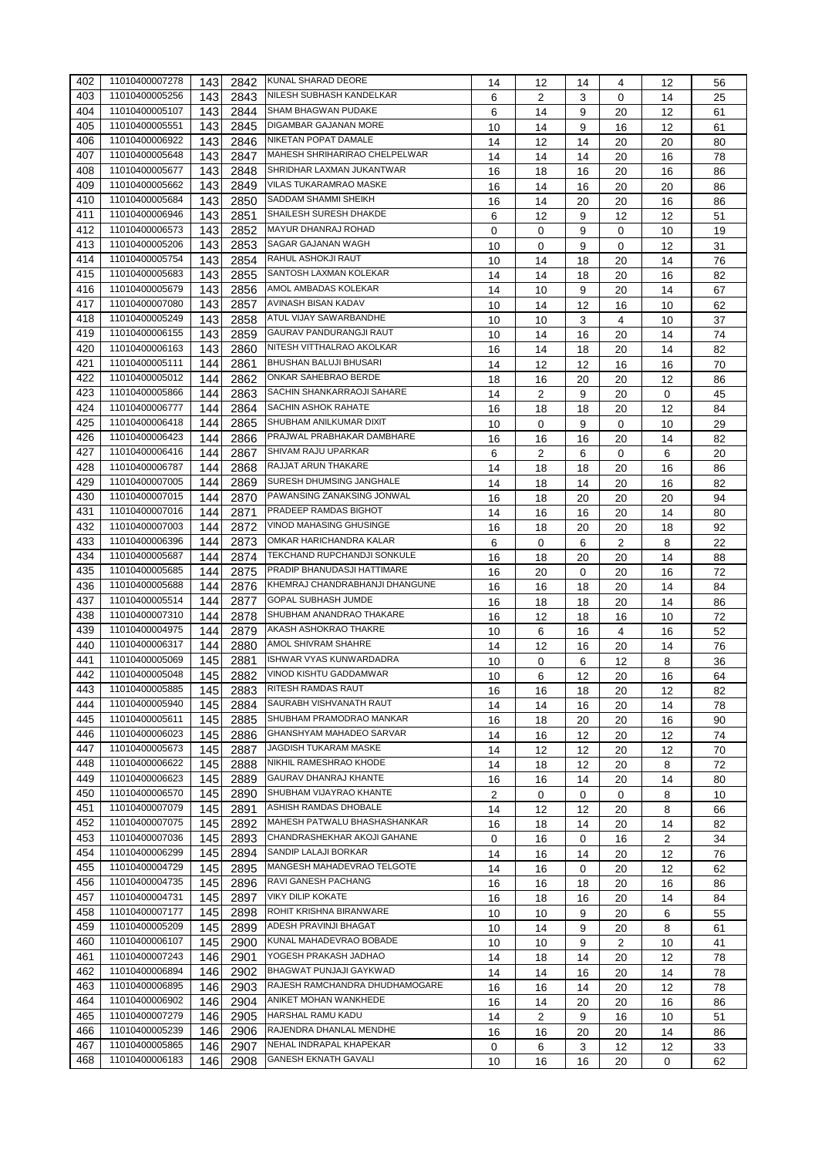| 402 | 11010400007278 | 143        | 2842         | KUNAL SHARAD DEORE             | 14 | 12             | 14          | 4              | 12       | 56       |
|-----|----------------|------------|--------------|--------------------------------|----|----------------|-------------|----------------|----------|----------|
| 403 | 11010400005256 | 143        | 2843         | NILESH SUBHASH KANDELKAR       | 6  | 2              | 3           | 0              | 14       | 25       |
| 404 | 11010400005107 | 143        | 2844         | SHAM BHAGWAN PUDAKE            | 6  | 14             | 9           | 20             | 12       | 61       |
| 405 | 11010400005551 | 143        | 2845         | DIGAMBAR GAJANAN MORE          | 10 | 14             | 9           | 16             | 12       | 61       |
| 406 | 11010400006922 | 143        | 2846         | NIKETAN POPAT DAMALE           | 14 | 12             | 14          | 20             | 20       | 80       |
| 407 | 11010400005648 | 143        | 2847         | MAHESH SHRIHARIRAO CHELPELWAR  | 14 | 14             | 14          | 20             | 16       | 78       |
| 408 | 11010400005677 | 143        | 2848         | SHRIDHAR LAXMAN JUKANTWAR      | 16 | 18             | 16          | 20             | 16       | 86       |
| 409 | 11010400005662 | 143        | 2849         | VILAS TUKARAMRAO MASKE         | 16 | 14             | 16          | 20             | 20       | 86       |
| 410 | 11010400005684 | 143        | 2850         | SADDAM SHAMMI SHEIKH           | 16 | 14             | 20          | 20             | 16       | 86       |
| 411 | 11010400006946 | 143        | 2851         | SHAILESH SURESH DHAKDE         | 6  | 12             | 9           | 12             | 12       | 51       |
| 412 | 11010400006573 | 143        | 2852         | MAYUR DHANRAJ ROHAD            | 0  |                | 9           | 0              |          |          |
| 413 | 11010400005206 | 143        | 2853         | SAGAR GAJANAN WAGH             | 10 | 0              | 9           | $\mathbf 0$    | 10<br>12 | 19<br>31 |
| 414 | 11010400005754 |            | 2854         | RAHUL ASHOKJI RAUT             |    | 0              |             |                |          |          |
| 415 | 11010400005683 | 143<br>143 | 2855         | SANTOSH LAXMAN KOLEKAR         | 10 | 14             | 18          | 20             | 14       | 76       |
| 416 | 11010400005679 |            |              | AMOL AMBADAS KOLEKAR           | 14 | 14             | 18          | 20             | 16       | 82       |
| 417 | 11010400007080 | 143<br>143 | 2856<br>2857 | AVINASH BISAN KADAV            | 14 | 10             | 9           | 20             | 14       | 67       |
| 418 | 11010400005249 |            |              | ATUL VIJAY SAWARBANDHE         | 10 | 14             | 12          | 16             | 10       | 62       |
| 419 | 11010400006155 | 143        | 2858         | GAURAV PANDURANGJI RAUT        | 10 | 10             | 3           | 4              | 10       | 37       |
|     |                | 143        | 2859         | NITESH VITTHALRAO AKOLKAR      | 10 | 14             | 16          | 20             | 14       | 74       |
| 420 | 11010400006163 | 143        | 2860         | <b>BHUSHAN BALUJI BHUSARI</b>  | 16 | 14             | 18          | 20             | 14       | 82       |
| 421 | 11010400005111 | 144        | 2861         |                                | 14 | 12             | 12          | 16             | 16       | 70       |
| 422 | 11010400005012 | 144        | 2862         | ONKAR SAHEBRAO BERDE           | 18 | 16             | 20          | 20             | 12       | 86       |
| 423 | 11010400005866 | 144        | 2863         | SACHIN SHANKARRAOJI SAHARE     | 14 | $\overline{2}$ | 9           | 20             | 0        | 45       |
| 424 | 11010400006777 | 144        | 2864         | SACHIN ASHOK RAHATE            | 16 | 18             | 18          | 20             | 12       | 84       |
| 425 | 11010400006418 | 144        | 2865         | SHUBHAM ANILKUMAR DIXIT        | 10 | 0              | 9           | $\mathbf 0$    | 10       | 29       |
| 426 | 11010400006423 | 144        | 2866         | PRAJWAL PRABHAKAR DAMBHARE     | 16 | 16             | 16          | 20             | 14       | 82       |
| 427 | 11010400006416 | 144        | 2867         | SHIVAM RAJU UPARKAR            | 6  | 2              | 6           | 0              | 6        | 20       |
| 428 | 11010400006787 | 144        | 2868         | RAJJAT ARUN THAKARE            | 14 | 18             | 18          | 20             | 16       | 86       |
| 429 | 11010400007005 | 144        | 2869         | SURESH DHUMSING JANGHALE       | 14 | 18             | 14          | 20             | 16       | 82       |
| 430 | 11010400007015 | 144        | 2870         | PAWANSING ZANAKSING JONWAL     | 16 | 18             | 20          | 20             | 20       | 94       |
| 431 | 11010400007016 | 144        | 2871         | PRADEEP RAMDAS BIGHOT          | 14 | 16             | 16          | 20             | 14       | 80       |
| 432 | 11010400007003 | 144        | 2872         | VINOD MAHASING GHUSINGE        | 16 | 18             | 20          | 20             | 18       | 92       |
| 433 | 11010400006396 | 144        | 2873         | OMKAR HARICHANDRA KALAR        | 6  | 0              | 6           | $\overline{2}$ | 8        | 22       |
| 434 | 11010400005687 | 144        | 2874         | TEKCHAND RUPCHANDJI SONKULE    | 16 | 18             | 20          | 20             | 14       | 88       |
| 435 | 11010400005685 | 144        | 2875         | PRADIP BHANUDASJI HATTIMARE    | 16 | 20             | 0           | 20             | 16       | 72       |
| 436 | 11010400005688 | 144        | 2876         | KHEMRAJ CHANDRABHANJI DHANGUNE | 16 | 16             | 18          | 20             | 14       | 84       |
| 437 | 11010400005514 | 144        | 2877         | GOPAL SUBHASH JUMDE            | 16 | 18             | 18          | 20             | 14       | 86       |
| 438 | 11010400007310 | 144        | 2878         | SHUBHAM ANANDRAO THAKARE       | 16 | 12             | 18          | 16             | 10       | 72       |
| 439 | 11010400004975 | 144        | 2879         | AKASH ASHOKRAO THAKRE          | 10 | 6              | 16          | 4              | 16       | 52       |
| 440 | 11010400006317 | 144        | 2880         | AMOL SHIVRAM SHAHRE            | 14 | 12             | 16          | 20             | 14       | 76       |
| 441 | 11010400005069 | 145        | 2881         | <b>ISHWAR VYAS KUNWARDADRA</b> | 10 | 0              | 6           | 12             | 8        | 36       |
| 442 | 11010400005048 | 145        | 2882         | VINOD KISHTU GADDAMWAR         | 10 | 6              | 12          | 20             | 16       | 64       |
| 443 | 11010400005885 | 145        | 2883         | RITESH RAMDAS RAUT             | 16 | 16             | 18          | 20             | 12       | 82       |
| 444 | 11010400005940 | 145        | 2884         | SAURABH VISHVANATH RAUT        | 14 | 14             | 16          | 20             | 14       | 78       |
| 445 | 11010400005611 | 145        | 2885         | SHUBHAM PRAMODRAO MANKAR       | 16 | 18             | 20          | 20             | 16       | 90       |
| 446 | 11010400006023 | 145        | 2886         | GHANSHYAM MAHADEO SARVAR       | 14 | 16             | 12          | 20             | 12       | 74       |
| 447 | 11010400005673 | 145        | 2887         | JAGDISH TUKARAM MASKE          | 14 | 12             | 12          | 20             | 12       | 70       |
| 448 | 11010400006622 | 145        | 2888         | NIKHIL RAMESHRAO KHODE         | 14 | 18             | 12          | 20             | 8        | 72       |
| 449 | 11010400006623 | 145        | 2889         | GAURAV DHANRAJ KHANTE          | 16 | 16             | 14          | 20             | 14       | 80       |
| 450 | 11010400006570 | 145        | 2890         | SHUBHAM VIJAYRAO KHANTE        | 2  | 0              | $\mathbf 0$ | $\mathbf 0$    | 8        | 10       |
| 451 | 11010400007079 | 145        | 2891         | ASHISH RAMDAS DHOBALE          | 14 | 12             | 12          | 20             | 8        | 66       |
| 452 | 11010400007075 | 145        | 2892         | MAHESH PATWALU BHASHASHANKAR   | 16 | 18             | 14          | 20             | 14       | 82       |
| 453 | 11010400007036 | 145        | 2893         | CHANDRASHEKHAR AKOJI GAHANE    | 0  | 16             | 0           | 16             | 2        | 34       |
| 454 | 11010400006299 | 145        | 2894         | SANDIP LALAJI BORKAR           | 14 | 16             | 14          | 20             | 12       | 76       |
| 455 | 11010400004729 | 145        | 2895         | MANGESH MAHADEVRAO TELGOTE     | 14 | 16             | 0           | 20             | 12       | 62       |
| 456 | 11010400004735 | 145        | 2896         | RAVI GANESH PACHANG            | 16 | 16             | 18          | 20             | 16       | 86       |
| 457 | 11010400004731 | 145        | 2897         | <b>VIKY DILIP KOKATE</b>       | 16 | 18             | 16          | 20             | 14       | 84       |
| 458 | 11010400007177 | 145        | 2898         | ROHIT KRISHNA BIRANWARE        | 10 | 10             | 9           | 20             | 6        | 55       |
| 459 | 11010400005209 | 145        | 2899         | ADESH PRAVINJI BHAGAT          | 10 | 14             | 9           | 20             | 8        | 61       |
| 460 | 11010400006107 | 145        | 2900         | KUNAL MAHADEVRAO BOBADE        | 10 | 10             | 9           | 2              | 10       | 41       |
| 461 | 11010400007243 | 146        | 2901         | YOGESH PRAKASH JADHAO          | 14 | 18             | 14          | 20             | 12       | 78       |
| 462 | 11010400006894 | 146        | 2902         | BHAGWAT PUNJAJI GAYKWAD        | 14 | 14             | 16          | 20             | 14       | 78       |
| 463 | 11010400006895 | 146        | 2903         | RAJESH RAMCHANDRA DHUDHAMOGARE | 16 | 16             | 14          | 20             | 12       | 78       |
| 464 | 11010400006902 | 146        | 2904         | ANIKET MOHAN WANKHEDE          | 16 | 14             | 20          | 20             | 16       | 86       |
| 465 | 11010400007279 | 146        | 2905         | HARSHAL RAMU KADU              | 14 | 2              | 9           | 16             | 10       | 51       |
| 466 | 11010400005239 | 146        | 2906         | RAJENDRA DHANLAL MENDHE        | 16 | 16             | 20          | 20             | 14       | 86       |
| 467 | 11010400005865 | 146        | 2907         | NEHAL INDRAPAL KHAPEKAR        | 0  | 6              | 3           | 12             | 12       | 33       |
| 468 | 11010400006183 | 146        | 2908         | <b>GANESH EKNATH GAVALI</b>    | 10 | 16             | 16          | 20             | 0        | 62       |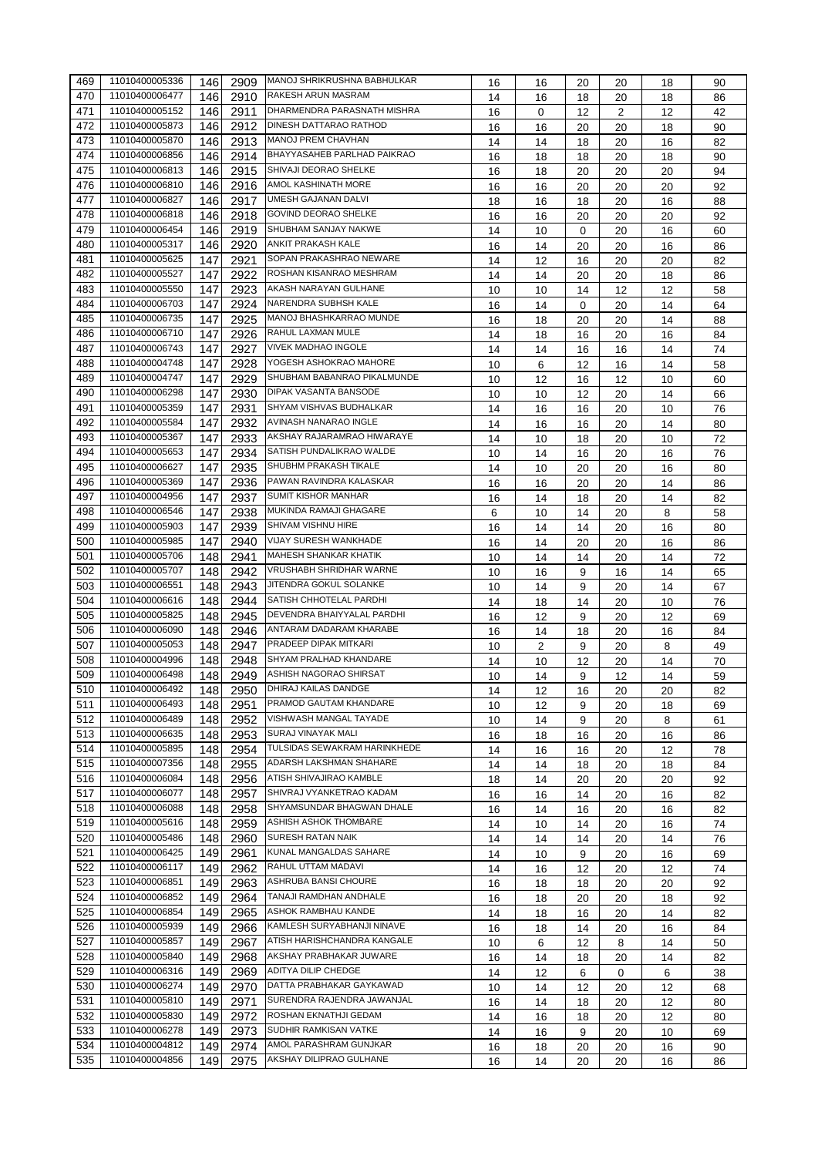| 469 | 11010400005336 | 146 | 2909 | MANOJ SHRIKRUSHNA BABHULKAR        | 16 | 16       | 20 | 20             | 18 | 90       |
|-----|----------------|-----|------|------------------------------------|----|----------|----|----------------|----|----------|
| 470 | 11010400006477 | 146 | 2910 | <b>RAKESH ARUN MASRAM</b>          | 14 | 16       | 18 | 20             | 18 | 86       |
| 471 | 11010400005152 | 146 | 2911 | DHARMENDRA PARASNATH MISHRA        | 16 | $\Omega$ | 12 | $\overline{2}$ | 12 | 42       |
| 472 | 11010400005873 | 146 | 2912 | DINESH DATTARAO RATHOD             | 16 | 16       | 20 | 20             | 18 | 90       |
| 473 | 11010400005870 | 146 | 2913 | <b>MANOJ PREM CHAVHAN</b>          | 14 | 14       | 18 | 20             | 16 | 82       |
| 474 | 11010400006856 | 146 | 2914 | <b>BHAYYASAHEB PARLHAD PAIKRAO</b> | 16 | 18       | 18 | 20             | 18 | 90       |
| 475 | 11010400006813 | 146 | 2915 | SHIVAJI DEORAO SHELKE              | 16 | 18       | 20 | 20             | 20 | 94       |
| 476 | 11010400006810 | 146 | 2916 | AMOL KASHINATH MORE                | 16 | 16       | 20 | 20             | 20 | 92       |
| 477 | 11010400006827 | 146 | 2917 | UMESH GAJANAN DALVI                | 18 | 16       | 18 | 20             | 16 | 88       |
| 478 | 11010400006818 | 146 | 2918 | <b>GOVIND DEORAO SHELKE</b>        | 16 | 16       | 20 | 20             | 20 | 92       |
| 479 | 11010400006454 | 146 | 2919 | <b>SHUBHAM SANJAY NAKWE</b>        | 14 | 10       | 0  | 20             | 16 | 60       |
| 480 | 11010400005317 | 146 | 2920 | ANKIT PRAKASH KALE                 | 16 | 14       | 20 | 20             | 16 | 86       |
| 481 | 11010400005625 | 147 | 2921 | SOPAN PRAKASHRAO NEWARE            | 14 | 12       | 16 | 20             | 20 | 82       |
| 482 | 11010400005527 | 147 | 2922 | ROSHAN KISANRAO MESHRAM            | 14 | 14       | 20 | 20             | 18 | 86       |
| 483 | 11010400005550 | 147 | 2923 | AKASH NARAYAN GULHANE              | 10 | 10       | 14 | 12             | 12 | 58       |
| 484 | 11010400006703 | 147 | 2924 | NARENDRA SUBHSH KALE               | 16 | 14       | 0  | 20             | 14 | 64       |
| 485 | 11010400006735 | 147 | 2925 | MANOJ BHASHKARRAO MUNDE            | 16 | 18       | 20 | 20             | 14 | 88       |
| 486 | 11010400006710 |     |      | RAHUL LAXMAN MULE                  |    |          |    |                |    |          |
| 487 |                | 147 | 2926 | <b>VIVEK MADHAO INGOLE</b>         | 14 | 18       | 16 | 20             | 16 | 84       |
|     | 11010400006743 | 147 | 2927 | YOGESH ASHOKRAO MAHORE             | 14 | 14       | 16 | 16             | 14 | 74       |
| 488 | 11010400004748 | 147 | 2928 |                                    | 10 | 6        | 12 | 16             | 14 | 58       |
| 489 | 11010400004747 | 147 | 2929 | SHUBHAM BABANRAO PIKALMUNDE        | 10 | 12       | 16 | 12             | 10 | 60       |
| 490 | 11010400006298 | 147 | 2930 | <b>DIPAK VASANTA BANSODE</b>       | 10 | 10       | 12 | 20             | 14 | 66       |
| 491 | 11010400005359 | 147 | 2931 | SHYAM VISHVAS BUDHALKAR            | 14 | 16       | 16 | 20             | 10 | 76       |
| 492 | 11010400005584 | 147 | 2932 | AVINASH NANARAO INGLE              | 14 | 16       | 16 | 20             | 14 | 80       |
| 493 | 11010400005367 | 147 | 2933 | AKSHAY RAJARAMRAO HIWARAYE         | 14 | 10       | 18 | 20             | 10 | 72       |
| 494 | 11010400005653 | 147 | 2934 | SATISH PUNDALIKRAO WALDE           | 10 | 14       | 16 | 20             | 16 | 76       |
| 495 | 11010400006627 | 147 | 2935 | SHUBHM PRAKASH TIKALE              | 14 | 10       | 20 | 20             | 16 | 80       |
| 496 | 11010400005369 | 147 | 2936 | PAWAN RAVINDRA KALASKAR            | 16 | 16       | 20 | 20             | 14 | 86       |
| 497 | 11010400004956 | 147 | 2937 | <b>SUMIT KISHOR MANHAR</b>         | 16 | 14       | 18 | 20             | 14 | 82       |
| 498 | 11010400006546 | 147 | 2938 | MUKINDA RAMAJI GHAGARE             | 6  | 10       | 14 | 20             | 8  | 58       |
| 499 | 11010400005903 | 147 | 2939 | SHIVAM VISHNU HIRE                 | 16 | 14       | 14 | 20             | 16 | 80       |
| 500 | 11010400005985 | 147 | 2940 | VIJAY SURESH WANKHADE              | 16 | 14       | 20 | 20             | 16 | 86       |
| 501 | 11010400005706 | 148 | 2941 | <b>MAHESH SHANKAR KHATIK</b>       | 10 | 14       | 14 | 20             | 14 | 72       |
| 502 | 11010400005707 | 148 | 2942 | VRUSHABH SHRIDHAR WARNE            | 10 | 16       | 9  | 16             | 14 | 65       |
| 503 | 11010400006551 | 148 | 2943 | JITENDRA GOKUL SOLANKE             | 10 | 14       | 9  | 20             | 14 | 67       |
| 504 | 11010400006616 | 148 | 2944 | SATISH CHHOTELAL PARDHI            | 14 | 18       | 14 | 20             | 10 | 76       |
| 505 | 11010400005825 | 148 | 2945 | DEVENDRA BHAIYYALAL PARDHI         | 16 | 12       | 9  | 20             | 12 | 69       |
| 506 | 11010400006090 | 148 | 2946 | ANTARAM DADARAM KHARABE            | 16 | 14       | 18 | 20             | 16 | 84       |
| 507 | 11010400005053 | 148 | 2947 | PRADEEP DIPAK MITKARI              | 10 | 2        | 9  | 20             | 8  | 49       |
| 508 | 11010400004996 | 148 | 2948 | SHYAM PRALHAD KHANDARE             | 14 | 10       | 12 | 20             | 14 | 70       |
| 509 | 11010400006498 | 148 | 2949 | <b>ASHISH NAGORAO SHIRSAT</b>      | 10 | 14       | 9  | 12             | 14 |          |
| 510 | 11010400006492 | 148 | 2950 | DHIRAJ KAILAS DANDGE               | 14 | 12       | 16 | 20             |    | 59<br>82 |
|     | 11010400006493 |     | 2951 | PRAMOD GAUTAM KHANDARE             |    |          |    |                | 20 |          |
| 511 | 11010400006489 | 148 |      | VISHWASH MANGAL TAYADE             | 10 | 12       | 9  | 20             | 18 | 69       |
| 512 | 11010400006635 | 148 | 2952 | <b>SURAJ VINAYAK MALI</b>          | 10 | 14       | 9  | 20             | 8  | 61       |
| 513 |                | 148 | 2953 | TULSIDAS SEWAKRAM HARINKHEDE       | 16 | 18       | 16 | 20             | 16 | 86       |
| 514 | 11010400005895 | 148 | 2954 |                                    | 14 | 16       | 16 | 20             | 12 | 78       |
| 515 | 11010400007356 | 148 | 2955 | ADARSH LAKSHMAN SHAHARE            | 14 | 14       | 18 | 20             | 18 | 84       |
| 516 | 11010400006084 | 148 | 2956 | ATISH SHIVAJIRAO KAMBLE            | 18 | 14       | 20 | 20             | 20 | 92       |
| 517 | 11010400006077 | 148 | 2957 | SHIVRAJ VYANKETRAO KADAM           | 16 | 16       | 14 | 20             | 16 | 82       |
| 518 | 11010400006088 | 148 | 2958 | SHYAMSUNDAR BHAGWAN DHALE          | 16 | 14       | 16 | 20             | 16 | 82       |
| 519 | 11010400005616 | 148 | 2959 | ASHISH ASHOK THOMBARE              | 14 | 10       | 14 | 20             | 16 | 74       |
| 520 | 11010400005486 | 148 | 2960 | <b>SURESH RATAN NAIK</b>           | 14 | 14       | 14 | 20             | 14 | 76       |
| 521 | 11010400006425 | 149 | 2961 | KUNAL MANGALDAS SAHARE             | 14 | 10       | 9  | 20             | 16 | 69       |
| 522 | 11010400006117 | 149 | 2962 | RAHUL UTTAM MADAVI                 | 14 | 16       | 12 | 20             | 12 | 74       |
| 523 | 11010400006851 | 149 | 2963 | ASHRUBA BANSI CHOURE               | 16 | 18       | 18 | 20             | 20 | 92       |
| 524 | 11010400006852 | 149 | 2964 | TANAJI RAMDHAN ANDHALE             | 16 | 18       | 20 | 20             | 18 | 92       |
| 525 | 11010400006854 | 149 | 2965 | ASHOK RAMBHAU KANDE                | 14 | 18       | 16 | 20             | 14 | 82       |
| 526 | 11010400005939 | 149 | 2966 | KAMLESH SURYABHANJI NINAVE         | 16 | 18       | 14 | 20             | 16 | 84       |
| 527 | 11010400005857 | 149 | 2967 | ATISH HARISHCHANDRA KANGALE        | 10 | 6        | 12 | 8              | 14 | 50       |
| 528 | 11010400005840 | 149 | 2968 | AKSHAY PRABHAKAR JUWARE            | 16 | 14       | 18 | 20             | 14 | 82       |
| 529 | 11010400006316 | 149 | 2969 | ADITYA DILIP CHEDGE                | 14 | 12       | 6  | 0              | 6  | 38       |
| 530 | 11010400006274 | 149 | 2970 | DATTA PRABHAKAR GAYKAWAD           | 10 | 14       | 12 | 20             | 12 | 68       |
| 531 | 11010400005810 | 149 | 2971 | SURENDRA RAJENDRA JAWANJAL         | 16 | 14       | 18 | 20             | 12 | 80       |
| 532 | 11010400005830 | 149 | 2972 | ROSHAN EKNATHJI GEDAM              | 14 | 16       | 18 | 20             | 12 | 80       |
| 533 | 11010400006278 | 149 | 2973 | SUDHIR RAMKISAN VATKE              | 14 | 16       | 9  | 20             | 10 | 69       |
| 534 | 11010400004812 | 149 | 2974 | AMOL PARASHRAM GUNJKAR             | 16 | 18       | 20 | 20             | 16 | 90       |
| 535 | 11010400004856 | 149 | 2975 | AKSHAY DILIPRAO GULHANE            | 16 | 14       | 20 | 20             | 16 | 86       |
|     |                |     |      |                                    |    |          |    |                |    |          |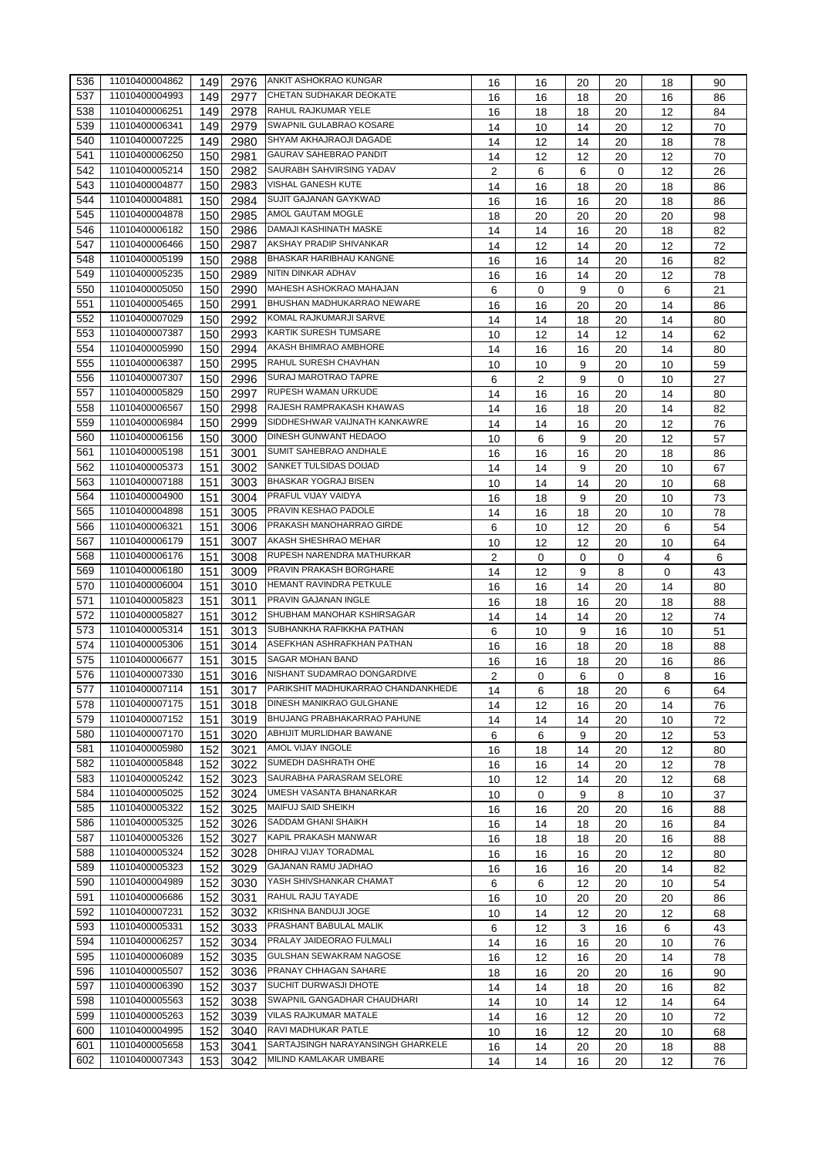| 536 | 11010400004862 | 149 | 2976 | <b>ANKIT ASHOKRAO KUNGAR</b>            | 16             | 16 | 20 | 20          | 18 | 90 |
|-----|----------------|-----|------|-----------------------------------------|----------------|----|----|-------------|----|----|
| 537 | 11010400004993 | 149 | 2977 | CHETAN SUDHAKAR DEOKATE                 | 16             | 16 | 18 | 20          | 16 | 86 |
| 538 | 11010400006251 | 149 | 2978 | RAHUL RAJKUMAR YELE                     | 16             | 18 | 18 | 20          | 12 | 84 |
| 539 | 11010400006341 | 149 | 2979 | SWAPNIL GULABRAO KOSARE                 | 14             | 10 | 14 | 20          | 12 | 70 |
| 540 | 11010400007225 | 149 | 2980 | SHYAM AKHAJRAOJI DAGADE                 | 14             | 12 | 14 | 20          | 18 | 78 |
| 541 | 11010400006250 | 150 | 2981 | <b>GAURAV SAHEBRAO PANDIT</b>           | 14             | 12 | 12 | 20          | 12 | 70 |
| 542 | 11010400005214 | 150 | 2982 | SAURABH SAHVIRSING YADAV                | $\overline{2}$ | 6  | 6  | $\mathbf 0$ | 12 | 26 |
| 543 | 11010400004877 | 150 | 2983 | VISHAL GANESH KUTE                      | 14             | 16 | 18 | 20          | 18 | 86 |
| 544 | 11010400004881 | 150 | 2984 | SUJIT GAJANAN GAYKWAD                   | 16             | 16 | 16 | 20          | 18 | 86 |
| 545 | 11010400004878 | 150 | 2985 | AMOL GAUTAM MOGLE                       | 18             | 20 | 20 | 20          | 20 | 98 |
| 546 | 11010400006182 | 150 | 2986 | DAMAJI KASHINATH MASKE                  | 14             | 14 | 16 | 20          | 18 | 82 |
| 547 | 11010400006466 | 150 | 2987 | AKSHAY PRADIP SHIVANKAR                 | 14             | 12 | 14 | 20          | 12 | 72 |
| 548 | 11010400005199 | 150 | 2988 | BHASKAR HARIBHAU KANGNE                 | 16             | 16 | 14 | 20          | 16 | 82 |
| 549 | 11010400005235 | 150 | 2989 | NITIN DINKAR ADHAV                      | 16             | 16 | 14 | 20          | 12 | 78 |
| 550 | 11010400005050 | 150 | 2990 | MAHESH ASHOKRAO MAHAJAN                 |                | 0  | 9  | 0           | 6  | 21 |
| 551 | 11010400005465 | 150 | 2991 | BHUSHAN MADHUKARRAO NEWARE              | 6              |    |    |             |    |    |
| 552 | 11010400007029 | 150 | 2992 | KOMAL RAJKUMARJI SARVE                  | 16             | 16 | 20 | 20          | 14 | 86 |
|     | 11010400007387 |     |      | KARTIK SURESH TUMSARE                   | 14             | 14 | 18 | 20          | 14 | 80 |
| 553 |                | 150 | 2993 | AKASH BHIMRAO AMBHORE                   | 10             | 12 | 14 | 12          | 14 | 62 |
| 554 | 11010400005990 | 150 | 2994 |                                         | 14             | 16 | 16 | 20          | 14 | 80 |
| 555 | 11010400006387 | 150 | 2995 | RAHUL SURESH CHAVHAN                    | 10             | 10 | 9  | 20          | 10 | 59 |
| 556 | 11010400007307 | 150 | 2996 | <b>SURAJ MAROTRAO TAPRE</b>             | 6              | 2  | 9  | 0           | 10 | 27 |
| 557 | 11010400005829 | 150 | 2997 | <b>RUPESH WAMAN URKUDE</b>              | 14             | 16 | 16 | 20          | 14 | 80 |
| 558 | 11010400006567 | 150 | 2998 | RAJESH RAMPRAKASH KHAWAS                | 14             | 16 | 18 | 20          | 14 | 82 |
| 559 | 11010400006984 | 150 | 2999 | SIDDHESHWAR VAIJNATH KANKAWRE           | 14             | 14 | 16 | 20          | 12 | 76 |
| 560 | 11010400006156 | 150 | 3000 | DINESH GUNWANT HEDAOO                   | 10             | 6  | 9  | 20          | 12 | 57 |
| 561 | 11010400005198 | 151 | 3001 | SUMIT SAHEBRAO ANDHALE                  | 16             | 16 | 16 | 20          | 18 | 86 |
| 562 | 11010400005373 | 151 | 3002 | SANKET TULSIDAS DOIJAD                  | 14             | 14 | 9  | 20          | 10 | 67 |
| 563 | 11010400007188 | 151 | 3003 | BHASKAR YOGRAJ BISEN                    | 10             | 14 | 14 | 20          | 10 | 68 |
| 564 | 11010400004900 | 151 | 3004 | PRAFUL VIJAY VAIDYA                     | 16             | 18 | 9  | 20          | 10 | 73 |
| 565 | 11010400004898 | 151 | 3005 | PRAVIN KESHAO PADOLE                    | 14             | 16 | 18 | 20          | 10 | 78 |
| 566 | 11010400006321 | 151 | 3006 | PRAKASH MANOHARRAO GIRDE                | 6              | 10 | 12 | 20          | 6  | 54 |
| 567 | 11010400006179 | 151 | 3007 | AKASH SHESHRAO MEHAR                    | 10             | 12 | 12 | 20          | 10 | 64 |
| 568 | 11010400006176 | 151 | 3008 | RUPESH NARENDRA MATHURKAR               | 2              | 0  | 0  | 0           | 4  | 6  |
| 569 | 11010400006180 | 151 | 3009 | PRAVIN PRAKASH BORGHARE                 | 14             | 12 | 9  | 8           | 0  | 43 |
| 570 | 11010400006004 | 151 | 3010 | HEMANT RAVINDRA PETKULE                 | 16             | 16 | 14 | 20          | 14 | 80 |
| 571 | 11010400005823 | 151 | 3011 | PRAVIN GAJANAN INGLE                    | 16             | 18 | 16 | 20          | 18 | 88 |
| 572 | 11010400005827 | 151 | 3012 | SHUBHAM MANOHAR KSHIRSAGAR              | 14             | 14 | 14 | 20          | 12 | 74 |
| 573 | 11010400005314 | 151 | 3013 | SUBHANKHA RAFIKKHA PATHAN               | 6              | 10 | 9  | 16          | 10 | 51 |
| 574 | 11010400005306 | 151 | 3014 | ASEFKHAN ASHRAFKHAN PATHAN              | 16             | 16 | 18 | 20          | 18 | 88 |
| 575 | 11010400006677 | 151 | 3015 | SAGAR MOHAN BAND                        | 16             | 16 | 18 | 20          | 16 | 86 |
| 576 | 11010400007330 | 151 | 3016 | NISHANT SUDAMRAO DONGARDIVE             | 2              | 0  | 6  | 0           | 8  | 16 |
| 577 | 11010400007114 | 151 |      | 3017 PARIKSHIT MADHUKARRAO CHANDANKHEDE | 14             | 6  | 18 | 20          | 6  | 64 |
| 578 | 11010400007175 | 151 |      | <b>DINESH MANIKRAO GULGHANE</b>         |                |    |    |             |    |    |
| 579 | 11010400007152 |     | 3018 | BHUJANG PRABHAKARRAO PAHUNE             | 14             | 12 | 16 | 20          | 14 | 76 |
|     | 11010400007170 | 151 | 3019 | ABHIJIT MURLIDHAR BAWANE                | 14             | 14 | 14 | 20          | 10 | 72 |
| 580 |                | 151 | 3020 | AMOL VIJAY INGOLE                       | 6              | 6  | 9  | 20          | 12 | 53 |
| 581 | 11010400005980 | 152 | 3021 | SUMEDH DASHRATH OHE                     | 16             | 18 | 14 | 20          | 12 | 80 |
| 582 | 11010400005848 | 152 | 3022 | SAURABHA PARASRAM SELORE                | 16             | 16 | 14 | 20          | 12 | 78 |
| 583 | 11010400005242 | 152 | 3023 |                                         | 10             | 12 | 14 | 20          | 12 | 68 |
| 584 | 11010400005025 | 152 | 3024 | UMESH VASANTA BHANARKAR                 | 10             | 0  | 9  | 8           | 10 | 37 |
| 585 | 11010400005322 | 152 | 3025 | MAIFUJ SAID SHEIKH                      | 16             | 16 | 20 | 20          | 16 | 88 |
| 586 | 11010400005325 | 152 | 3026 | SADDAM GHANI SHAIKH                     | 16             | 14 | 18 | 20          | 16 | 84 |
| 587 | 11010400005326 | 152 | 3027 | KAPIL PRAKASH MANWAR                    | 16             | 18 | 18 | 20          | 16 | 88 |
| 588 | 11010400005324 | 152 | 3028 | DHIRAJ VIJAY TORADMAL                   | 16             | 16 | 16 | 20          | 12 | 80 |
| 589 | 11010400005323 | 152 | 3029 | GAJANAN RAMU JADHAO                     | 16             | 16 | 16 | 20          | 14 | 82 |
| 590 | 11010400004989 | 152 | 3030 | YASH SHIVSHANKAR CHAMAT                 | 6              | 6  | 12 | 20          | 10 | 54 |
| 591 | 11010400006686 | 152 | 3031 | RAHUL RAJU TAYADE                       | 16             | 10 | 20 | 20          | 20 | 86 |
| 592 | 11010400007231 | 152 | 3032 | KRISHNA BANDUJI JOGE                    | 10             | 14 | 12 | 20          | 12 | 68 |
| 593 | 11010400005331 | 152 | 3033 | PRASHANT BABULAL MALIK                  | 6              | 12 | 3  | 16          | 6  | 43 |
| 594 | 11010400006257 | 152 | 3034 | PRALAY JAIDEORAO FULMALI                | 14             | 16 | 16 | 20          | 10 | 76 |
| 595 | 11010400006089 | 152 | 3035 | GULSHAN SEWAKRAM NAGOSE                 | 16             | 12 | 16 | 20          | 14 | 78 |
| 596 | 11010400005507 | 152 | 3036 | PRANAY CHHAGAN SAHARE                   | 18             | 16 | 20 | 20          | 16 | 90 |
| 597 | 11010400006390 | 152 | 3037 | SUCHIT DURWASJI DHOTE                   | 14             | 14 | 18 | 20          | 16 | 82 |
| 598 | 11010400005563 | 152 | 3038 | SWAPNIL GANGADHAR CHAUDHARI             | 14             | 10 | 14 | 12          | 14 | 64 |
| 599 | 11010400005263 | 152 | 3039 | VILAS RAJKUMAR MATALE                   | 14             | 16 | 12 | 20          | 10 | 72 |
| 600 | 11010400004995 | 152 | 3040 | RAVI MADHUKAR PATLE                     | 10             | 16 | 12 | 20          | 10 | 68 |
| 601 | 11010400005658 | 153 | 3041 | SARTAJSINGH NARAYANSINGH GHARKELE       | 16             | 14 | 20 | 20          | 18 | 88 |
| 602 | 11010400007343 | 153 | 3042 | MILIND KAMLAKAR UMBARE                  | 14             | 14 | 16 | 20          | 12 | 76 |
|     |                |     |      |                                         |                |    |    |             |    |    |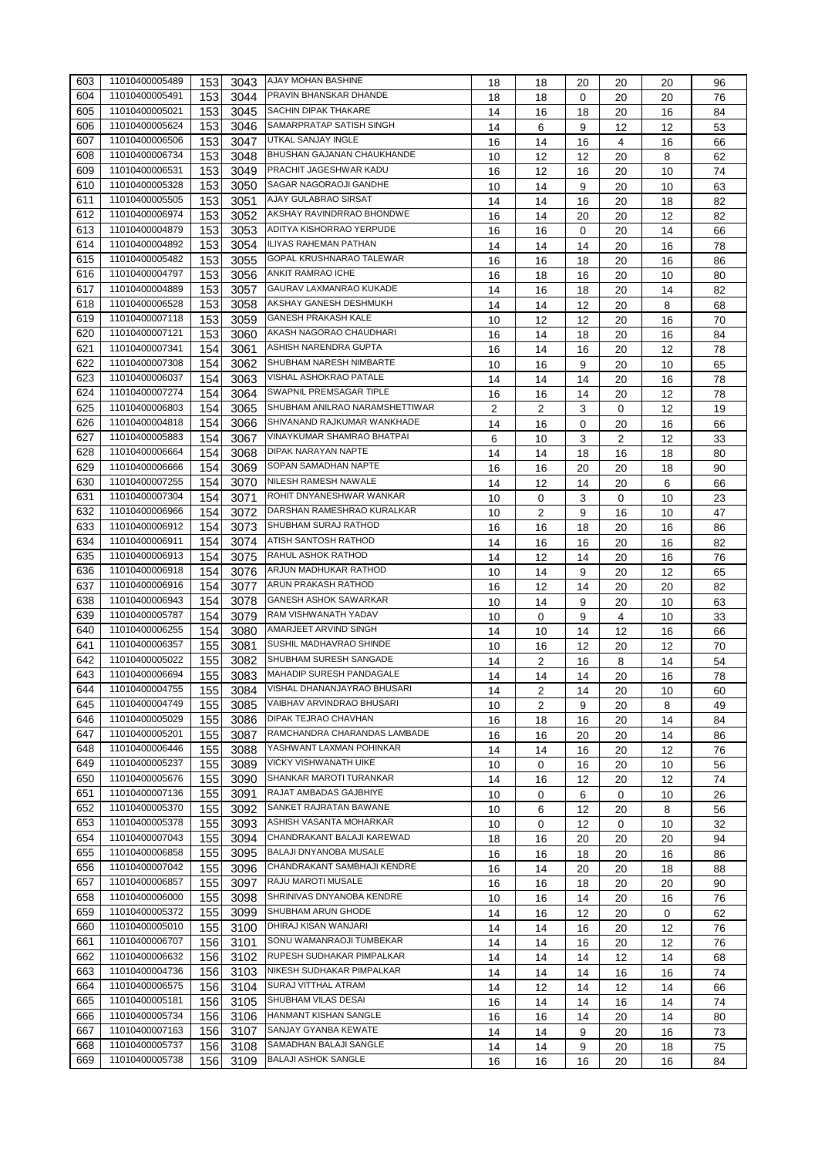| 603 | 11010400005489 | 153 | 3043 | <b>AJAY MOHAN BASHINE</b>                        | 18             | 18             | 20 | 20 | 20 | 96 |
|-----|----------------|-----|------|--------------------------------------------------|----------------|----------------|----|----|----|----|
| 604 | 11010400005491 | 153 | 3044 | <b>PRAVIN BHANSKAR DHANDE</b>                    | 18             | 18             | 0  | 20 | 20 | 76 |
| 605 | 11010400005021 | 153 | 3045 | <b>SACHIN DIPAK THAKARE</b>                      | 14             | 16             | 18 | 20 | 16 | 84 |
| 606 | 11010400005624 | 153 | 3046 | SAMARPRATAP SATISH SINGH                         | 14             | 6              | 9  | 12 | 12 | 53 |
| 607 | 11010400006506 | 153 | 3047 | UTKAL SANJAY INGLE                               | 16             | 14             | 16 | 4  | 16 | 66 |
| 608 | 11010400006734 | 153 | 3048 | BHUSHAN GAJANAN CHAUKHANDE                       | 10             | 12             | 12 | 20 | 8  | 62 |
| 609 | 11010400006531 | 153 | 3049 | PRACHIT JAGESHWAR KADU                           | 16             | 12             | 16 | 20 | 10 | 74 |
| 610 | 11010400005328 | 153 | 3050 | SAGAR NAGORAOJI GANDHE                           | 10             | 14             | 9  | 20 | 10 | 63 |
| 611 | 11010400005505 | 153 | 3051 | AJAY GULABRAO SIRSAT                             | 14             | 14             | 16 | 20 | 18 | 82 |
| 612 | 11010400006974 | 153 | 3052 | AKSHAY RAVINDRRAO BHONDWE                        | 16             | 14             | 20 | 20 | 12 | 82 |
| 613 | 11010400004879 | 153 | 3053 | ADITYA KISHORRAO YERPUDE                         | 16             | 16             | 0  | 20 | 14 | 66 |
| 614 | 11010400004892 | 153 | 3054 | ILIYAS RAHEMAN PATHAN                            | 14             | 14             | 14 | 20 | 16 | 78 |
| 615 | 11010400005482 | 153 | 3055 | GOPAL KRUSHNARAO TALEWAR                         | 16             | 16             | 18 | 20 | 16 | 86 |
| 616 | 11010400004797 | 153 | 3056 | ANKIT RAMRAO ICHE                                | 16             | 18             | 16 | 20 | 10 | 80 |
| 617 | 11010400004889 | 153 | 3057 | GAURAV LAXMANRAO KUKADE                          | 14             | 16             | 18 | 20 | 14 | 82 |
| 618 | 11010400006528 | 153 | 3058 | AKSHAY GANESH DESHMUKH                           | 14             | 14             | 12 | 20 | 8  | 68 |
| 619 | 11010400007118 | 153 | 3059 | <b>GANESH PRAKASH KALE</b>                       | 10             | 12             | 12 | 20 | 16 | 70 |
| 620 | 11010400007121 | 153 | 3060 | AKASH NAGORAO CHAUDHARI                          | 16             | 14             | 18 | 20 | 16 | 84 |
| 621 | 11010400007341 | 154 | 3061 | ASHISH NARENDRA GUPTA                            |                |                |    |    |    |    |
| 622 | 11010400007308 | 154 |      | SHUBHAM NARESH NIMBARTE                          | 16             | 14             | 16 | 20 | 12 | 78 |
| 623 | 11010400006037 | 154 | 3062 | VISHAL ASHOKRAO PATALE                           | 10             | 16             | 9  | 20 | 10 | 65 |
| 624 | 11010400007274 |     | 3063 | SWAPNIL PREMSAGAR TIPLE                          | 14             | 14             | 14 | 20 | 16 | 78 |
|     |                | 154 | 3064 | SHUBHAM ANILRAO NARAMSHETTIWAR                   | 16             | 16             | 14 | 20 | 12 | 78 |
| 625 | 11010400006803 | 154 | 3065 |                                                  | $\overline{2}$ | $\overline{2}$ | 3  | 0  | 12 | 19 |
| 626 | 11010400004818 | 154 | 3066 | SHIVANAND RAJKUMAR WANKHADE                      | 14             | 16             | 0  | 20 | 16 | 66 |
| 627 | 11010400005883 | 154 | 3067 | VINAYKUMAR SHAMRAO BHATPAI                       | 6              | 10             | 3  | 2  | 12 | 33 |
| 628 | 11010400006664 | 154 | 3068 | DIPAK NARAYAN NAPTE                              | 14             | 14             | 18 | 16 | 18 | 80 |
| 629 | 11010400006666 | 154 | 3069 | SOPAN SAMADHAN NAPTE                             | 16             | 16             | 20 | 20 | 18 | 90 |
| 630 | 11010400007255 | 154 | 3070 | NILESH RAMESH NAWALE                             | 14             | 12             | 14 | 20 | 6  | 66 |
| 631 | 11010400007304 | 154 | 3071 | ROHIT DNYANESHWAR WANKAR                         | 10             | 0              | 3  | 0  | 10 | 23 |
| 632 | 11010400006966 | 154 | 3072 | DARSHAN RAMESHRAO KURALKAR                       | 10             | 2              | 9  | 16 | 10 | 47 |
| 633 | 11010400006912 | 154 | 3073 | SHUBHAM SURAJ RATHOD                             | 16             | 16             | 18 | 20 | 16 | 86 |
| 634 | 11010400006911 | 154 | 3074 | <b>ATISH SANTOSH RATHOD</b>                      | 14             | 16             | 16 | 20 | 16 | 82 |
| 635 | 11010400006913 | 154 | 3075 | <b>RAHUL ASHOK RATHOD</b>                        | 14             | 12             | 14 | 20 | 16 | 76 |
| 636 | 11010400006918 | 154 | 3076 | ARJUN MADHUKAR RATHOD                            | 10             | 14             | 9  | 20 | 12 | 65 |
| 637 | 11010400006916 | 154 | 3077 | ARUN PRAKASH RATHOD                              | 16             | 12             | 14 | 20 | 20 | 82 |
| 638 | 11010400006943 | 154 | 3078 | <b>GANESH ASHOK SAWARKAR</b>                     | 10             | 14             | 9  | 20 | 10 | 63 |
| 639 | 11010400005787 | 154 | 3079 | RAM VISHWANATH YADAV                             | 10             | 0              | 9  | 4  | 10 | 33 |
| 640 | 11010400006255 | 154 | 3080 | AMARJEET ARVIND SINGH                            | 14             | 10             | 14 | 12 | 16 | 66 |
| 641 | 11010400006357 | 155 | 3081 | SUSHIL MADHAVRAO SHINDE                          | 10             | 16             | 12 | 20 | 12 | 70 |
| 642 | 11010400005022 | 155 | 3082 | SHUBHAM SURESH SANGADE                           | 14             | 2              | 16 | 8  | 14 | 54 |
| 643 | 11010400006694 | 155 | 3083 | <b>MAHADIP SURESH PANDAGALE</b>                  | 14             | 14             | 14 | 20 | 16 | 78 |
| 644 | 11010400004755 | 155 | 3084 | VISHAL DHANANJAYRAO BHUSARI                      | 14             | 2              | 14 | 20 | 10 | 60 |
| 645 | 11010400004749 | 155 | 3085 | VAIBHAV ARVINDRAO BHUSARI                        | 10             | 2              | 9  | 20 | 8  | 49 |
| 646 | 11010400005029 | 155 | 3086 | DIPAK TEJRAO CHAVHAN                             | 16             | 18             | 16 | 20 | 14 | 84 |
| 647 | 11010400005201 | 155 | 3087 | RAMCHANDRA CHARANDAS LAMBADE                     | 16             | 16             | 20 | 20 | 14 | 86 |
| 648 | 11010400006446 | 155 | 3088 | YASHWANT LAXMAN POHINKAR                         | 14             | 14             | 16 | 20 | 12 | 76 |
| 649 | 11010400005237 | 155 | 3089 | VICKY VISHWANATH UIKE                            | 10             | 0              | 16 | 20 | 10 | 56 |
| 650 | 11010400005676 | 155 | 3090 | SHANKAR MAROTI TURANKAR                          | 14             | 16             | 12 | 20 | 12 | 74 |
| 651 | 11010400007136 | 155 | 3091 | RAJAT AMBADAS GAJBHIYE                           | 10             | 0              | 6  | 0  | 10 | 26 |
| 652 | 11010400005370 | 155 | 3092 | SANKET RAJRATAN BAWANE                           | 10             | 6              | 12 | 20 | 8  | 56 |
| 653 | 11010400005378 | 155 | 3093 | ASHISH VASANTA MOHARKAR                          | 10             | 0              | 12 | 0  | 10 | 32 |
| 654 | 11010400007043 | 155 | 3094 | CHANDRAKANT BALAJI KAREWAD                       | 18             | 16             | 20 | 20 | 20 | 94 |
| 655 | 11010400006858 | 155 | 3095 | BALAJI DNYANOBA MUSALE                           | 16             | 16             | 18 | 20 | 16 | 86 |
| 656 | 11010400007042 | 155 | 3096 | CHANDRAKANT SAMBHAJI KENDRE                      | 16             | 14             | 20 | 20 | 18 | 88 |
| 657 | 11010400006857 | 155 | 3097 | RAJU MAROTI MUSALE                               | 16             | 16             | 18 | 20 | 20 | 90 |
| 658 | 11010400006000 | 155 | 3098 | SHRINIVAS DNYANOBA KENDRE                        | 10             | 16             | 14 | 20 | 16 | 76 |
| 659 | 11010400005372 | 155 | 3099 | SHUBHAM ARUN GHODE                               | 14             |                |    |    |    |    |
| 660 | 11010400005010 | 155 |      | DHIRAJ KISAN WANJARI                             |                | 16             | 12 | 20 | 0  | 62 |
| 661 | 11010400006707 |     | 3100 | SONU WAMANRAOJI TUMBEKAR                         | 14             | 14             | 16 | 20 | 12 | 76 |
|     | 11010400006632 | 156 | 3101 | RUPESH SUDHAKAR PIMPALKAR                        | 14             | 14             | 16 | 20 | 12 | 76 |
| 662 |                | 156 | 3102 |                                                  | 14             | 14             | 14 | 12 | 14 | 68 |
| 663 | 11010400004736 | 156 | 3103 | NIKESH SUDHAKAR PIMPALKAR<br>SURAJ VITTHAL ATRAM | 14             | 14             | 14 | 16 | 16 | 74 |
| 664 | 11010400006575 | 156 | 3104 |                                                  | 14             | 12             | 14 | 12 | 14 | 66 |
| 665 | 11010400005181 | 156 | 3105 | SHUBHAM VILAS DESAI                              | 16             | 14             | 14 | 16 | 14 | 74 |
| 666 | 11010400005734 | 156 | 3106 | HANMANT KISHAN SANGLE                            | 16             | 16             | 14 | 20 | 14 | 80 |
| 667 | 11010400007163 | 156 | 3107 | SANJAY GYANBA KEWATE                             | 14             | 14             | 9  | 20 | 16 | 73 |
| 668 | 11010400005737 | 156 | 3108 | SAMADHAN BALAJI SANGLE                           | 14             | 14             | 9  | 20 | 18 | 75 |
| 669 | 11010400005738 | 156 | 3109 | <b>BALAJI ASHOK SANGLE</b>                       | 16             | 16             | 16 | 20 | 16 | 84 |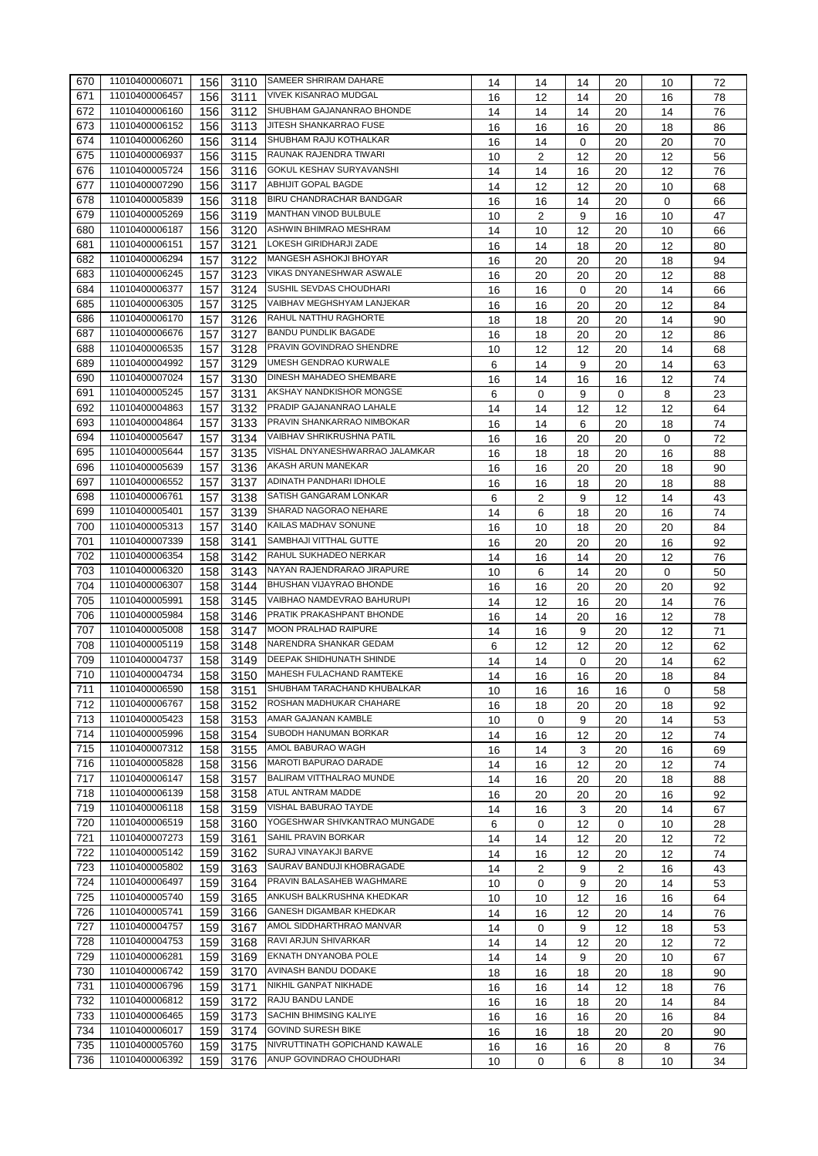| 670 | 11010400006071 | 156 | 3110             | <b>SAMEER SHRIRAM DAHARE</b>    | 14      | 14       | 14      | 20             | 10       | 72       |
|-----|----------------|-----|------------------|---------------------------------|---------|----------|---------|----------------|----------|----------|
| 671 | 11010400006457 | 156 | 3111             | <b>VIVEK KISANRAO MUDGAL</b>    | 16      | 12       | 14      | 20             | 16       | 78       |
| 672 | 11010400006160 | 156 | 3112             | SHUBHAM GAJANANRAO BHONDE       | 14      | 14       | 14      | 20             | 14       | 76       |
| 673 | 11010400006152 | 156 | 3113             | JITESH SHANKARRAO FUSE          | 16      | 16       | 16      | 20             | 18       | 86       |
| 674 | 11010400006260 | 156 | 3114             | SHUBHAM RAJU KOTHALKAR          | 16      | 14       | 0       | 20             | 20       | 70       |
| 675 | 11010400006937 | 156 | 3115             | RAUNAK RAJENDRA TIWARI          | 10      | 2        | 12      | 20             | 12       | 56       |
| 676 | 11010400005724 | 156 | 3116             | GOKUL KESHAV SURYAVANSHI        | 14      | 14       | 16      | 20             | 12       | 76       |
| 677 | 11010400007290 | 156 | 3117             | ABHIJIT GOPAL BAGDE             | 14      | 12       | 12      | 20             | 10       | 68       |
| 678 | 11010400005839 | 156 | 3118             | BIRU CHANDRACHAR BANDGAR        | 16      | 16       | 14      | 20             | 0        | 66       |
| 679 | 11010400005269 | 156 | 3119             | <b>MANTHAN VINOD BULBULE</b>    | 10      | 2        | 9       | 16             | 10       | 47       |
| 680 | 11010400006187 | 156 | 3120             | <b>ASHWIN BHIMRAO MESHRAM</b>   | 14      | 10       | 12      | 20             | 10       | 66       |
| 681 | 11010400006151 | 157 | 3121             | LOKESH GIRIDHARJI ZADE          | 16      | 14       | 18      | 20             | 12       | 80       |
| 682 | 11010400006294 | 157 | 3122             | MANGESH ASHOKJI BHOYAR          | 16      | 20       | 20      | 20             | 18       | 94       |
| 683 | 11010400006245 | 157 | 3123             | VIKAS DNYANESHWAR ASWALE        | 16      | 20       | 20      | 20             | 12       | 88       |
| 684 | 11010400006377 | 157 | 3124             | SUSHIL SEVDAS CHOUDHARI         | 16      | 16       | 0       | 20             | 14       | 66       |
| 685 | 11010400006305 | 157 | 3125             | VAIBHAV MEGHSHYAM LANJEKAR      | 16      | 16       | 20      | 20             | 12       | 84       |
| 686 | 11010400006170 | 157 | 3126             | <b>RAHUL NATTHU RAGHORTE</b>    | 18      | 18       | 20      | 20             | 14       | 90       |
| 687 | 11010400006676 | 157 | 3127             | <b>BANDU PUNDLIK BAGADE</b>     | 16      | 18       | 20      | 20             | 12       | 86       |
| 688 | 11010400006535 | 157 | 3128             | PRAVIN GOVINDRAO SHENDRE        | 10      | 12       | 12      | 20             | 14       | 68       |
| 689 | 11010400004992 | 157 | 3129             | <b>UMESH GENDRAO KURWALE</b>    |         |          |         | 20             |          |          |
| 690 | 11010400007024 | 157 | 3130             | <b>DINESH MAHADEO SHEMBARE</b>  | 6<br>16 | 14       | 9<br>16 | 16             | 14<br>12 | 63<br>74 |
| 691 | 11010400005245 | 157 | 3131             | AKSHAY NANDKISHOR MONGSE        |         | 14       |         |                |          |          |
|     | 11010400004863 |     |                  | PRADIP GAJANANRAO LAHALE        | 6       | 0        | 9       | 0              | 8        | 23       |
| 692 |                | 157 | 3132             | PRAVIN SHANKARRAO NIMBOKAR      | 14      | 14       | 12      | 12             | 12       | 64       |
| 693 | 11010400004864 | 157 | 3133             | VAIBHAV SHRIKRUSHNA PATIL       | 16      | 14       | 6       | 20             | 18       | 74       |
| 694 | 11010400005647 | 157 | 3134             |                                 | 16      | 16       | 20      | 20             | 0        | 72       |
| 695 | 11010400005644 | 157 | 3135             | VISHAL DNYANESHWARRAO JALAMKAR  | 16      | 18       | 18      | 20             | 16       | 88       |
| 696 | 11010400005639 | 157 | 3136             | AKASH ARUN MANEKAR              | 16      | 16       | 20      | 20             | 18       | 90       |
| 697 | 11010400006552 | 157 | 3137             | ADINATH PANDHARI IDHOLE         | 16      | 16       | 18      | 20             | 18       | 88       |
| 698 | 11010400006761 | 157 | 3138             | SATISH GANGARAM LONKAR          | 6       | 2        | 9       | 12             | 14       | 43       |
| 699 | 11010400005401 | 157 | 3139             | SHARAD NAGORAO NEHARE           | 14      | 6        | 18      | 20             | 16       | 74       |
| 700 | 11010400005313 | 157 | 3140             | KAILAS MADHAV SONUNE            | 16      | 10       | 18      | 20             | 20       | 84       |
| 701 | 11010400007339 | 158 | 3141             | SAMBHAJI VITTHAL GUTTE          | 16      | 20       | 20      | 20             | 16       | 92       |
| 702 | 11010400006354 | 158 | 3142             | RAHUL SUKHADEO NERKAR           | 14      | 16       | 14      | 20             | 12       | 76       |
| 703 | 11010400006320 | 158 | 3143             | NAYAN RAJENDRARAO JIRAPURE      | 10      | 6        | 14      | 20             | 0        | 50       |
| 704 | 11010400006307 | 158 | 3144             | BHUSHAN VIJAYRAO BHONDE         | 16      | 16       | 20      | 20             | 20       | 92       |
| 705 | 11010400005991 | 158 | 3145             | VAIBHAO NAMDEVRAO BAHURUPI      | 14      | 12       | 16      | 20             | 14       | 76       |
| 706 | 11010400005984 | 158 | 3146             | PRATIK PRAKASHPANT BHONDE       | 16      | 14       | 20      | 16             | 12       | 78       |
| 707 | 11010400005008 | 158 | 3147             | <b>MOON PRALHAD RAIPURE</b>     | 14      | 16       | 9       | 20             | 12       | 71       |
| 708 | 11010400005119 | 158 | 3148             | NARENDRA SHANKAR GEDAM          | 6       | 12       | 12      | 20             | 12       | 62       |
| 709 | 11010400004737 | 158 | 3149             | DEEPAK SHIDHUNATH SHINDE        | 14      | 14       | 0       | 20             | 14       | 62       |
| 710 | 11010400004734 | 158 | 3150             | MAHESH FULACHAND RAMTEKE        | 14      | 16       | 16      | 20             | 18       | 84       |
| 711 | 11010400006590 | 158 | $\frac{1}{3151}$ | SHUBHAM TARACHAND KHUBALKAR     | 10      | 16       | 16      | 16             | 0        | 58       |
| 712 | 11010400006767 | 158 | 3152             | ROSHAN MADHUKAR CHAHARE         | 16      | 18       | 20      | 20             | 18       | 92       |
| 713 | 11010400005423 | 158 | 3153             | AMAR GAJANAN KAMBLE             | 10      | 0        | 9       | 20             | 14       | 53       |
| 714 | 11010400005996 | 158 | 3154             | SUBODH HANUMAN BORKAR           | 14      | 16       | 12      | 20             | 12       | 74       |
| 715 | 11010400007312 | 158 | 3155             | AMOL BABURAO WAGH               | 16      | 14       |         | 20             |          | 69       |
| 716 | 11010400005828 | 158 | 3156             | <b>MAROTI BAPURAO DARADE</b>    |         |          | 3<br>12 |                | 16       |          |
| 717 | 11010400006147 | 158 | 3157             | <b>BALIRAM VITTHALRAO MUNDE</b> | 14      | 16       |         | 20             | 12       | 74       |
| 718 | 11010400006139 | 158 | 3158             | ATUL ANTRAM MADDE               | 14      | 16       | 20      | 20             | 18       | 88       |
| 719 | 11010400006118 | 158 | 3159             | VISHAL BABURAO TAYDE            | 16      | 20       | 20      | 20             | 16       | 92       |
|     |                |     |                  | YOGESHWAR SHIVKANTRAO MUNGADE   | 14      | 16       | 3       | 20             | 14       | 67       |
| 720 | 11010400006519 | 158 | 3160             | SAHIL PRAVIN BORKAR             | 6       | 0        | 12      | 0              | 10       | 28       |
| 721 | 11010400007273 | 159 | 3161             |                                 | 14      | 14       | 12      | 20             | 12       | 72       |
| 722 | 11010400005142 | 159 | 3162             | SURAJ VINAYAKJI BARVE           | 14      | 16       | 12      | 20             | 12       | 74       |
| 723 | 11010400005802 | 159 | 3163             | SAURAV BANDUJI KHOBRAGADE       | 14      | 2        | 9       | $\overline{2}$ | 16       | 43       |
| 724 | 11010400006497 | 159 | 3164             | PRAVIN BALASAHEB WAGHMARE       | 10      | 0        | 9       | 20             | 14       | 53       |
| 725 | 11010400005740 | 159 | 3165             | ANKUSH BALKRUSHNA KHEDKAR       | 10      | 10       | 12      | 16             | 16       | 64       |
| 726 | 11010400005741 | 159 | 3166             | GANESH DIGAMBAR KHEDKAR         | 14      | 16       | 12      | 20             | 14       | 76       |
| 727 | 11010400004757 | 159 | 3167             | AMOL SIDDHARTHRAO MANVAR        | 14      | $\Omega$ | 9       | 12             | 18       | 53       |
| 728 | 11010400004753 | 159 | 3168             | RAVI ARJUN SHIVARKAR            | 14      | 14       | 12      | 20             | 12       | 72       |
| 729 | 11010400006281 | 159 | 3169             | EKNATH DNYANOBA POLE            | 14      | 14       | 9       | 20             | 10       | 67       |
| 730 | 11010400006742 | 159 | 3170             | AVINASH BANDU DODAKE            | 18      | 16       | 18      | 20             | 18       | 90       |
| 731 | 11010400006796 | 159 | 3171             | NIKHIL GANPAT NIKHADE           | 16      | 16       | 14      | 12             | 18       | 76       |
| 732 | 11010400006812 | 159 | 3172             | RAJU BANDU LANDE                | 16      | 16       | 18      | 20             | 14       | 84       |
| 733 | 11010400006465 | 159 | 3173             | SACHIN BHIMSING KALIYE          | 16      | 16       | 16      | 20             | 16       | 84       |
| 734 | 11010400006017 | 159 | 3174             | <b>GOVIND SURESH BIKE</b>       | 16      | 16       | 18      | 20             | 20       | 90       |
| 735 | 11010400005760 | 159 | 3175             | NIVRUTTINATH GOPICHAND KAWALE   | 16      | 16       | 16      | 20             | 8        | 76       |
| 736 | 11010400006392 | 159 | 3176             | ANUP GOVINDRAO CHOUDHARI        | 10      | 0        | 6       | 8              | 10       | 34       |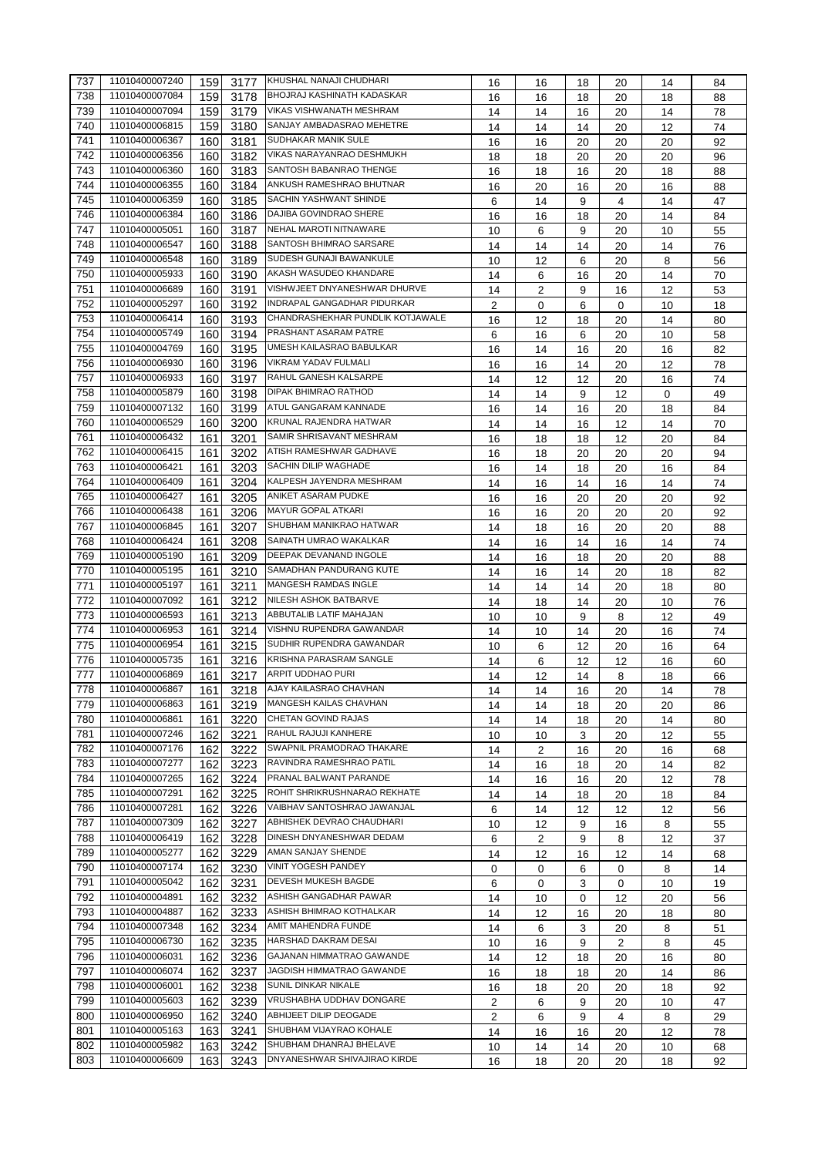| 737 | 11010400007240 | 159 | 3177 | KHUSHAL NANAJI CHUDHARI          | 16             | 16             | 18 | 20             | 14 | 84 |
|-----|----------------|-----|------|----------------------------------|----------------|----------------|----|----------------|----|----|
| 738 | 11010400007084 | 159 | 3178 | BHOJRAJ KASHINATH KADASKAR       | 16             | 16             | 18 | 20             | 18 | 88 |
| 739 | 11010400007094 | 159 | 3179 | VIKAS VISHWANATH MESHRAM         | 14             | 14             | 16 | 20             | 14 | 78 |
| 740 | 11010400006815 | 159 | 3180 | SANJAY AMBADASRAO MEHETRE        | 14             | 14             | 14 | 20             | 12 | 74 |
| 741 | 11010400006367 | 160 | 3181 | SUDHAKAR MANIK SULE              | 16             | 16             | 20 | 20             | 20 | 92 |
| 742 | 11010400006356 | 160 | 3182 | VIKAS NARAYANRAO DESHMUKH        | 18             | 18             | 20 | 20             | 20 | 96 |
| 743 | 11010400006360 | 160 | 3183 | SANTOSH BABANRAO THENGE          | 16             | 18             | 16 | 20             | 18 | 88 |
| 744 | 11010400006355 | 160 | 3184 | ANKUSH RAMESHRAO BHUTNAR         | 16             | 20             | 16 | 20             | 16 | 88 |
| 745 | 11010400006359 |     |      | SACHIN YASHWANT SHINDE           |                |                |    |                |    |    |
| 746 | 11010400006384 | 160 | 3185 | DAJIBA GOVINDRAO SHERE           | 6              | 14             | 9  | 4              | 14 | 47 |
| 747 | 11010400005051 | 160 | 3186 | NEHAL MAROTI NITNAWARE           | 16             | 16             | 18 | 20             | 14 | 84 |
|     |                | 160 | 3187 |                                  | 10             | 6              | 9  | 20             | 10 | 55 |
| 748 | 11010400006547 | 160 | 3188 | SANTOSH BHIMRAO SARSARE          | 14             | 14             | 14 | 20             | 14 | 76 |
| 749 | 11010400006548 | 160 | 3189 | SUDESH GUNAJI BAWANKULE          | 10             | 12             | 6  | 20             | 8  | 56 |
| 750 | 11010400005933 | 160 | 3190 | AKASH WASUDEO KHANDARE           | 14             | 6              | 16 | 20             | 14 | 70 |
| 751 | 11010400006689 | 160 | 3191 | VISHWJEET DNYANESHWAR DHURVE     | 14             | 2              | 9  | 16             | 12 | 53 |
| 752 | 11010400005297 | 160 | 3192 | INDRAPAL GANGADHAR PIDURKAR      | 2              | 0              | 6  | 0              | 10 | 18 |
| 753 | 11010400006414 | 160 | 3193 | CHANDRASHEKHAR PUNDLIK KOTJAWALE | 16             | 12             | 18 | 20             | 14 | 80 |
| 754 | 11010400005749 | 160 | 3194 | PRASHANT ASARAM PATRE            | 6              | 16             | 6  | 20             | 10 | 58 |
| 755 | 11010400004769 | 160 | 3195 | UMESH KAILASRAO BABULKAR         | 16             | 14             | 16 | 20             | 16 | 82 |
| 756 | 11010400006930 | 160 | 3196 | VIKRAM YADAV FULMALI             | 16             | 16             | 14 | 20             | 12 | 78 |
| 757 | 11010400006933 | 160 | 3197 | RAHUL GANESH KALSARPE            | 14             | 12             | 12 | 20             | 16 | 74 |
| 758 | 11010400005879 | 160 | 3198 | DIPAK BHIMRAO RATHOD             | 14             | 14             | 9  | 12             | 0  | 49 |
| 759 | 11010400007132 | 160 | 3199 | ATUL GANGARAM KANNADE            | 16             | 14             | 16 | 20             | 18 | 84 |
| 760 | 11010400006529 | 160 | 3200 | KRUNAL RAJENDRA HATWAR           | 14             | 14             | 16 | 12             | 14 | 70 |
| 761 | 11010400006432 | 161 | 3201 | SAMIR SHRISAVANT MESHRAM         |                |                |    |                |    |    |
| 762 | 11010400006415 |     |      | ATISH RAMESHWAR GADHAVE          | 16             | 18             | 18 | 12             | 20 | 84 |
|     |                | 161 | 3202 | SACHIN DILIP WAGHADE             | 16             | 18             | 20 | 20             | 20 | 94 |
| 763 | 11010400006421 | 161 | 3203 |                                  | 16             | 14             | 18 | 20             | 16 | 84 |
| 764 | 11010400006409 | 161 | 3204 | KALPESH JAYENDRA MESHRAM         | 14             | 16             | 14 | 16             | 14 | 74 |
| 765 | 11010400006427 | 161 | 3205 | ANIKET ASARAM PUDKE              | 16             | 16             | 20 | 20             | 20 | 92 |
| 766 | 11010400006438 | 161 | 3206 | MAYUR GOPAL ATKARI               | 16             | 16             | 20 | 20             | 20 | 92 |
| 767 | 11010400006845 | 161 | 3207 | SHUBHAM MANIKRAO HATWAR          | 14             | 18             | 16 | 20             | 20 | 88 |
| 768 | 11010400006424 | 161 | 3208 | SAINATH UMRAO WAKALKAR           | 14             | 16             | 14 | 16             | 14 | 74 |
| 769 | 11010400005190 | 161 | 3209 | DEEPAK DEVANAND INGOLE           | 14             | 16             | 18 | 20             | 20 | 88 |
| 770 | 11010400005195 | 161 | 3210 | SAMADHAN PANDURANG KUTE          | 14             | 16             | 14 | 20             | 18 | 82 |
| 771 | 11010400005197 | 161 | 3211 | MANGESH RAMDAS INGLE             | 14             | 14             | 14 | 20             | 18 | 80 |
| 772 | 11010400007092 | 161 | 3212 | NILESH ASHOK BATBARVE            | 14             | 18             | 14 | 20             | 10 | 76 |
| 773 | 11010400006593 | 161 | 3213 | ABBUTALIB LATIF MAHAJAN          | 10             | 10             | 9  | 8              | 12 | 49 |
| 774 | 11010400006953 | 161 | 3214 | VISHNU RUPENDRA GAWANDAR         | 14             | 10             | 14 | 20             | 16 | 74 |
| 775 | 11010400006954 | 161 | 3215 | SUDHIR RUPENDRA GAWANDAR         | 10             | 6              | 12 | 20             | 16 | 64 |
| 776 | 11010400005735 | 161 | 3216 | KRISHNA PARASRAM SANGLE          | 14             | 6              | 12 | 12             | 16 | 60 |
| 777 | 11010400006869 | 161 | 3217 | ARPIT UDDHAO PURI                | 14             | 12             | 14 | 8              | 18 | 66 |
| 778 | 11010400006867 | 161 |      | 3218 AJAY KAILASRAO CHAVHAN      | 14             | 14             | 16 | $20\,$         | 14 | 78 |
| 779 | 11010400006863 | 161 | 3219 | MANGESH KAILAS CHAVHAN           |                |                |    |                |    |    |
| 780 | 11010400006861 |     |      | CHETAN GOVIND RAJAS              | 14             | 14             | 18 | 20             | 20 | 86 |
|     | 11010400007246 | 161 | 3220 | RAHUL RAJUJI KANHERE             | 14             | 14             | 18 | 20             | 14 | 80 |
| 781 | 11010400007176 | 162 | 3221 | SWAPNIL PRAMODRAO THAKARE        | 10             | 10             | 3  | 20             | 12 | 55 |
| 782 |                | 162 | 3222 |                                  | 14             | 2              | 16 | 20             | 16 | 68 |
| 783 | 11010400007277 | 162 | 3223 | RAVINDRA RAMESHRAO PATIL         | 14             | 16             | 18 | 20             | 14 | 82 |
| 784 | 11010400007265 | 162 | 3224 | PRANAL BALWANT PARANDE           | 14             | 16             | 16 | 20             | 12 | 78 |
| 785 | 11010400007291 | 162 | 3225 | ROHIT SHRIKRUSHNARAO REKHATE     | 14             | 14             | 18 | 20             | 18 | 84 |
| 786 | 11010400007281 | 162 | 3226 | VAIBHAV SANTOSHRAO JAWANJAL      | 6              | 14             | 12 | 12             | 12 | 56 |
| 787 | 11010400007309 | 162 | 3227 | ABHISHEK DEVRAO CHAUDHARI        | 10             | 12             | 9  | 16             | 8  | 55 |
| 788 | 11010400006419 | 162 | 3228 | DINESH DNYANESHWAR DEDAM         | 6              | $\overline{2}$ | 9  | 8              | 12 | 37 |
| 789 | 11010400005277 | 162 | 3229 | AMAN SANJAY SHENDE               | 14             | 12             | 16 | 12             | 14 | 68 |
| 790 | 11010400007174 | 162 | 3230 | VINIT YOGESH PANDEY              | 0              | 0              | 6  | 0              | 8  | 14 |
| 791 | 11010400005042 | 162 | 3231 | DEVESH MUKESH BAGDE              | 6              | 0              | 3  | 0              | 10 | 19 |
| 792 | 11010400004891 | 162 | 3232 | ASHISH GANGADHAR PAWAR           | 14             | 10             | 0  | 12             | 20 | 56 |
| 793 | 11010400004887 | 162 | 3233 | ASHISH BHIMRAO KOTHALKAR         | 14             | 12             | 16 | 20             | 18 | 80 |
| 794 | 11010400007348 | 162 | 3234 | AMIT MAHENDRA FUNDE              | 14             | 6              | 3  | 20             | 8  | 51 |
| 795 | 11010400006730 | 162 | 3235 | HARSHAD DAKRAM DESAI             | 10             | 16             | 9  | $\overline{2}$ | 8  | 45 |
| 796 | 11010400006031 | 162 | 3236 | GAJANAN HIMMATRAO GAWANDE        | 14             | 12             | 18 | 20             | 16 | 80 |
| 797 | 11010400006074 | 162 | 3237 | JAGDISH HIMMATRAO GAWANDE        | 16             | 18             | 18 | 20             | 14 | 86 |
| 798 | 11010400006001 | 162 | 3238 | SUNIL DINKAR NIKALE              |                |                |    |                |    |    |
| 799 | 11010400005603 |     |      | VRUSHABHA UDDHAV DONGARE         | 16             | 18             | 20 | 20             | 18 | 92 |
|     |                | 162 | 3239 | ABHIJEET DILIP DEOGADE           | 2              | 6              | 9  | 20             | 10 | 47 |
| 800 | 11010400006950 | 162 | 3240 |                                  | $\overline{2}$ | 6              | 9  | 4              | 8  | 29 |
| 801 | 11010400005163 | 163 | 3241 | SHUBHAM VIJAYRAO KOHALE          | 14             | 16             | 16 | 20             | 12 | 78 |
| 802 | 11010400005982 | 163 | 3242 | SHUBHAM DHANRAJ BHELAVE          | 10             | 14             | 14 | 20             | 10 | 68 |
| 803 | 11010400006609 | 163 | 3243 | DNYANESHWAR SHIVAJIRAO KIRDE     | 16             | 18             | 20 | 20             | 18 | 92 |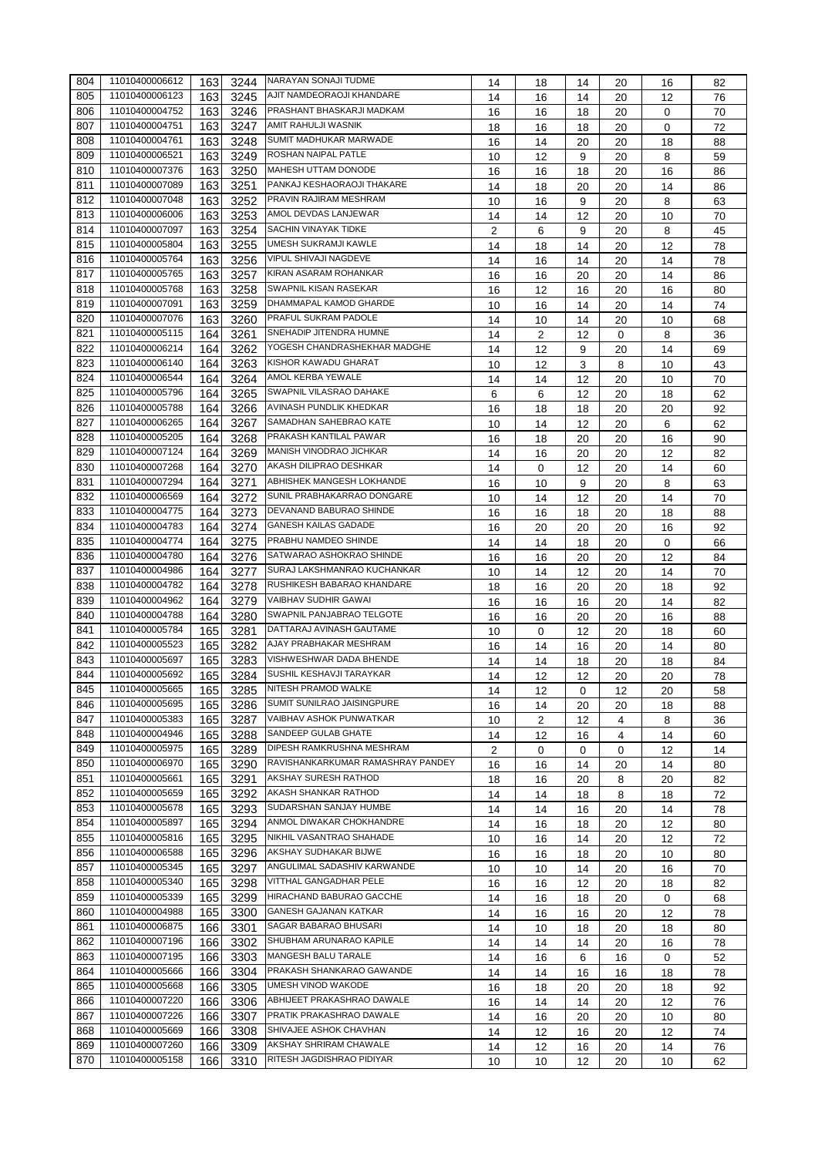| 804 | 11010400006612 | 163 | 3244         | NARAYAN SONAJI TUDME              | 14      | 18       | 14          | 20       | 16 | 82       |
|-----|----------------|-----|--------------|-----------------------------------|---------|----------|-------------|----------|----|----------|
| 805 | 11010400006123 | 163 | 3245         | <b>AJIT NAMDEORAOJI KHANDARE</b>  | 14      | 16       | 14          | 20       | 12 | 76       |
| 806 | 11010400004752 | 163 | 3246         | PRASHANT BHASKARJI MADKAM         | 16      | 16       | 18          | 20       | 0  | 70       |
| 807 | 11010400004751 | 163 | 3247         | AMIT RAHULJI WASNIK               | 18      | 16       | 18          | 20       | 0  | 72       |
| 808 | 11010400004761 | 163 | 3248         | SUMIT MADHUKAR MARWADE            | 16      | 14       | 20          | 20       | 18 | 88       |
| 809 | 11010400006521 | 163 | 3249         | ROSHAN NAIPAL PATLE               | 10      | 12       | 9           | 20       | 8  | 59       |
| 810 | 11010400007376 | 163 | 3250         | <b>MAHESH UTTAM DONODE</b>        | 16      | 16       | 18          | 20       | 16 | 86       |
| 811 | 11010400007089 | 163 | 3251         | PANKAJ KESHAORAOJI THAKARE        | 14      | 18       | 20          | 20       | 14 | 86       |
| 812 | 11010400007048 | 163 | 3252         | PRAVIN RAJIRAM MESHRAM            | 10      | 16       | 9           | 20       | 8  | 63       |
| 813 | 11010400006006 | 163 | 3253         | AMOL DEVDAS LANJEWAR              | 14      | 14       | 12          | 20       | 10 | 70       |
| 814 | 11010400007097 | 163 | 3254         | SACHIN VINAYAK TIDKE              |         |          |             |          |    |          |
| 815 | 11010400005804 | 163 | 3255         | UMESH SUKRAMJI KAWLE              | 2<br>14 | 6        | 9           | 20<br>20 | 8  | 45<br>78 |
| 816 | 11010400005764 | 163 |              | VIPUL SHIVAJI NAGDEVE             |         | 18       | 14          |          | 12 |          |
| 817 | 11010400005765 | 163 | 3256<br>3257 | KIRAN ASARAM ROHANKAR             | 14      | 16       | 14          | 20       | 14 | 78       |
| 818 | 11010400005768 | 163 |              | SWAPNIL KISAN RASEKAR             | 16      | 16       | 20          | 20       | 14 | 86       |
| 819 | 11010400007091 | 163 | 3258<br>3259 | DHAMMAPAL KAMOD GHARDE            | 16      | 12       | 16          | 20       | 16 | 80       |
| 820 | 11010400007076 |     |              | PRAFUL SUKRAM PADOLE              | 10      | 16       | 14          | 20       | 14 | 74       |
|     | 11010400005115 | 163 | 3260         | SNEHADIP JITENDRA HUMNE           | 14      | 10       | 14          | 20       | 10 | 68       |
| 821 |                | 164 | 3261         | YOGESH CHANDRASHEKHAR MADGHE      | 14      | 2        | 12          | 0        | 8  | 36       |
| 822 | 11010400006214 | 164 | 3262         | KISHOR KAWADU GHARAT              | 14      | 12       | 9           | 20       | 14 | 69       |
| 823 | 11010400006140 | 164 | 3263         |                                   | 10      | 12       | 3           | 8        | 10 | 43       |
| 824 | 11010400006544 | 164 | 3264         | AMOL KERBA YEWALE                 | 14      | 14       | 12          | 20       | 10 | 70       |
| 825 | 11010400005796 | 164 | 3265         | SWAPNIL VILASRAO DAHAKE           | 6       | 6        | 12          | 20       | 18 | 62       |
| 826 | 11010400005788 | 164 | 3266         | AVINASH PUNDLIK KHEDKAR           | 16      | 18       | 18          | 20       | 20 | 92       |
| 827 | 11010400006265 | 164 | 3267         | SAMADHAN SAHEBRAO KATE            | 10      | 14       | 12          | 20       | 6  | 62       |
| 828 | 11010400005205 | 164 | 3268         | PRAKASH KANTILAL PAWAR            | 16      | 18       | 20          | 20       | 16 | 90       |
| 829 | 11010400007124 | 164 | 3269         | MANISH VINODRAO JICHKAR           | 14      | 16       | 20          | 20       | 12 | 82       |
| 830 | 11010400007268 | 164 | 3270         | AKASH DILIPRAO DESHKAR            | 14      | $\Omega$ | 12          | 20       | 14 | 60       |
| 831 | 11010400007294 | 164 | 3271         | ABHISHEK MANGESH LOKHANDE         | 16      | 10       | 9           | 20       | 8  | 63       |
| 832 | 11010400006569 | 164 | 3272         | SUNIL PRABHAKARRAO DONGARE        | 10      | 14       | 12          | 20       | 14 | 70       |
| 833 | 11010400004775 | 164 | 3273         | DEVANAND BABURAO SHINDE           | 16      | 16       | 18          | 20       | 18 | 88       |
| 834 | 11010400004783 | 164 | 3274         | <b>GANESH KAILAS GADADE</b>       | 16      | 20       | 20          | 20       | 16 | 92       |
| 835 | 11010400004774 | 164 | 3275         | PRABHU NAMDEO SHINDE              | 14      | 14       | 18          | 20       | 0  | 66       |
| 836 | 11010400004780 | 164 | 3276         | SATWARAO ASHOKRAO SHINDE          | 16      | 16       | 20          | 20       | 12 | 84       |
| 837 | 11010400004986 | 164 | 3277         | SURAJ LAKSHMANRAO KUCHANKAR       | 10      | 14       | 12          | 20       | 14 | 70       |
| 838 | 11010400004782 | 164 | 3278         | RUSHIKESH BABARAO KHANDARE        | 18      | 16       | 20          | 20       | 18 | 92       |
| 839 | 11010400004962 | 164 | 3279         | <b>VAIBHAV SUDHIR GAWAI</b>       | 16      | 16       | 16          | 20       | 14 | 82       |
| 840 | 11010400004788 | 164 | 3280         | SWAPNIL PANJABRAO TELGOTE         | 16      | 16       | 20          | 20       | 16 | 88       |
| 841 | 11010400005784 | 165 | 3281         | DATTARAJ AVINASH GAUTAME          | 10      | 0        | 12          | 20       | 18 | 60       |
| 842 | 11010400005523 | 165 | 3282         | AJAY PRABHAKAR MESHRAM            | 16      | 14       | 16          | 20       | 14 | 80       |
| 843 | 11010400005697 | 165 | 3283         | VISHWESHWAR DADA BHENDE           | 14      | 14       | 18          | 20       | 18 | 84       |
| 844 | 11010400005692 | 165 | 3284         | <b>SUSHIL KESHAVJI TARAYKAR</b>   | 14      | 12       | 12          | 20       | 20 | 78       |
| 845 | 11010400005665 | 165 |              | 3285 NITESH PRAMOD WALKE          | 14      | 12       | $\mathbf 0$ | 12       | 20 | 58       |
| 846 | 11010400005695 | 165 | 3286         | SUMIT SUNILRAO JAISINGPURE        | 16      | 14       | 20          | 20       | 18 | 88       |
| 847 | 11010400005383 | 165 | 3287         | VAIBHAV ASHOK PUNWATKAR           | 10      | 2        | 12          | 4        | 8  | 36       |
| 848 | 11010400004946 | 165 | 3288         | SANDEEP GULAB GHATE               | 14      | 12       | 16          | 4        | 14 | 60       |
| 849 | 11010400005975 | 165 | 3289         | DIPESH RAMKRUSHNA MESHRAM         | 2       | 0        | 0           | 0        | 12 | 14       |
| 850 | 11010400006970 | 165 | 3290         | RAVISHANKARKUMAR RAMASHRAY PANDEY | 16      | 16       | 14          | 20       | 14 | 80       |
| 851 | 11010400005661 | 165 | 3291         | AKSHAY SURESH RATHOD              | 18      | 16       | 20          | 8        | 20 | 82       |
| 852 | 11010400005659 | 165 | 3292         | AKASH SHANKAR RATHOD              | 14      | 14       | 18          | 8        | 18 | 72       |
| 853 | 11010400005678 | 165 | 3293         | SUDARSHAN SANJAY HUMBE            | 14      | 14       | 16          | 20       | 14 | 78       |
| 854 | 11010400005897 | 165 | 3294         | ANMOL DIWAKAR CHOKHANDRE          | 14      | 16       | 18          | 20       | 12 | 80       |
| 855 | 11010400005816 | 165 | 3295         | NIKHIL VASANTRAO SHAHADE          | 10      | 16       | 14          | 20       | 12 | 72       |
| 856 | 11010400006588 | 165 | 3296         | AKSHAY SUDHAKAR BIJWE             | 16      | 16       | 18          | 20       | 10 | 80       |
| 857 | 11010400005345 | 165 | 3297         | ANGULIMAL SADASHIV KARWANDE       | 10      | 10       | 14          | 20       | 16 | 70       |
| 858 | 11010400005340 | 165 | 3298         | VITTHAL GANGADHAR PELE            | 16      | 16       | 12          | 20       | 18 | 82       |
| 859 | 11010400005339 | 165 | 3299         | HIRACHAND BABURAO GACCHE          | 14      | 16       | 18          | 20       | 0  | 68       |
| 860 | 11010400004988 | 165 | 3300         | <b>GANESH GAJANAN KATKAR</b>      | 14      | 16       | 16          | 20       | 12 | 78       |
| 861 | 11010400006875 | 166 | 3301         | SAGAR BABARAO BHUSARI             | 14      | 10       | 18          | 20       | 18 | 80       |
| 862 | 11010400007196 | 166 | 3302         | SHUBHAM ARUNARAO KAPILE           | 14      | 14       | 14          | 20       | 16 | 78       |
| 863 | 11010400007195 | 166 | 3303         | MANGESH BALU TARALE               | 14      | 16       | 6           | 16       | 0  | 52       |
| 864 | 11010400005666 | 166 | 3304         | PRAKASH SHANKARAO GAWANDE         | 14      | 14       | 16          | 16       | 18 | 78       |
| 865 | 11010400005668 | 166 | 3305         | UMESH VINOD WAKODE                | 16      | 18       | 20          | 20       | 18 | 92       |
| 866 | 11010400007220 | 166 | 3306         | ABHIJEET PRAKASHRAO DAWALE        | 16      | 14       | 14          | 20       | 12 | 76       |
| 867 | 11010400007226 | 166 | 3307         | PRATIK PRAKASHRAO DAWALE          | 14      | 16       | 20          | 20       | 10 | 80       |
| 868 | 11010400005669 | 166 | 3308         | SHIVAJEE ASHOK CHAVHAN            | 14      | 12       | 16          | 20       | 12 | 74       |
| 869 | 11010400007260 | 166 | 3309         | AKSHAY SHRIRAM CHAWALE            | 14      | 12       | 16          | 20       | 14 | 76       |
| 870 | 11010400005158 | 166 | 3310         | RITESH JAGDISHRAO PIDIYAR         | 10      | 10       | 12          | 20       | 10 | 62       |
|     |                |     |              |                                   |         |          |             |          |    |          |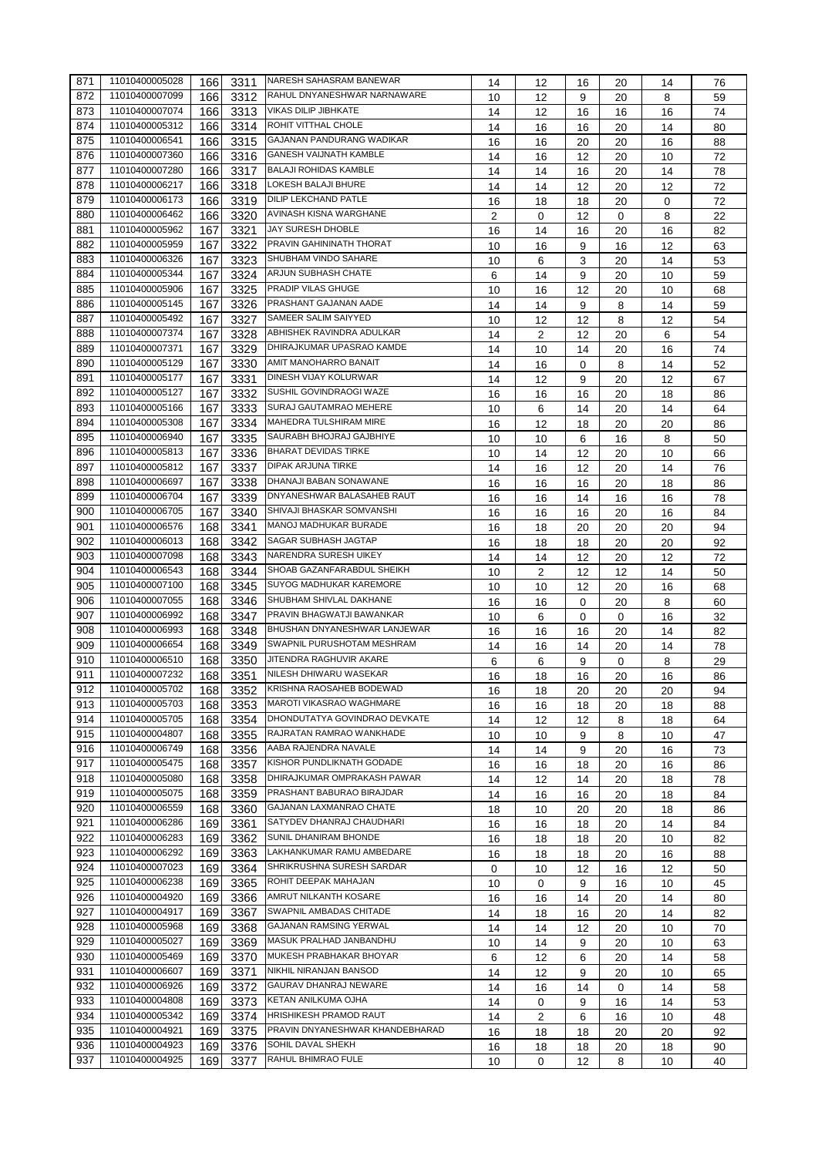| 871 | 11010400005028 | 166 | 3311 | NARESH SAHASRAM BANEWAR         | 14 | 12             | 16      | 20 | 14     | 76 |
|-----|----------------|-----|------|---------------------------------|----|----------------|---------|----|--------|----|
| 872 | 11010400007099 | 166 | 3312 | RAHUL DNYANESHWAR NARNAWARE     | 10 | 12             | 9       | 20 | 8      | 59 |
| 873 | 11010400007074 | 166 | 3313 | VIKAS DILIP JIBHKATE            | 14 | 12             | 16      | 16 | 16     | 74 |
| 874 | 11010400005312 | 166 | 3314 | ROHIT VITTHAL CHOLE             | 14 | 16             | 16      | 20 | 14     | 80 |
| 875 | 11010400006541 | 166 | 3315 | GAJANAN PANDURANG WADIKAR       | 16 | 16             | 20      | 20 | 16     | 88 |
| 876 | 11010400007360 | 166 | 3316 | <b>GANESH VAIJNATH KAMBLE</b>   | 14 | 16             | 12      | 20 | 10     | 72 |
| 877 | 11010400007280 | 166 | 3317 | <b>BALAJI ROHIDAS KAMBLE</b>    | 14 | 14             | 16      | 20 | 14     | 78 |
| 878 | 11010400006217 | 166 | 3318 | LOKESH BALAJI BHURE             | 14 | 14             | 12      | 20 | 12     | 72 |
| 879 | 11010400006173 | 166 | 3319 | <b>DILIP LEKCHAND PATLE</b>     | 16 | 18             | 18      | 20 | 0      | 72 |
| 880 | 11010400006462 | 166 | 3320 | AVINASH KISNA WARGHANE          | 2  | 0              | 12      | 0  | 8      | 22 |
| 881 | 11010400005962 | 167 | 3321 | <b>JAY SURESH DHOBLE</b>        |    |                |         |    |        |    |
| 882 | 11010400005959 | 167 | 3322 | PRAVIN GAHININATH THORAT        | 16 | 14             | 16<br>9 | 20 | 16     | 82 |
| 883 | 11010400006326 |     |      | SHUBHAM VINDO SAHARE            | 10 | 16             |         | 16 | 12     | 63 |
|     | 11010400005344 | 167 | 3323 | ARJUN SUBHASH CHATE             | 10 | 6              | 3       | 20 | 14     | 53 |
| 884 |                | 167 | 3324 | PRADIP VILAS GHUGE              | 6  | 14             | 9       | 20 | 10     | 59 |
| 885 | 11010400005906 | 167 | 3325 |                                 | 10 | 16             | 12      | 20 | 10     | 68 |
| 886 | 11010400005145 | 167 | 3326 | PRASHANT GAJANAN AADE           | 14 | 14             | 9       | 8  | 14     | 59 |
| 887 | 11010400005492 | 167 | 3327 | SAMEER SALIM SAIYYED            | 10 | 12             | 12      | 8  | 12     | 54 |
| 888 | 11010400007374 | 167 | 3328 | ABHISHEK RAVINDRA ADULKAR       | 14 | 2              | 12      | 20 | 6      | 54 |
| 889 | 11010400007371 | 167 | 3329 | DHIRAJKUMAR UPASRAO KAMDE       | 14 | 10             | 14      | 20 | 16     | 74 |
| 890 | 11010400005129 | 167 | 3330 | AMIT MANOHARRO BANAIT           | 14 | 16             | 0       | 8  | 14     | 52 |
| 891 | 11010400005177 | 167 | 3331 | DINESH VIJAY KOLURWAR           | 14 | 12             | 9       | 20 | 12     | 67 |
| 892 | 11010400005127 | 167 | 3332 | SUSHIL GOVINDRAOGI WAZE         | 16 | 16             | 16      | 20 | 18     | 86 |
| 893 | 11010400005166 | 167 | 3333 | SURAJ GAUTAMRAO MEHERE          | 10 | 6              | 14      | 20 | 14     | 64 |
| 894 | 11010400005308 | 167 | 3334 | <b>MAHEDRA TULSHIRAM MIRE</b>   | 16 | 12             | 18      | 20 | 20     | 86 |
| 895 | 11010400006940 | 167 | 3335 | SAURABH BHOJRAJ GAJBHIYE        | 10 | 10             | 6       | 16 | 8      | 50 |
| 896 | 11010400005813 | 167 | 3336 | <b>BHARAT DEVIDAS TIRKE</b>     | 10 | 14             | 12      | 20 | 10     | 66 |
| 897 | 11010400005812 | 167 | 3337 | <b>DIPAK ARJUNA TIRKE</b>       | 14 | 16             | 12      | 20 | 14     | 76 |
| 898 | 11010400006697 | 167 | 3338 | DHANAJI BABAN SONAWANE          | 16 | 16             | 16      | 20 | 18     | 86 |
| 899 | 11010400006704 | 167 | 3339 | DNYANESHWAR BALASAHEB RAUT      | 16 | 16             | 14      | 16 | 16     | 78 |
| 900 | 11010400006705 | 167 | 3340 | SHIVAJI BHASKAR SOMVANSHI       | 16 | 16             | 16      | 20 | 16     | 84 |
| 901 | 11010400006576 | 168 | 3341 | MANOJ MADHUKAR BURADE           | 16 | 18             | 20      | 20 | 20     | 94 |
| 902 | 11010400006013 | 168 | 3342 | SAGAR SUBHASH JAGTAP            | 16 | 18             | 18      | 20 | 20     | 92 |
| 903 | 11010400007098 | 168 | 3343 | NARENDRA SURESH UIKEY           | 14 | 14             | 12      | 20 | 12     | 72 |
| 904 | 11010400006543 | 168 | 3344 | SHOAB GAZANFARABDUL SHEIKH      | 10 | $\overline{2}$ | 12      | 12 | 14     | 50 |
| 905 | 11010400007100 | 168 | 3345 | SUYOG MADHUKAR KAREMORE         | 10 | 10             | 12      | 20 | 16     | 68 |
| 906 | 11010400007055 | 168 | 3346 | SHUBHAM SHIVLAL DAKHANE         |    |                | 0       | 20 |        | 60 |
| 907 | 11010400006992 | 168 | 3347 | PRAVIN BHAGWATJI BAWANKAR       | 16 | 16             |         |    | 8      |    |
| 908 | 11010400006993 | 168 |      | BHUSHAN DNYANESHWAR LANJEWAR    | 10 | 6              | 0       | 0  | 16     | 32 |
| 909 | 11010400006654 |     | 3348 | SWAPNIL PURUSHOTAM MESHRAM      | 16 | 16             | 16      | 20 | 14     | 82 |
|     | 11010400006510 | 168 | 3349 | JITENDRA RAGHUVIR AKARE         | 14 | 16             | 14      | 20 | 14     | 78 |
| 910 |                | 168 | 3350 | NILESH DHIWARU WASEKAR          | 6  | 6              | 9       | 0  | 8      | 29 |
| 911 | 11010400007232 | 168 | 3351 | KRISHNA RAOSAHEB BODEWAD        | 16 | 18             | 16      | 20 | 16     | 86 |
| 912 | 11010400005702 | 168 | 3352 | <b>MAROTI VIKASRAO WAGHMARE</b> | 16 | 18             | 20      | 20 | $20\,$ | 94 |
| 913 | 11010400005703 | 168 | 3353 |                                 | 16 | 16             | 18      | 20 | 18     | 88 |
| 914 | 11010400005705 | 168 | 3354 | DHONDUTATYA GOVINDRAO DEVKATE   | 14 | 12             | 12      | 8  | 18     | 64 |
| 915 | 11010400004807 | 168 | 3355 | RAJRATAN RAMRAO WANKHADE        | 10 | 10             | 9       | 8  | 10     | 47 |
| 916 | 11010400006749 | 168 | 3356 | AABA RAJENDRA NAVALE            | 14 | 14             | 9       | 20 | 16     | 73 |
| 917 | 11010400005475 | 168 | 3357 | KISHOR PUNDLIKNATH GODADE       | 16 | 16             | 18      | 20 | 16     | 86 |
| 918 | 11010400005080 | 168 | 3358 | DHIRAJKUMAR OMPRAKASH PAWAR     | 14 | 12             | 14      | 20 | 18     | 78 |
| 919 | 11010400005075 | 168 | 3359 | PRASHANT BABURAO BIRAJDAR       | 14 | 16             | 16      | 20 | 18     | 84 |
| 920 | 11010400006559 | 168 | 3360 | GAJANAN LAXMANRAO CHATE         | 18 | 10             | 20      | 20 | 18     | 86 |
| 921 | 11010400006286 | 169 | 3361 | SATYDEV DHANRAJ CHAUDHARI       | 16 | 16             | 18      | 20 | 14     | 84 |
| 922 | 11010400006283 | 169 | 3362 | SUNIL DHANIRAM BHONDE           | 16 | 18             | 18      | 20 | 10     | 82 |
| 923 | 11010400006292 | 169 | 3363 | LAKHANKUMAR RAMU AMBEDARE       | 16 | 18             | 18      | 20 | 16     | 88 |
| 924 | 11010400007023 | 169 | 3364 | SHRIKRUSHNA SURESH SARDAR       | 0  | 10             | 12      | 16 | 12     | 50 |
| 925 | 11010400006238 | 169 | 3365 | ROHIT DEEPAK MAHAJAN            | 10 | 0              | 9       | 16 | 10     | 45 |
| 926 | 11010400004920 | 169 | 3366 | AMRUT NILKANTH KOSARE           | 16 | 16             | 14      | 20 | 14     | 80 |
| 927 | 11010400004917 | 169 | 3367 | SWAPNIL AMBADAS CHITADE         | 14 | 18             | 16      | 20 | 14     | 82 |
| 928 | 11010400005968 | 169 | 3368 | GAJANAN RAMSING YERWAL          | 14 | 14             | 12      | 20 | 10     | 70 |
| 929 | 11010400005027 | 169 | 3369 | MASUK PRALHAD JANBANDHU         | 10 | 14             | 9       | 20 | 10     | 63 |
| 930 | 11010400005469 | 169 | 3370 | MUKESH PRABHAKAR BHOYAR         | 6  | 12             | 6       | 20 | 14     | 58 |
| 931 | 11010400006607 | 169 | 3371 | NIKHIL NIRANJAN BANSOD          | 14 | 12             | 9       | 20 | 10     | 65 |
| 932 | 11010400006926 | 169 | 3372 | GAURAV DHANRAJ NEWARE           | 14 | 16             | 14      | 0  | 14     | 58 |
| 933 | 11010400004808 | 169 | 3373 | KETAN ANILKUMA OJHA             | 14 | 0              | 9       | 16 | 14     | 53 |
| 934 | 11010400005342 | 169 | 3374 | HRISHIKESH PRAMOD RAUT          | 14 | 2              | 6       | 16 | 10     | 48 |
| 935 | 11010400004921 | 169 | 3375 | PRAVIN DNYANESHWAR KHANDEBHARAD | 16 | 18             | 18      | 20 | 20     | 92 |
| 936 | 11010400004923 | 169 | 3376 | SOHIL DAVAL SHEKH               | 16 | 18             | 18      | 20 | 18     | 90 |
| 937 | 11010400004925 | 169 | 3377 | RAHUL BHIMRAO FULE              | 10 | 0              | 12      | 8  |        | 40 |
|     |                |     |      |                                 |    |                |         |    | 10     |    |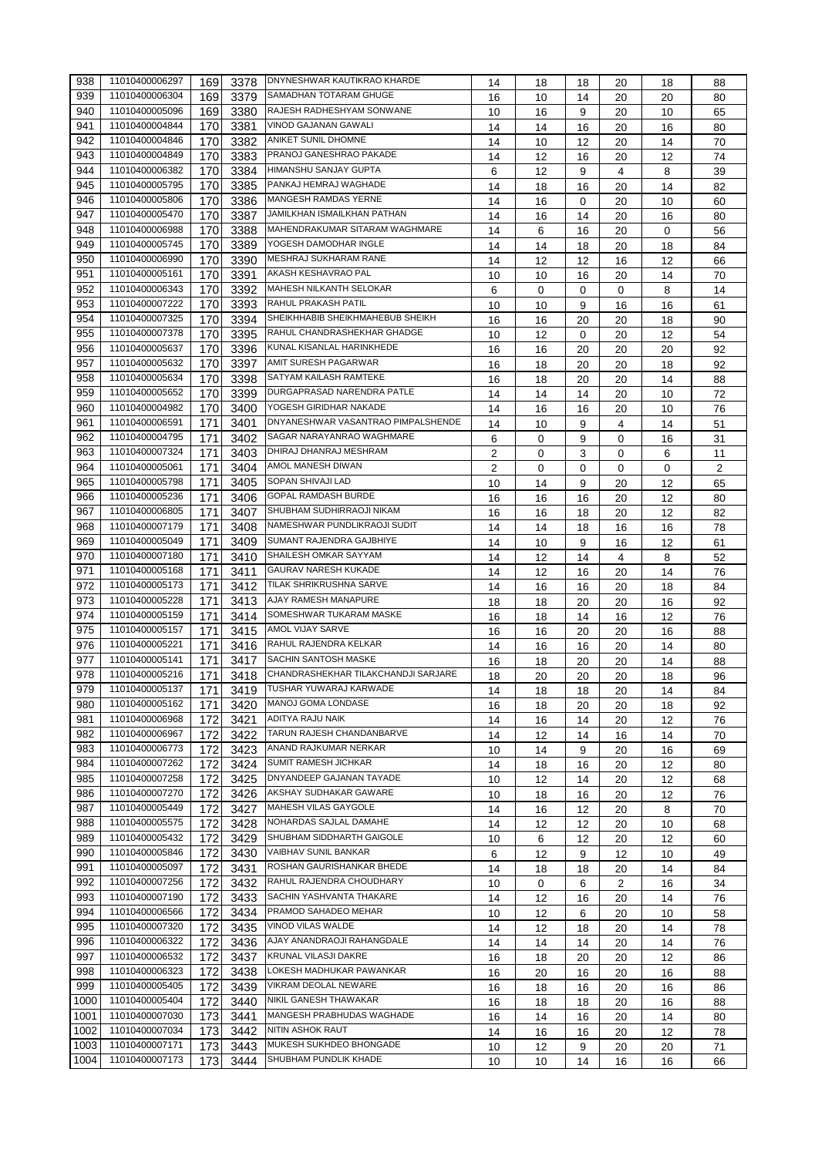| 938  | 11010400006297 | 169 | 3378 | <b>DNYNESHWAR KAUTIKRAO KHARDE</b>  | 14 | 18       | 18 | 20 | 18 | 88             |
|------|----------------|-----|------|-------------------------------------|----|----------|----|----|----|----------------|
| 939  | 11010400006304 | 169 | 3379 | <b>SAMADHAN TOTARAM GHUGE</b>       | 16 | 10       | 14 | 20 | 20 | 80             |
| 940  | 11010400005096 | 169 | 3380 | RAJESH RADHESHYAM SONWANE           | 10 | 16       | 9  | 20 | 10 | 65             |
| 941  | 11010400004844 | 170 | 3381 | <b>VINOD GAJANAN GAWALI</b>         | 14 | 14       | 16 | 20 | 16 | 80             |
| 942  | 11010400004846 |     |      | ANIKET SUNIL DHOMNE                 |    |          |    |    |    |                |
|      |                | 170 | 3382 |                                     | 14 | 10       | 12 | 20 | 14 | 70             |
| 943  | 11010400004849 | 170 | 3383 | PRANOJ GANESHRAO PAKADE             | 14 | 12       | 16 | 20 | 12 | 74             |
| 944  | 11010400006382 | 170 | 3384 | <b>HIMANSHU SANJAY GUPTA</b>        | 6  | 12       | 9  | 4  | 8  | 39             |
| 945  | 11010400005795 | 170 | 3385 | PANKAJ HEMRAJ WAGHADE               | 14 | 18       | 16 | 20 | 14 | 82             |
| 946  | 11010400005806 | 170 | 3386 | MANGESH RAMDAS YERNE                | 14 | 16       | 0  | 20 | 10 | 60             |
| 947  | 11010400005470 | 170 | 3387 | JAMILKHAN ISMAILKHAN PATHAN         | 14 | 16       | 14 | 20 | 16 | 80             |
| 948  | 11010400006988 | 170 | 3388 | MAHENDRAKUMAR SITARAM WAGHMARE      | 14 | 6        | 16 | 20 | 0  | 56             |
| 949  | 11010400005745 | 170 | 3389 | YOGESH DAMODHAR INGLE               | 14 | 14       | 18 | 20 | 18 | 84             |
| 950  | 11010400006990 | 170 | 3390 | <b>MESHRAJ SUKHARAM RANE</b>        | 14 |          |    |    |    |                |
|      |                |     |      | AKASH KESHAVRAO PAL                 |    | 12       | 12 | 16 | 12 | 66             |
| 951  | 11010400005161 | 170 | 3391 |                                     | 10 | 10       | 16 | 20 | 14 | 70             |
| 952  | 11010400006343 | 170 | 3392 | <b>MAHESH NILKANTH SELOKAR</b>      | 6  | $\Omega$ | 0  | 0  | 8  | 14             |
| 953  | 11010400007222 | 170 | 3393 | RAHUL PRAKASH PATIL                 | 10 | 10       | 9  | 16 | 16 | 61             |
| 954  | 11010400007325 | 170 | 3394 | SHEIKHHABIB SHEIKHMAHEBUB SHEIKH    | 16 | 16       | 20 | 20 | 18 | 90             |
| 955  | 11010400007378 | 170 | 3395 | RAHUL CHANDRASHEKHAR GHADGE         | 10 | 12       | 0  | 20 | 12 | 54             |
| 956  | 11010400005637 | 170 | 3396 | KUNAL KISANLAL HARINKHEDE           | 16 | 16       | 20 | 20 | 20 | 92             |
| 957  | 11010400005632 | 170 | 3397 | AMIT SURESH PAGARWAR                | 16 | 18       | 20 | 20 | 18 | 92             |
| 958  | 11010400005634 | 170 | 3398 | SATYAM KAILASH RAMTEKE              |    |          |    |    |    |                |
|      | 11010400005652 |     |      | DURGAPRASAD NARENDRA PATLE          | 16 | 18       | 20 | 20 | 14 | 88             |
| 959  |                | 170 | 3399 |                                     | 14 | 14       | 14 | 20 | 10 | 72             |
| 960  | 11010400004982 | 170 | 3400 | YOGESH GIRIDHAR NAKADE              | 14 | 16       | 16 | 20 | 10 | 76             |
| 961  | 11010400006591 | 171 | 3401 | DNYANESHWAR VASANTRAO PIMPALSHENDE  | 14 | 10       | 9  | 4  | 14 | 51             |
| 962  | 11010400004795 | 171 | 3402 | SAGAR NARAYANRAO WAGHMARE           | 6  | 0        | 9  | 0  | 16 | 31             |
| 963  | 11010400007324 | 171 | 3403 | DHIRAJ DHANRAJ MESHRAM              | 2  | 0        | 3  | 0  | 6  | 11             |
| 964  | 11010400005061 | 171 | 3404 | AMOL MANESH DIWAN                   | 2  | 0        | 0  | 0  | 0  | $\overline{2}$ |
| 965  | 11010400005798 | 171 | 3405 | SOPAN SHIVAJI LAD                   | 10 | 14       | 9  | 20 | 12 | 65             |
| 966  | 11010400005236 | 171 | 3406 | GOPAL RAMDASH BURDE                 | 16 | 16       | 16 | 20 | 12 | 80             |
| 967  | 11010400006805 |     |      | SHUBHAM SUDHIRRAOJI NIKAM           |    |          |    |    |    |                |
|      |                | 171 | 3407 |                                     | 16 | 16       | 18 | 20 | 12 | 82             |
| 968  | 11010400007179 | 171 | 3408 | NAMESHWAR PUNDLIKRAOJI SUDIT        | 14 | 14       | 18 | 16 | 16 | 78             |
| 969  | 11010400005049 | 171 | 3409 | SUMANT RAJENDRA GAJBHIYE            | 14 | 10       | 9  | 16 | 12 | 61             |
| 970  | 11010400007180 | 171 | 3410 | SHAILESH OMKAR SAYYAM               | 14 | 12       | 14 | 4  | 8  | 52             |
| 971  | 11010400005168 | 171 | 3411 | <b>GAURAV NARESH KUKADE</b>         | 14 | 12       | 16 | 20 | 14 | 76             |
| 972  | 11010400005173 | 171 | 3412 | TILAK SHRIKRUSHNA SARVE             | 14 | 16       | 16 | 20 | 18 | 84             |
| 973  | 11010400005228 | 171 | 3413 | AJAY RAMESH MANAPURE                | 18 | 18       | 20 | 20 | 16 | 92             |
| 974  | 11010400005159 | 171 | 3414 | SOMESHWAR TUKARAM MASKE             | 16 | 18       | 14 | 16 | 12 | 76             |
| 975  | 11010400005157 | 171 | 3415 | AMOL VIJAY SARVE                    |    |          |    |    |    |                |
|      | 11010400005221 |     |      | RAHUL RAJENDRA KELKAR               | 16 | 16       | 20 | 20 | 16 | 88             |
| 976  |                | 171 | 3416 |                                     | 14 | 16       | 16 | 20 | 14 | 80             |
| 977  | 11010400005141 | 171 | 3417 | SACHIN SANTOSH MASKE                | 16 | 18       | 20 | 20 | 14 | 88             |
| 978  | 11010400005216 | 171 | 3418 | CHANDRASHEKHAR TILAKCHANDJI SARJARE | 18 | 20       | 20 | 20 | 18 | 96             |
| 979  | 11010400005137 | 171 |      | 3419 TUSHAR YUWARAJ KARWADE         | 14 | 18       | 18 | 20 | 14 | 84             |
| 980  | 11010400005162 | 171 | 3420 | MANOJ GOMA LONDASE                  | 16 | 18       | 20 | 20 | 18 | 92             |
| 981  | 11010400006968 | 172 | 3421 | ADITYA RAJU NAIK                    | 14 | 16       | 14 | 20 | 12 | 76             |
| 982  | 11010400006967 | 172 | 3422 | TARUN RAJESH CHANDANBARVE           | 14 | 12       | 14 | 16 | 14 | 70             |
| 983  | 11010400006773 | 172 | 3423 | ANAND RAJKUMAR NERKAR               | 10 | 14       | 9  | 20 | 16 | 69             |
| 984  | 11010400007262 |     |      | <b>SUMIT RAMESH JICHKAR</b>         |    |          |    |    |    |                |
| 985  | 11010400007258 | 172 | 3424 | DNYANDEEP GAJANAN TAYADE            | 14 | 18       | 16 | 20 | 12 | 80             |
|      |                | 172 | 3425 |                                     | 10 | 12       | 14 | 20 | 12 | 68             |
| 986  | 11010400007270 | 172 | 3426 | AKSHAY SUDHAKAR GAWARE              | 10 | 18       | 16 | 20 | 12 | 76             |
| 987  | 11010400005449 | 172 | 3427 | MAHESH VILAS GAYGOLE                | 14 | 16       | 12 | 20 | 8  | 70             |
| 988  | 11010400005575 | 172 | 3428 | NOHARDAS SAJLAL DAMAHE              | 14 | 12       | 12 | 20 | 10 | 68             |
| 989  | 11010400005432 | 172 | 3429 | SHUBHAM SIDDHARTH GAIGOLE           | 10 | 6        | 12 | 20 | 12 | 60             |
| 990  | 11010400005846 | 172 | 3430 | VAIBHAV SUNIL BANKAR                | 6  | 12       | 9  | 12 | 10 | 49             |
| 991  | 11010400005097 | 172 | 3431 | ROSHAN GAURISHANKAR BHEDE           | 14 | 18       | 18 | 20 | 14 | 84             |
| 992  | 11010400007256 | 172 | 3432 | RAHUL RAJENDRA CHOUDHARY            | 10 | 0        | 6  | 2  | 16 | 34             |
| 993  | 11010400007190 | 172 | 3433 | SACHIN YASHVANTA THAKARE            | 14 | 12       | 16 | 20 | 14 | 76             |
|      | 11010400006566 |     |      | PRAMOD SAHADEO MEHAR                |    |          |    |    |    |                |
| 994  |                | 172 | 3434 | VINOD VILAS WALDE                   | 10 | 12       | 6  | 20 | 10 | 58             |
| 995  | 11010400007320 | 172 | 3435 |                                     | 14 | 12       | 18 | 20 | 14 | 78             |
| 996  | 11010400006322 | 172 | 3436 | AJAY ANANDRAOJI RAHANGDALE          | 14 | 14       | 14 | 20 | 14 | 76             |
| 997  | 11010400006532 | 172 | 3437 | KRUNAL VILASJI DAKRE                | 16 | 18       | 20 | 20 | 12 | 86             |
| 998  | 11010400006323 | 172 | 3438 | LOKESH MADHUKAR PAWANKAR            | 16 | 20       | 16 | 20 | 16 | 88             |
| 999  | 11010400005405 | 172 | 3439 | VIKRAM DEOLAL NEWARE                | 16 | 18       | 16 | 20 | 16 | 86             |
| 1000 | 11010400005404 | 172 | 3440 | NIKIL GANESH THAWAKAR               | 16 | 18       | 18 | 20 | 16 | 88             |
| 1001 | 11010400007030 | 173 | 3441 | MANGESH PRABHUDAS WAGHADE           | 16 | 14       | 16 | 20 | 14 | 80             |
| 1002 | 11010400007034 |     | 3442 | <b>NITIN ASHOK RAUT</b>             |    |          |    |    |    |                |
|      |                | 173 |      | MUKESH SUKHDEO BHONGADE             | 14 | 16       | 16 | 20 | 12 | 78             |
| 1003 | 11010400007171 | 173 | 3443 |                                     | 10 | 12       | 9  | 20 | 20 | 71             |
| 1004 | 11010400007173 | 173 | 3444 | SHUBHAM PUNDLIK KHADE               | 10 | 10       | 14 | 16 | 16 | 66             |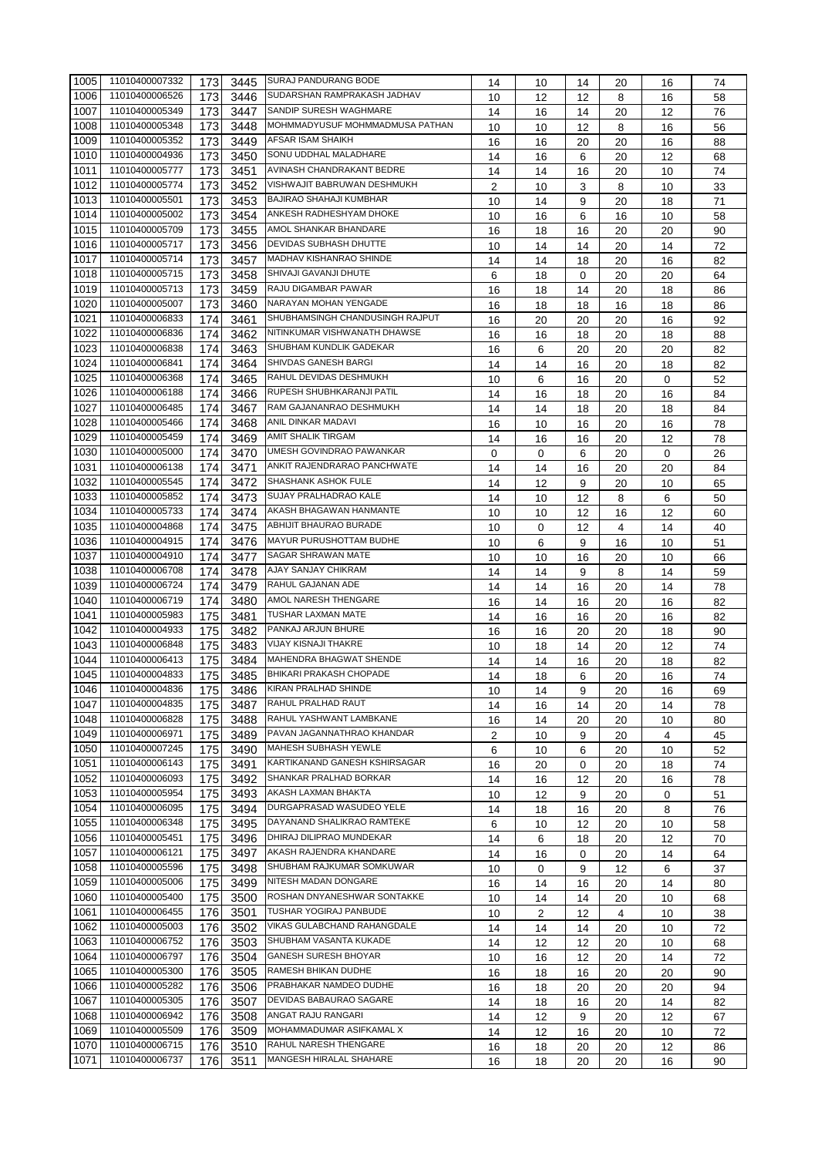| 1005 | 11010400007332 | 173 | 3445 | <b>SURAJ PANDURANG BODE</b>     | 14 | 10 | 14               | 20 | 16 | 74 |
|------|----------------|-----|------|---------------------------------|----|----|------------------|----|----|----|
| 1006 | 11010400006526 | 173 | 3446 | SUDARSHAN RAMPRAKASH JADHAV     | 10 | 12 | 12               | 8  | 16 | 58 |
| 1007 | 11010400005349 | 173 | 3447 | SANDIP SURESH WAGHMARE          | 14 | 16 | 14               | 20 | 12 | 76 |
| 1008 | 11010400005348 | 173 | 3448 | MOHMMADYUSUF MOHMMADMUSA PATHAN | 10 | 10 | 12               | 8  | 16 | 56 |
|      | 11010400005352 |     |      | AFSAR ISAM SHAIKH               |    |    |                  |    |    |    |
| 1009 |                | 173 | 3449 |                                 | 16 | 16 | 20               | 20 | 16 | 88 |
| 1010 | 11010400004936 | 173 | 3450 | SONU UDDHAL MALADHARE           | 14 | 16 | 6                | 20 | 12 | 68 |
| 1011 | 11010400005777 | 173 | 3451 | AVINASH CHANDRAKANT BEDRE       | 14 | 14 | 16               | 20 | 10 | 74 |
| 1012 | 11010400005774 | 173 | 3452 | VISHWAJIT BABRUWAN DESHMUKH     | 2  | 10 | 3                | 8  | 10 | 33 |
| 1013 | 11010400005501 | 173 | 3453 | BAJIRAO SHAHAJI KUMBHAR         | 10 | 14 | 9                | 20 | 18 | 71 |
| 1014 | 11010400005002 | 173 | 3454 | ANKESH RADHESHYAM DHOKE         | 10 | 16 | 6                | 16 | 10 | 58 |
| 1015 | 11010400005709 | 173 | 3455 | AMOL SHANKAR BHANDARE           | 16 | 18 | 16               | 20 | 20 | 90 |
| 1016 | 11010400005717 | 173 | 3456 | DEVIDAS SUBHASH DHUTTE          | 10 | 14 | 14               | 20 | 14 | 72 |
| 1017 | 11010400005714 | 173 | 3457 | MADHAV KISHANRAO SHINDE         | 14 | 14 | 18               | 20 | 16 | 82 |
| 1018 | 11010400005715 | 173 | 3458 | SHIVAJI GAVANJI DHUTE           | 6  | 18 | $\mathbf 0$      | 20 | 20 | 64 |
| 1019 | 11010400005713 | 173 | 3459 | RAJU DIGAMBAR PAWAR             | 16 | 18 | 14               | 20 | 18 | 86 |
| 1020 | 11010400005007 | 173 | 3460 | NARAYAN MOHAN YENGADE           | 16 | 18 | 18               | 16 | 18 | 86 |
| 1021 | 11010400006833 | 174 | 3461 | SHUBHAMSINGH CHANDUSINGH RAJPUT | 16 | 20 | 20               | 20 | 16 | 92 |
| 1022 | 11010400006836 |     |      | NITINKUMAR VISHWANATH DHAWSE    |    |    |                  |    |    |    |
|      |                | 174 | 3462 | SHUBHAM KUNDLIK GADEKAR         | 16 | 16 | 18               | 20 | 18 | 88 |
| 1023 | 11010400006838 | 174 | 3463 |                                 | 16 | 6  | 20               | 20 | 20 | 82 |
| 1024 | 11010400006841 | 174 | 3464 | SHIVDAS GANESH BARGI            | 14 | 14 | 16               | 20 | 18 | 82 |
| 1025 | 11010400006368 | 174 | 3465 | RAHUL DEVIDAS DESHMUKH          | 10 | 6  | 16               | 20 | 0  | 52 |
| 1026 | 11010400006188 | 174 | 3466 | RUPESH SHUBHKARANJI PATIL       | 14 | 16 | 18               | 20 | 16 | 84 |
| 1027 | 11010400006485 | 174 | 3467 | RAM GAJANANRAO DESHMUKH         | 14 | 14 | 18               | 20 | 18 | 84 |
| 1028 | 11010400005466 | 174 | 3468 | ANIL DINKAR MADAVI              | 16 | 10 | 16               | 20 | 16 | 78 |
| 1029 | 11010400005459 | 174 | 3469 | AMIT SHALIK TIRGAM              | 14 | 16 | 16               | 20 | 12 | 78 |
| 1030 | 11010400005000 | 174 | 3470 | UMESH GOVINDRAO PAWANKAR        | 0  | 0  | 6                | 20 | 0  | 26 |
| 1031 | 11010400006138 | 174 | 3471 | ANKIT RAJENDRARAO PANCHWATE     | 14 | 14 | 16               | 20 | 20 | 84 |
| 1032 | 11010400005545 | 174 | 3472 | SHASHANK ASHOK FULE             | 14 | 12 | 9                | 20 | 10 | 65 |
| 1033 | 11010400005852 | 174 | 3473 | SUJAY PRALHADRAO KALE           | 14 | 10 | 12               | 8  | 6  | 50 |
| 1034 | 11010400005733 |     |      | AKASH BHAGAWAN HANMANTE         |    |    |                  |    |    |    |
|      |                | 174 | 3474 | ABHIJIT BHAURAO BURADE          | 10 | 10 | 12               | 16 | 12 | 60 |
| 1035 | 11010400004868 | 174 | 3475 |                                 | 10 | 0  | 12               | 4  | 14 | 40 |
| 1036 | 11010400004915 | 174 | 3476 | MAYUR PURUSHOTTAM BUDHE         | 10 | 6  | 9                | 16 | 10 | 51 |
| 1037 | 11010400004910 | 174 | 3477 | SAGAR SHRAWAN MATE              | 10 | 10 | 16               | 20 | 10 | 66 |
| 1038 | 11010400006708 | 174 | 3478 | AJAY SANJAY CHIKRAM             | 14 | 14 | 9                | 8  | 14 | 59 |
| 1039 | 11010400006724 | 174 | 3479 | RAHUL GAJANAN ADE               | 14 | 14 | 16               | 20 | 14 | 78 |
| 1040 | 11010400006719 | 174 | 3480 | AMOL NARESH THENGARE            | 16 | 14 | 16               | 20 | 16 | 82 |
| 1041 | 11010400005983 | 175 | 3481 | TUSHAR LAXMAN MATE              | 14 | 16 | 16               | 20 | 16 | 82 |
| 1042 | 11010400004933 | 175 | 3482 | PANKAJ ARJUN BHURE              | 16 | 16 | 20               | 20 | 18 | 90 |
| 1043 | 11010400006848 | 175 | 3483 | <b>VIJAY KISNAJI THAKRE</b>     | 10 | 18 | 14               | 20 | 12 | 74 |
| 1044 | 11010400006413 | 175 | 3484 | MAHENDRA BHAGWAT SHENDE         | 14 | 14 | 16               | 20 | 18 | 82 |
| 1045 | 11010400004833 | 175 | 3485 | BHIKARI PRAKASH CHOPADE         | 14 | 18 | 6                | 20 | 16 | 74 |
| 1046 | 11010400004836 | 175 |      | 3486 KIRAN PRALHAD SHINDE       | 10 | 14 | $\boldsymbol{9}$ | 20 | 16 | 69 |
| 1047 | 11010400004835 | 175 | 3487 | RAHUL PRALHAD RAUT              |    |    |                  |    |    |    |
|      | 11010400006828 |     |      | RAHUL YASHWANT LAMBKANE         | 14 | 16 | 14               | 20 | 14 | 78 |
| 1048 |                | 175 | 3488 |                                 | 16 | 14 | 20               | 20 | 10 | 80 |
| 1049 | 11010400006971 | 175 | 3489 | PAVAN JAGANNATHRAO KHANDAR      | 2  | 10 | 9                | 20 | 4  | 45 |
| 1050 | 11010400007245 | 175 | 3490 | MAHESH SUBHASH YEWLE            | 6  | 10 | 6                | 20 | 10 | 52 |
| 1051 | 11010400006143 | 175 | 3491 | KARTIKANAND GANESH KSHIRSAGAR   | 16 | 20 | 0                | 20 | 18 | 74 |
| 1052 | 11010400006093 | 175 | 3492 | SHANKAR PRALHAD BORKAR          | 14 | 16 | 12               | 20 | 16 | 78 |
| 1053 | 11010400005954 | 175 | 3493 | AKASH LAXMAN BHAKTA             | 10 | 12 | 9                | 20 | 0  | 51 |
| 1054 | 11010400006095 | 175 | 3494 | DURGAPRASAD WASUDEO YELE        | 14 | 18 | 16               | 20 | 8  | 76 |
| 1055 | 11010400006348 | 175 | 3495 | DAYANAND SHALIKRAO RAMTEKE      | 6  | 10 | 12               | 20 | 10 | 58 |
| 1056 | 11010400005451 | 175 | 3496 | DHIRAJ DILIPRAO MUNDEKAR        | 14 | 6  | 18               | 20 | 12 | 70 |
| 1057 | 11010400006121 | 175 | 3497 | AKASH RAJENDRA KHANDARE         | 14 | 16 | 0                | 20 | 14 | 64 |
| 1058 | 11010400005596 | 175 | 3498 | SHUBHAM RAJKUMAR SOMKUWAR       | 10 | 0  | 9                | 12 | 6  | 37 |
| 1059 | 11010400005006 | 175 | 3499 | NITESH MADAN DONGARE            | 16 | 14 | 16               | 20 | 14 | 80 |
| 1060 | 11010400005400 | 175 |      | ROSHAN DNYANESHWAR SONTAKKE     |    |    |                  |    |    |    |
| 1061 | 11010400006455 |     | 3500 | TUSHAR YOGIRAJ PANBUDE          | 10 | 14 | 14               | 20 | 10 | 68 |
|      |                | 176 | 3501 | VIKAS GULABCHAND RAHANGDALE     | 10 | 2  | 12               | 4  | 10 | 38 |
| 1062 | 11010400005003 | 176 | 3502 |                                 | 14 | 14 | 14               | 20 | 10 | 72 |
| 1063 | 11010400006752 | 176 | 3503 | SHUBHAM VASANTA KUKADE          | 14 | 12 | 12               | 20 | 10 | 68 |
| 1064 | 11010400006797 | 176 | 3504 | GANESH SURESH BHOYAR            | 10 | 16 | 12               | 20 | 14 | 72 |
| 1065 | 11010400005300 | 176 | 3505 | RAMESH BHIKAN DUDHE             | 16 | 18 | 16               | 20 | 20 | 90 |
| 1066 | 11010400005282 | 176 | 3506 | PRABHAKAR NAMDEO DUDHE          | 16 | 18 | 20               | 20 | 20 | 94 |
| 1067 | 11010400005305 | 176 | 3507 | DEVIDAS BABAURAO SAGARE         | 14 | 18 | 16               | 20 | 14 | 82 |
| 1068 | 11010400006942 | 176 | 3508 | ANGAT RAJU RANGARI              | 14 | 12 | 9                | 20 | 12 | 67 |
| 1069 | 11010400005509 | 176 | 3509 | MOHAMMADUMAR ASIFKAMAL X        | 14 | 12 | 16               | 20 | 10 | 72 |
| 1070 | 11010400006715 | 176 | 3510 | RAHUL NARESH THENGARE           | 16 | 18 | 20               | 20 | 12 | 86 |
| 1071 | 11010400006737 | 176 | 3511 | MANGESH HIRALAL SHAHARE         | 16 | 18 | 20               | 20 | 16 | 90 |
|      |                |     |      |                                 |    |    |                  |    |    |    |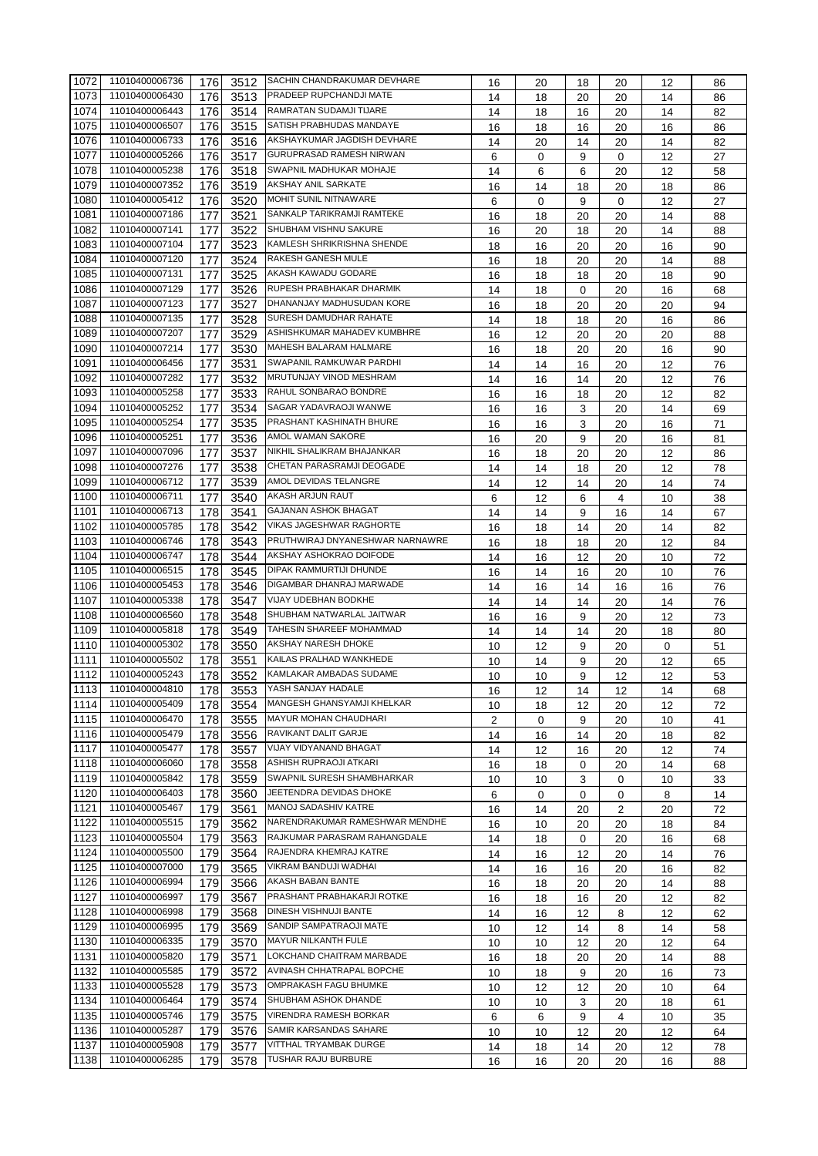| 1072 | 11010400006736 | 176 | 3512 | SACHIN CHANDRAKUMAR DEVHARE     | 16             | 20 | 18       | 20          | 12 | 86 |
|------|----------------|-----|------|---------------------------------|----------------|----|----------|-------------|----|----|
| 1073 | 11010400006430 | 176 | 3513 | PRADEEP RUPCHANDJI MATE         | 14             | 18 | 20       | 20          | 14 | 86 |
| 1074 | 11010400006443 | 176 | 3514 | RAMRATAN SUDAMJI TIJARE         | 14             | 18 | 16       | 20          | 14 | 82 |
| 1075 | 11010400006507 | 176 | 3515 | SATISH PRABHUDAS MANDAYE        | 16             | 18 | 16       | 20          | 16 | 86 |
| 1076 | 11010400006733 | 176 | 3516 | AKSHAYKUMAR JAGDISH DEVHARE     | 14             | 20 | 14       | 20          | 14 | 82 |
| 1077 | 11010400005266 | 176 |      | <b>GURUPRASAD RAMESH NIRWAN</b> |                |    |          |             |    |    |
|      |                |     | 3517 |                                 | 6              | 0  | 9        | 0           | 12 | 27 |
| 1078 | 11010400005238 | 176 | 3518 | SWAPNIL MADHUKAR MOHAJE         | 14             | 6  | 6        | 20          | 12 | 58 |
| 1079 | 11010400007352 | 176 | 3519 | AKSHAY ANIL SARKATE             | 16             | 14 | 18       | 20          | 18 | 86 |
| 1080 | 11010400005412 | 176 | 3520 | MOHIT SUNIL NITNAWARE           | 6              | 0  | 9        | $\mathbf 0$ | 12 | 27 |
| 1081 | 11010400007186 | 177 | 3521 | SANKALP TARIKRAMJI RAMTEKE      | 16             | 18 | 20       | 20          | 14 | 88 |
| 1082 | 11010400007141 | 177 | 3522 | SHUBHAM VISHNU SAKURE           | 16             | 20 | 18       | 20          | 14 | 88 |
| 1083 | 11010400007104 | 177 | 3523 | KAMLESH SHRIKRISHNA SHENDE      | 18             | 16 | 20       | 20          | 16 | 90 |
| 1084 | 11010400007120 | 177 | 3524 | RAKESH GANESH MULE              | 16             | 18 | 20       | 20          | 14 | 88 |
| 1085 | 11010400007131 | 177 | 3525 | AKASH KAWADU GODARE             | 16             | 18 | 18       | 20          | 18 | 90 |
| 1086 | 11010400007129 | 177 | 3526 | RUPESH PRABHAKAR DHARMIK        | 14             | 18 | $\Omega$ | 20          | 16 | 68 |
| 1087 | 11010400007123 | 177 | 3527 | DHANANJAY MADHUSUDAN KORE       | 16             | 18 | 20       | 20          | 20 | 94 |
| 1088 | 11010400007135 | 177 | 3528 | SURESH DAMUDHAR RAHATE          | 14             | 18 | 18       | 20          | 16 | 86 |
|      | 11010400007207 |     |      | ASHISHKUMAR MAHADEV KUMBHRE     |                |    |          |             |    |    |
| 1089 |                | 177 | 3529 |                                 | 16             | 12 | 20       | 20          | 20 | 88 |
| 1090 | 11010400007214 | 177 | 3530 | MAHESH BALARAM HALMARE          | 16             | 18 | 20       | 20          | 16 | 90 |
| 1091 | 11010400006456 | 177 | 3531 | SWAPANIL RAMKUWAR PARDHI        | 14             | 14 | 16       | 20          | 12 | 76 |
| 1092 | 11010400007282 | 177 | 3532 | MRUTUNJAY VINOD MESHRAM         | 14             | 16 | 14       | 20          | 12 | 76 |
| 1093 | 11010400005258 | 177 | 3533 | RAHUL SONBARAO BONDRE           | 16             | 16 | 18       | 20          | 12 | 82 |
| 1094 | 11010400005252 | 177 | 3534 | SAGAR YADAVRAOJI WANWE          | 16             | 16 | 3        | 20          | 14 | 69 |
| 1095 | 11010400005254 | 177 | 3535 | PRASHANT KASHINATH BHURE        | 16             | 16 | 3        | 20          | 16 | 71 |
| 1096 | 11010400005251 | 177 | 3536 | AMOL WAMAN SAKORE               | 16             | 20 | 9        | 20          | 16 | 81 |
| 1097 | 11010400007096 | 177 | 3537 | NIKHIL SHALIKRAM BHAJANKAR      | 16             | 18 | 20       | 20          | 12 | 86 |
| 1098 | 11010400007276 | 177 | 3538 | CHETAN PARASRAMJI DEOGADE       | 14             | 14 | 18       | 20          | 12 | 78 |
| 1099 | 11010400006712 | 177 | 3539 | AMOL DEVIDAS TELANGRE           | 14             | 12 | 14       | 20          | 14 | 74 |
| 1100 | 11010400006711 |     | 3540 | AKASH ARJUN RAUT                |                |    |          |             |    |    |
|      |                | 177 |      | <b>GAJANAN ASHOK BHAGAT</b>     | 6              | 12 | 6        | 4           | 10 | 38 |
| 1101 | 11010400006713 | 178 | 3541 |                                 | 14             | 14 | 9        | 16          | 14 | 67 |
| 1102 | 11010400005785 | 178 | 3542 | VIKAS JAGESHWAR RAGHORTE        | 16             | 18 | 14       | 20          | 14 | 82 |
| 1103 | 11010400006746 | 178 | 3543 | PRUTHWIRAJ DNYANESHWAR NARNAWRE | 16             | 18 | 18       | 20          | 12 | 84 |
| 1104 | 11010400006747 | 178 | 3544 | AKSHAY ASHOKRAO DOIFODE         | 14             | 16 | 12       | 20          | 10 | 72 |
| 1105 | 11010400006515 | 178 | 3545 | DIPAK RAMMURTIJI DHUNDE         | 16             | 14 | 16       | 20          | 10 | 76 |
| 1106 | 11010400005453 | 178 | 3546 | DIGAMBAR DHANRAJ MARWADE        | 14             | 16 | 14       | 16          | 16 | 76 |
| 1107 | 11010400005338 | 178 | 3547 | VIJAY UDEBHAN BODKHE            | 14             | 14 | 14       | 20          | 14 | 76 |
| 1108 | 11010400006560 | 178 | 3548 | SHUBHAM NATWARLAL JAITWAR       | 16             | 16 | 9        | 20          | 12 | 73 |
| 1109 | 11010400005818 | 178 | 3549 | TAHESIN SHAREEF MOHAMMAD        | 14             | 14 | 14       | 20          | 18 | 80 |
| 1110 | 11010400005302 | 178 | 3550 | AKSHAY NARESH DHOKE             | 10             | 12 | 9        | 20          | 0  | 51 |
| 1111 | 11010400005502 | 178 | 3551 | KAILAS PRALHAD WANKHEDE         | 10             |    | 9        | 20          | 12 |    |
| 1112 | 11010400005243 |     |      | KAMLAKAR AMBADAS SUDAME         |                | 14 |          |             |    | 65 |
|      |                | 178 | 3552 |                                 | 10             | 10 | 9        | 12          | 12 | 53 |
| 1113 | 11010400004810 | 178 |      | 3553 YASH SANJAY HADALE         | 16             | 12 | 14       | 12          | 14 | 68 |
| 1114 | 11010400005409 | 178 | 3554 | MANGESH GHANSYAMJI KHELKAR      | 10             | 18 | 12       | 20          | 12 | 72 |
| 1115 | 11010400006470 | 178 | 3555 | MAYUR MOHAN CHAUDHARI           | $\overline{2}$ | 0  | 9        | 20          | 10 | 41 |
| 1116 | 11010400005479 | 178 | 3556 | RAVIKANT DALIT GARJE            | 14             | 16 | 14       | 20          | 18 | 82 |
| 1117 | 11010400005477 | 178 | 3557 | VIJAY VIDYANAND BHAGAT          | 14             | 12 | 16       | 20          | 12 | 74 |
| 1118 | 11010400006060 | 178 | 3558 | ASHISH RUPRAOJI ATKARI          | 16             | 18 | 0        | 20          | 14 | 68 |
| 1119 | 11010400005842 | 178 | 3559 | SWAPNIL SURESH SHAMBHARKAR      | 10             | 10 | 3        | 0           | 10 | 33 |
| 1120 | 11010400006403 | 178 | 3560 | JEETENDRA DEVIDAS DHOKE         | 6              | 0  | 0        | 0           | 8  | 14 |
| 1121 | 11010400005467 | 179 | 3561 | MANOJ SADASHIV KATRE            | 16             | 14 | 20       | 2           | 20 | 72 |
| 1122 | 11010400005515 | 179 | 3562 | NARENDRAKUMAR RAMESHWAR MENDHE  | 16             | 10 | 20       | 20          | 18 | 84 |
| 1123 | 11010400005504 |     |      | RAJKUMAR PARASRAM RAHANGDALE    |                |    |          |             |    |    |
|      |                | 179 | 3563 | RAJENDRA KHEMRAJ KATRE          | 14             | 18 | 0        | 20          | 16 | 68 |
| 1124 | 11010400005500 | 179 | 3564 |                                 | 14             | 16 | 12       | 20          | 14 | 76 |
| 1125 | 11010400007000 | 179 | 3565 | VIKRAM BANDUJI WADHAI           | 14             | 16 | 16       | 20          | 16 | 82 |
| 1126 | 11010400006994 | 179 | 3566 | AKASH BABAN BANTE               | 16             | 18 | 20       | 20          | 14 | 88 |
| 1127 | 11010400006997 | 179 | 3567 | PRASHANT PRABHAKARJI ROTKE      | 16             | 18 | 16       | 20          | 12 | 82 |
| 1128 | 11010400006998 | 179 | 3568 | DINESH VISHNUJI BANTE           | 14             | 16 | 12       | 8           | 12 | 62 |
| 1129 | 11010400006995 | 179 | 3569 | SANDIP SAMPATRAOJI MATE         | 10             | 12 | 14       | 8           | 14 | 58 |
| 1130 | 11010400006335 | 179 | 3570 | MAYUR NILKANTH FULE             | 10             | 10 | 12       | 20          | 12 | 64 |
| 1131 | 11010400005820 | 179 | 3571 | LOKCHAND CHAITRAM MARBADE       | 16             | 18 | 20       | 20          | 14 | 88 |
| 1132 | 11010400005585 | 179 | 3572 | AVINASH CHHATRAPAL BOPCHE       | 10             | 18 | 9        | 20          | 16 | 73 |
| 1133 | 11010400005528 | 179 | 3573 | OMPRAKASH FAGU BHUMKE           | 10             | 12 | 12       | 20          | 10 | 64 |
| 1134 | 11010400006464 | 179 |      | SHUBHAM ASHOK DHANDE            |                |    |          |             |    |    |
|      |                |     | 3574 | VIRENDRA RAMESH BORKAR          | 10             | 10 | 3        | 20          | 18 | 61 |
| 1135 | 11010400005746 | 179 | 3575 |                                 | 6              | 6  | 9        | 4           | 10 | 35 |
| 1136 | 11010400005287 | 179 | 3576 | SAMIR KARSANDAS SAHARE          | 10             | 10 | 12       | 20          | 12 | 64 |
| 1137 | 11010400005908 | 179 | 3577 | VITTHAL TRYAMBAK DURGE          | 14             | 18 | 14       | 20          | 12 | 78 |
| 1138 | 11010400006285 | 179 | 3578 | TUSHAR RAJU BURBURE             | 16             | 16 | 20       | 20          | 16 | 88 |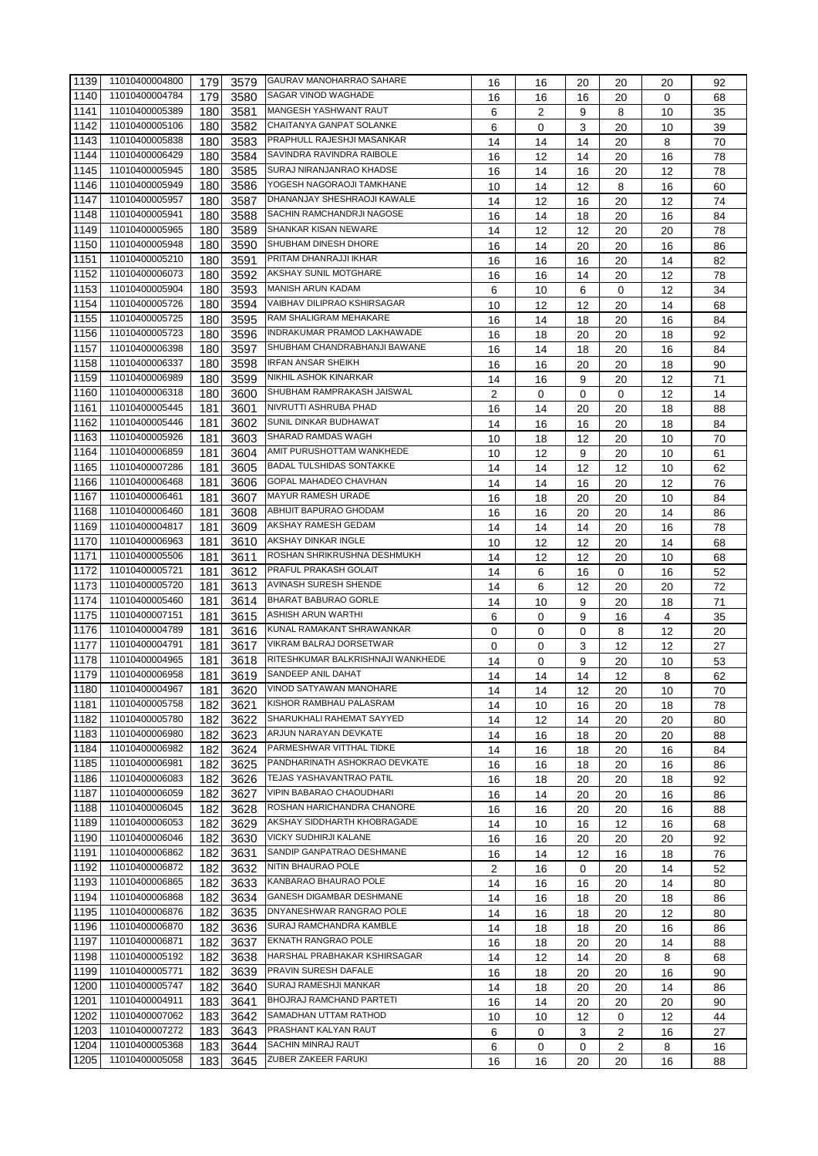| 1139   | 11010400004800 | 179 | 3579 | <b>GAURAV MANOHARRAO SAHARE</b>   | 16          | 16 | 20 | 20 | 20 | 92 |
|--------|----------------|-----|------|-----------------------------------|-------------|----|----|----|----|----|
| 1140   | 11010400004784 | 179 | 3580 | <b>SAGAR VINOD WAGHADE</b>        | 16          | 16 | 16 | 20 | 0  | 68 |
| 1141   | 11010400005389 | 180 | 3581 | MANGESH YASHWANT RAUT             | 6           | 2  | 9  | 8  | 10 | 35 |
| 1142   | 11010400005106 | 180 | 3582 | CHAITANYA GANPAT SOLANKE          | 6           | 0  | 3  | 20 | 10 | 39 |
| 1143   | 11010400005838 | 180 | 3583 | PRAPHULL RAJESHJI MASANKAR        | 14          | 14 | 14 | 20 | 8  | 70 |
| 1144   | 11010400006429 | 180 | 3584 | SAVINDRA RAVINDRA RAIBOLE         | 16          | 12 | 14 | 20 | 16 | 78 |
| 1145   | 11010400005945 | 180 | 3585 | SURAJ NIRANJANRAO KHADSE          | 16          | 14 | 16 | 20 | 12 | 78 |
| 1146   | 11010400005949 |     |      | YOGESH NAGORAOJI TAMKHANE         |             |    |    |    |    |    |
|        |                | 180 | 3586 | DHANANJAY SHESHRAOJI KAWALE       | 10          | 14 | 12 | 8  | 16 | 60 |
| 1147   | 11010400005957 | 180 | 3587 |                                   | 14          | 12 | 16 | 20 | 12 | 74 |
| 1148   | 11010400005941 | 180 | 3588 | SACHIN RAMCHANDRJI NAGOSE         | 16          | 14 | 18 | 20 | 16 | 84 |
| 1149   | 11010400005965 | 180 | 3589 | SHANKAR KISAN NEWARE              | 14          | 12 | 12 | 20 | 20 | 78 |
| 1150   | 11010400005948 | 180 | 3590 | SHUBHAM DINESH DHORE              | 16          | 14 | 20 | 20 | 16 | 86 |
| 1151   | 11010400005210 | 180 | 3591 | PRITAM DHANRAJJI IKHAR            | 16          | 16 | 16 | 20 | 14 | 82 |
| 1152   | 11010400006073 | 180 | 3592 | AKSHAY SUNIL MOTGHARE             | 16          | 16 | 14 | 20 | 12 | 78 |
| 1153   | 11010400005904 | 180 | 3593 | MANISH ARUN KADAM                 | 6           | 10 | 6  | 0  | 12 | 34 |
| 1154   | 11010400005726 | 180 | 3594 | VAIBHAV DILIPRAO KSHIRSAGAR       | 10          | 12 | 12 | 20 | 14 | 68 |
| 1155   | 11010400005725 | 180 | 3595 | RAM SHALIGRAM MEHAKARE            | 16          | 14 | 18 | 20 | 16 | 84 |
| 1156   | 11010400005723 | 180 | 3596 | INDRAKUMAR PRAMOD LAKHAWADE       | 16          | 18 | 20 | 20 | 18 | 92 |
| 1157   | 11010400006398 | 180 | 3597 | SHUBHAM CHANDRABHANJI BAWANE      | 16          | 14 | 18 | 20 | 16 | 84 |
| 1158   | 11010400006337 | 180 | 3598 | <b>IRFAN ANSAR SHEIKH</b>         | 16          | 16 | 20 | 20 | 18 | 90 |
| 1159   | 11010400006989 | 180 | 3599 | <b>NIKHIL ASHOK KINARKAR</b>      | 14          | 16 | 9  | 20 | 12 | 71 |
| 1160   | 11010400006318 | 180 | 3600 | SHUBHAM RAMPRAKASH JAISWAL        | 2           | 0  | 0  | 0  |    | 14 |
|        | 11010400005445 |     |      | NIVRUTTI ASHRUBA PHAD             |             |    |    |    | 12 |    |
| 1161   | 11010400005446 | 181 | 3601 | SUNIL DINKAR BUDHAWAT             | 16          | 14 | 20 | 20 | 18 | 88 |
| 1162   |                | 181 | 3602 |                                   | 14          | 16 | 16 | 20 | 18 | 84 |
| 1163   | 11010400005926 | 181 | 3603 | SHARAD RAMDAS WAGH                | 10          | 18 | 12 | 20 | 10 | 70 |
| 1164   | 11010400006859 | 181 | 3604 | AMIT PURUSHOTTAM WANKHEDE         | 10          | 12 | 9  | 20 | 10 | 61 |
| 1165   | 11010400007286 | 181 | 3605 | <b>BADAL TULSHIDAS SONTAKKE</b>   | 14          | 14 | 12 | 12 | 10 | 62 |
| 1166   | 11010400006468 | 181 | 3606 | GOPAL MAHADEO CHAVHAN             | 14          | 14 | 16 | 20 | 12 | 76 |
| 1167   | 11010400006461 | 181 | 3607 | MAYUR RAMESH URADE                | 16          | 18 | 20 | 20 | 10 | 84 |
| 1168   | 11010400006460 | 181 | 3608 | ABHIJIT BAPURAO GHODAM            | 16          | 16 | 20 | 20 | 14 | 86 |
| 1169   | 11010400004817 | 181 | 3609 | AKSHAY RAMESH GEDAM               | 14          | 14 | 14 | 20 | 16 | 78 |
| 1170   | 11010400006963 | 181 | 3610 | AKSHAY DINKAR INGLE               | 10          | 12 | 12 | 20 | 14 | 68 |
| 1171   | 11010400005506 | 181 | 3611 | ROSHAN SHRIKRUSHNA DESHMUKH       | 14          | 12 | 12 | 20 | 10 | 68 |
| 1172   | 11010400005721 | 181 | 3612 | PRAFUL PRAKASH GOLAIT             | 14          | 6  | 16 | 0  | 16 | 52 |
| 1173   | 11010400005720 | 181 | 3613 | AVINASH SURESH SHENDE             | 14          | 6  | 12 | 20 | 20 | 72 |
| 1174   | 11010400005460 | 181 | 3614 | <b>BHARAT BABURAO GORLE</b>       | 14          | 10 | 9  | 20 | 18 | 71 |
| 1175   | 11010400007151 | 181 | 3615 | <b>ASHISH ARUN WARTHI</b>         | 6           | 0  | 9  | 16 | 4  | 35 |
| 1176   | 11010400004789 | 181 | 3616 | KUNAL RAMAKANT SHRAWANKAR         | $\mathbf 0$ | 0  | 0  | 8  | 12 | 20 |
| 1177   | 11010400004791 | 181 | 3617 | VIKRAM BALRAJ DORSETWAR           | 0           | 0  | 3  | 12 | 12 | 27 |
| 1178   | 11010400004965 | 181 | 3618 | RITESHKUMAR BALKRISHNAJI WANKHEDE | 14          | 0  | 9  | 20 | 10 | 53 |
| 1179   | 11010400006958 | 181 | 3619 | SANDEEP ANIL DAHAT                |             |    |    |    |    |    |
| 1180   | 11010400004967 |     |      | 3620 VINOD SATYAWAN MANOHARE      | 14          | 14 | 14 | 12 | 8  | 62 |
|        | 11010400005758 | 181 |      | KISHOR RAMBHAU PALASRAM           | 14          | 14 | 12 | 20 | 10 | 70 |
| 1181   |                | 182 | 3621 |                                   | 14          | 10 | 16 | 20 | 18 | 78 |
| 1182   | 11010400005780 | 182 | 3622 | SHARUKHALI RAHEMAT SAYYED         | 14          | 12 | 14 | 20 | 20 | 80 |
| 1183   | 11010400006980 | 182 | 3623 | ARJUN NARAYAN DEVKATE             | 14          | 16 | 18 | 20 | 20 | 88 |
| 1184   | 11010400006982 | 182 | 3624 | PARMESHWAR VITTHAL TIDKE          | 14          | 16 | 18 | 20 | 16 | 84 |
| 1185   | 11010400006981 | 182 | 3625 | PANDHARINATH ASHOKRAO DEVKATE     | 16          | 16 | 18 | 20 | 16 | 86 |
| 1186   | 11010400006083 | 182 | 3626 | TEJAS YASHAVANTRAO PATIL          | 16          | 18 | 20 | 20 | 18 | 92 |
| 1187   | 11010400006059 | 182 | 3627 | VIPIN BABARAO CHAOUDHARI          | 16          | 14 | 20 | 20 | 16 | 86 |
| 1188   | 11010400006045 | 182 | 3628 | ROSHAN HARICHANDRA CHANORE        | 16          | 16 | 20 | 20 | 16 | 88 |
| 1189   | 11010400006053 | 182 | 3629 | AKSHAY SIDDHARTH KHOBRAGADE       | 14          | 10 | 16 | 12 | 16 | 68 |
| 1190   | 11010400006046 | 182 | 3630 | VICKY SUDHIRJI KALANE             | 16          | 16 | 20 | 20 | 20 | 92 |
| $1191$ | 11010400006862 | 182 | 3631 | SANDIP GANPATRAO DESHMANE         | 16          | 14 | 12 | 16 | 18 | 76 |
| 1192   | 11010400006872 | 182 | 3632 | NITIN BHAURAO POLE                | 2           | 16 | 0  | 20 | 14 | 52 |
| 1193   | 11010400006865 | 182 | 3633 | KANBARAO BHAURAO POLE             | 14          | 16 | 16 | 20 | 14 | 80 |
| 1194   | 11010400006868 | 182 | 3634 | GANESH DIGAMBAR DESHMANE          | 14          | 16 | 18 | 20 | 18 | 86 |
| 1195   | 11010400006876 | 182 | 3635 | DNYANESHWAR RANGRAO POLE          | 14          | 16 | 18 | 20 | 12 | 80 |
| 1196   | 11010400006870 | 182 | 3636 | SURAJ RAMCHANDRA KAMBLE           | 14          | 18 | 18 | 20 | 16 | 86 |
| 1197   | 11010400006871 | 182 | 3637 | EKNATH RANGRAO POLE               | 16          | 18 | 20 | 20 | 14 | 88 |
| 1198   | 11010400005192 | 182 | 3638 | HARSHAL PRABHAKAR KSHIRSAGAR      |             |    |    |    |    |    |
| 1199   | 11010400005771 |     |      | PRAVIN SURESH DAFALE              | 14          | 12 | 14 | 20 | 8  | 68 |
|        |                | 182 | 3639 | SURAJ RAMESHJI MANKAR             | 16          | 18 | 20 | 20 | 16 | 90 |
| 1200   | 11010400005747 | 182 | 3640 | BHOJRAJ RAMCHAND PARTETI          | 14          | 18 | 20 | 20 | 14 | 86 |
| 1201   | 11010400004911 | 183 | 3641 |                                   | 16          | 14 | 20 | 20 | 20 | 90 |
| 1202   | 11010400007062 | 183 | 3642 | SAMADHAN UTTAM RATHOD             | 10          | 10 | 12 | 0  | 12 | 44 |
| 1203   | 11010400007272 | 183 | 3643 | PRASHANT KALYAN RAUT              | 6           | 0  | 3  | 2  | 16 | 27 |
| 1204   | 11010400005368 | 183 | 3644 | SACHIN MINRAJ RAUT                | 6           | 0  | 0  | 2  | 8  | 16 |
| 1205   | 11010400005058 | 183 | 3645 | ZUBER ZAKEER FARUKI               | 16          | 16 | 20 | 20 | 16 | 88 |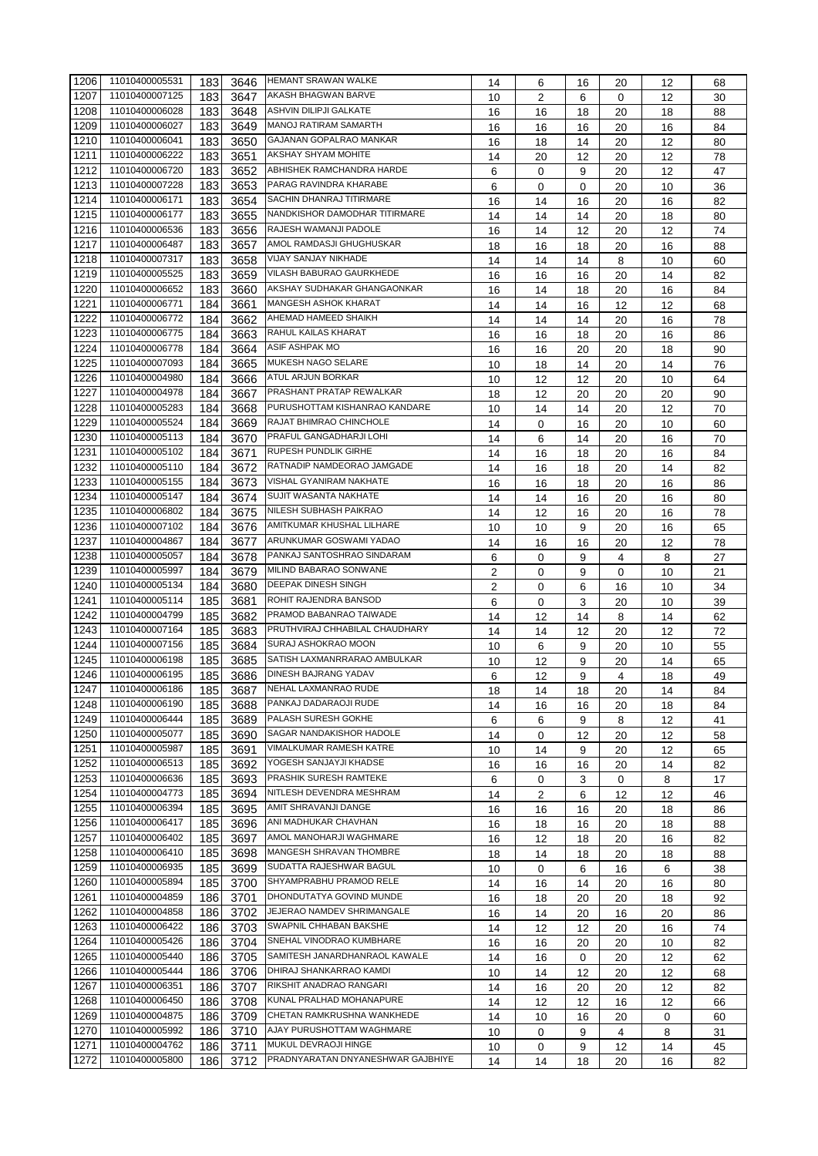| 1206 | 11010400005531 | 183 | 3646 | <b>HEMANT SRAWAN WALKE</b>        | 14 | 6              | 16 | 20 | 12 | 68 |
|------|----------------|-----|------|-----------------------------------|----|----------------|----|----|----|----|
| 1207 | 11010400007125 | 183 | 3647 | AKASH BHAGWAN BARVE               | 10 | $\overline{2}$ | 6  | 0  | 12 | 30 |
| 1208 | 11010400006028 | 183 | 3648 | ASHVIN DILIPJI GALKATE            | 16 | 16             | 18 | 20 | 18 | 88 |
| 1209 | 11010400006027 | 183 | 3649 | MANOJ RATIRAM SAMARTH             |    | 16             |    | 20 |    |    |
| 1210 | 11010400006041 |     |      | GAJANAN GOPALRAO MANKAR           | 16 |                | 16 |    | 16 | 84 |
|      |                | 183 | 3650 |                                   | 16 | 18             | 14 | 20 | 12 | 80 |
| 1211 | 11010400006222 | 183 | 3651 | AKSHAY SHYAM MOHITE               | 14 | 20             | 12 | 20 | 12 | 78 |
| 1212 | 11010400006720 | 183 | 3652 | ABHISHEK RAMCHANDRA HARDE         | 6  | 0              | 9  | 20 | 12 | 47 |
| 1213 | 11010400007228 | 183 | 3653 | PARAG RAVINDRA KHARABE            | 6  | 0              | 0  | 20 | 10 | 36 |
| 1214 | 11010400006171 | 183 | 3654 | SACHIN DHANRAJ TITIRMARE          | 16 | 14             | 16 | 20 | 16 | 82 |
| 1215 | 11010400006177 | 183 | 3655 | NANDKISHOR DAMODHAR TITIRMARE     | 14 | 14             | 14 | 20 | 18 | 80 |
| 1216 | 11010400006536 | 183 | 3656 | RAJESH WAMANJI PADOLE             | 16 | 14             | 12 | 20 | 12 | 74 |
| 1217 | 11010400006487 | 183 | 3657 | AMOL RAMDASJI GHUGHUSKAR          | 18 | 16             | 18 | 20 | 16 | 88 |
| 1218 | 11010400007317 | 183 | 3658 | VIJAY SANJAY NIKHADE              | 14 | 14             | 14 | 8  | 10 | 60 |
| 1219 | 11010400005525 | 183 |      | VILASH BABURAO GAURKHEDE          |    |                |    |    |    |    |
|      |                |     | 3659 | AKSHAY SUDHAKAR GHANGAONKAR       | 16 | 16             | 16 | 20 | 14 | 82 |
| 1220 | 11010400006652 | 183 | 3660 |                                   | 16 | 14             | 18 | 20 | 16 | 84 |
| 1221 | 11010400006771 | 184 | 3661 | MANGESH ASHOK KHARAT              | 14 | 14             | 16 | 12 | 12 | 68 |
| 1222 | 11010400006772 | 184 | 3662 | AHEMAD HAMEED SHAIKH              | 14 | 14             | 14 | 20 | 16 | 78 |
| 1223 | 11010400006775 | 184 | 3663 | RAHUL KAILAS KHARAT               | 16 | 16             | 18 | 20 | 16 | 86 |
| 1224 | 11010400006778 | 184 | 3664 | ASIF ASHPAK MO                    | 16 | 16             | 20 | 20 | 18 | 90 |
| 1225 | 11010400007093 | 184 | 3665 | MUKESH NAGO SELARE                | 10 | 18             | 14 | 20 | 14 | 76 |
| 1226 | 11010400004980 | 184 | 3666 | <b>ATUL ARJUN BORKAR</b>          | 10 | 12             | 12 | 20 | 10 | 64 |
| 1227 | 11010400004978 | 184 | 3667 | PRASHANT PRATAP REWALKAR          | 18 | 12             | 20 | 20 | 20 | 90 |
| 1228 | 11010400005283 | 184 | 3668 | PURUSHOTTAM KISHANRAO KANDARE     |    | 14             |    |    |    |    |
|      | 11010400005524 |     |      | RAJAT BHIMRAO CHINCHOLE           | 10 |                | 14 | 20 | 12 | 70 |
| 1229 |                | 184 | 3669 |                                   | 14 | 0              | 16 | 20 | 10 | 60 |
| 1230 | 11010400005113 | 184 | 3670 | PRAFUL GANGADHARJI LOHI           | 14 | 6              | 14 | 20 | 16 | 70 |
| 1231 | 11010400005102 | 184 | 3671 | <b>RUPESH PUNDLIK GIRHE</b>       | 14 | 16             | 18 | 20 | 16 | 84 |
| 1232 | 11010400005110 | 184 | 3672 | RATNADIP NAMDEORAO JAMGADE        | 14 | 16             | 18 | 20 | 14 | 82 |
| 1233 | 11010400005155 | 184 | 3673 | VISHAL GYANIRAM NAKHATE           | 16 | 16             | 18 | 20 | 16 | 86 |
| 1234 | 11010400005147 | 184 | 3674 | SUJIT WASANTA NAKHATE             | 14 | 14             | 16 | 20 | 16 | 80 |
| 1235 | 11010400006802 | 184 | 3675 | NILESH SUBHASH PAIKRAO            | 14 | 12             | 16 | 20 | 16 | 78 |
| 1236 | 11010400007102 | 184 | 3676 | AMITKUMAR KHUSHAL LILHARE         | 10 | 10             | 9  | 20 | 16 | 65 |
| 1237 | 11010400004867 | 184 | 3677 | ARUNKUMAR GOSWAMI YADAO           | 14 | 16             | 16 | 20 | 12 | 78 |
| 1238 | 11010400005057 |     |      | PANKAJ SANTOSHRAO SINDARAM        |    |                |    | 4  |    |    |
|      | 11010400005997 | 184 | 3678 | MILIND BABARAO SONWANE            | 6  | 0              | 9  |    | 8  | 27 |
| 1239 |                | 184 | 3679 |                                   | 2  | 0              | 9  | 0  | 10 | 21 |
| 1240 | 11010400005134 | 184 | 3680 | DEEPAK DINESH SINGH               | 2  | 0              | 6  | 16 | 10 | 34 |
| 1241 | 11010400005114 | 185 | 3681 | ROHIT RAJENDRA BANSOD             | 6  | 0              | 3  | 20 | 10 | 39 |
| 1242 | 11010400004799 | 185 | 3682 | PRAMOD BABANRAO TAIWADE           | 14 | 12             | 14 | 8  | 14 | 62 |
| 1243 | 11010400007164 | 185 | 3683 | PRUTHVIRAJ CHHABILAL CHAUDHARY    | 14 | 14             | 12 | 20 | 12 | 72 |
| 1244 | 11010400007156 | 185 | 3684 | SURAJ ASHOKRAO MOON               | 10 | 6              | 9  | 20 | 10 | 55 |
| 1245 | 11010400006198 | 185 | 3685 | SATISH LAXMANRRARAO AMBULKAR      | 10 | 12             | 9  | 20 | 14 | 65 |
| 1246 | 11010400006195 | 185 | 3686 | DINESH BAJRANG YADAV              | 6  | 12             | 9  | 4  | 18 | 49 |
| 1247 | 11010400006186 | 185 |      | 3687 NEHAL LAXMANRAO RUDE         | 18 | 14             | 18 | 20 | 14 | 84 |
| 1248 | 11010400006190 | 185 | 3688 | PANKAJ DADARAOJI RUDE             | 14 | 16             | 16 | 20 | 18 | 84 |
| 1249 | 11010400006444 | 185 | 3689 | PALASH SURESH GOKHE               | 6  | 6              | 9  | 8  | 12 | 41 |
|      | 11010400005077 |     |      | SAGAR NANDAKISHOR HADOLE          |    |                |    |    |    |    |
| 1250 |                | 185 | 3690 | VIMALKUMAR RAMESH KATRE           | 14 | 0              | 12 | 20 | 12 | 58 |
| 1251 | 11010400005987 | 185 | 3691 |                                   | 10 | 14             | 9  | 20 | 12 | 65 |
| 1252 | 11010400006513 | 185 | 3692 | YOGESH SANJAYJI KHADSE            | 16 | 16             | 16 | 20 | 14 | 82 |
| 1253 | 11010400006636 | 185 | 3693 | PRASHIK SURESH RAMTEKE            | 6  | 0              | 3  | 0  | 8  | 17 |
| 1254 | 11010400004773 | 185 | 3694 | NITLESH DEVENDRA MESHRAM          | 14 | 2              | 6  | 12 | 12 | 46 |
| 1255 | 11010400006394 | 185 | 3695 | AMIT SHRAVANJI DANGE              | 16 | 16             | 16 | 20 | 18 | 86 |
| 1256 | 11010400006417 | 185 | 3696 | ANI MADHUKAR CHAVHAN              | 16 | 18             | 16 | 20 | 18 | 88 |
| 1257 | 11010400006402 | 185 | 3697 | AMOL MANOHARJI WAGHMARE           | 16 | 12             | 18 | 20 | 16 | 82 |
| 1258 | 11010400006410 | 185 | 3698 | MANGESH SHRAVAN THOMBRE           | 18 | 14             | 18 | 20 | 18 | 88 |
| 1259 | 11010400006935 | 185 | 3699 | SUDATTA RAJESHWAR BAGUL           | 10 | 0              | 6  | 16 | 6  | 38 |
| 1260 | 11010400005894 | 185 | 3700 | SHYAMPRABHU PRAMOD RELE           | 14 |                | 14 | 20 |    |    |
| 1261 | 11010400004859 | 186 | 3701 | DHONDUTATYA GOVIND MUNDE          |    | 16             |    |    | 16 | 80 |
|      |                |     |      |                                   | 16 | 18             | 20 | 20 | 18 | 92 |
| 1262 | 11010400004858 | 186 | 3702 | JEJERAO NAMDEV SHRIMANGALE        | 16 | 14             | 20 | 16 | 20 | 86 |
| 1263 | 11010400006422 | 186 | 3703 | SWAPNIL CHHABAN BAKSHE            | 14 | 12             | 12 | 20 | 16 | 74 |
| 1264 | 11010400005426 | 186 | 3704 | SNEHAL VINODRAO KUMBHARE          | 16 | 16             | 20 | 20 | 10 | 82 |
| 1265 | 11010400005440 | 186 | 3705 | SAMITESH JANARDHANRAOL KAWALE     | 14 | 16             | 0  | 20 | 12 | 62 |
| 1266 | 11010400005444 | 186 | 3706 | DHIRAJ SHANKARRAO KAMDI           | 10 | 14             | 12 | 20 | 12 | 68 |
| 1267 | 11010400006351 | 186 | 3707 | RIKSHIT ANADRAO RANGARI           | 14 | 16             | 20 | 20 | 12 | 82 |
| 1268 | 11010400006450 | 186 | 3708 | KUNAL PRALHAD MOHANAPURE          | 14 | 12             | 12 | 16 | 12 | 66 |
| 1269 | 11010400004875 | 186 | 3709 | CHETAN RAMKRUSHNA WANKHEDE        | 14 | 10             | 16 | 20 | 0  | 60 |
| 1270 | 11010400005992 | 186 | 3710 | AJAY PURUSHOTTAM WAGHMARE         | 10 | 0              | 9  | 4  | 8  | 31 |
| 1271 | 11010400004762 | 186 | 3711 | MUKUL DEVRAOJI HINGE              |    | 0              | 9  | 12 | 14 |    |
|      | 11010400005800 |     |      | PRADNYARATAN DNYANESHWAR GAJBHIYE | 10 |                |    |    |    | 45 |
| 1272 |                | 186 | 3712 |                                   | 14 | 14             | 18 | 20 | 16 | 82 |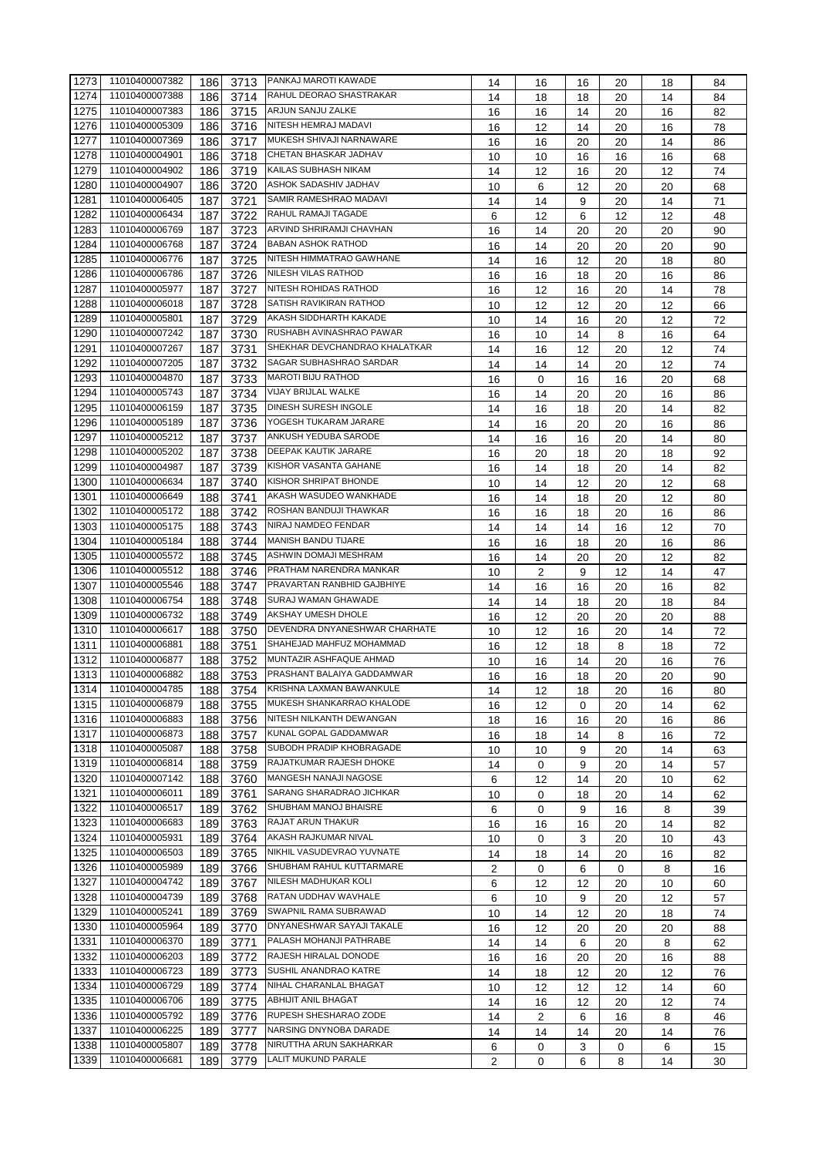| 1273 | 11010400007382 | 186 | 3713 | PANKAJ MAROTI KAWADE          | 14 | 16     | 16      | 20 | 18 | 84 |
|------|----------------|-----|------|-------------------------------|----|--------|---------|----|----|----|
| 1274 | 11010400007388 | 186 | 3714 | RAHUL DEORAO SHASTRAKAR       | 14 | 18     | 18      | 20 | 14 | 84 |
| 1275 | 11010400007383 | 186 | 3715 | ARJUN SANJU ZALKE             | 16 | 16     | 14      | 20 | 16 | 82 |
| 1276 | 11010400005309 | 186 | 3716 | NITESH HEMRAJ MADAVI          | 16 | 12     | 14      | 20 | 16 | 78 |
| 1277 | 11010400007369 | 186 | 3717 | MUKESH SHIVAJI NARNAWARE      | 16 | 16     | 20      | 20 | 14 | 86 |
| 1278 | 11010400004901 | 186 | 3718 | CHETAN BHASKAR JADHAV         | 10 | 10     | 16      | 16 | 16 | 68 |
| 1279 | 11010400004902 | 186 | 3719 | KAILAS SUBHASH NIKAM          | 14 | 12     | 16      | 20 | 12 | 74 |
| 1280 | 11010400004907 | 186 | 3720 | ASHOK SADASHIV JADHAV         | 10 | 6      | 12      | 20 | 20 | 68 |
| 1281 | 11010400006405 | 187 | 3721 | SAMIR RAMESHRAO MADAVI        | 14 | 14     | 9       | 20 | 14 | 71 |
| 1282 | 11010400006434 | 187 | 3722 | RAHUL RAMAJI TAGADE           | 6  | 12     | 6       | 12 | 12 | 48 |
| 1283 | 11010400006769 | 187 | 3723 | ARVIND SHRIRAMJI CHAVHAN      | 16 | 14     | 20      | 20 | 20 | 90 |
| 1284 | 11010400006768 | 187 | 3724 | <b>BABAN ASHOK RATHOD</b>     | 16 | 14     | 20      | 20 | 20 | 90 |
| 1285 | 11010400006776 | 187 | 3725 | NITESH HIMMATRAO GAWHANE      | 14 | 16     | 12      | 20 | 18 | 80 |
| 1286 | 11010400006786 | 187 | 3726 | NILESH VILAS RATHOD           | 16 | 16     | 18      | 20 | 16 | 86 |
| 1287 | 11010400005977 | 187 | 3727 | NITESH ROHIDAS RATHOD         | 16 | 12     | 16      | 20 | 14 | 78 |
| 1288 | 11010400006018 | 187 | 3728 | SATISH RAVIKIRAN RATHOD       | 10 | 12     | 12      | 20 | 12 | 66 |
| 1289 | 11010400005801 | 187 | 3729 | AKASH SIDDHARTH KAKADE        | 10 | 14     | 16      | 20 | 12 | 72 |
| 1290 | 11010400007242 | 187 | 3730 | RUSHABH AVINASHRAO PAWAR      | 16 | 10     | 14      | 8  | 16 | 64 |
| 1291 | 11010400007267 | 187 | 3731 | SHEKHAR DEVCHANDRAO KHALATKAR | 14 | 16     | 12      | 20 | 12 | 74 |
| 1292 | 11010400007205 | 187 | 3732 | SAGAR SUBHASHRAO SARDAR       | 14 | 14     | 14      | 20 | 12 | 74 |
| 1293 | 11010400004870 | 187 | 3733 | <b>MAROTI BIJU RATHOD</b>     | 16 | 0      | 16      | 16 | 20 | 68 |
| 1294 | 11010400005743 | 187 | 3734 | <b>VIJAY BRIJLAL WALKE</b>    | 16 | 14     | 20      | 20 | 16 | 86 |
| 1295 | 11010400006159 | 187 | 3735 | DINESH SURESH INGOLE          | 14 | 16     | 18      | 20 | 14 | 82 |
| 1296 | 11010400005189 | 187 | 3736 | YOGESH TUKARAM JARARE         |    |        |         |    |    |    |
| 1297 | 11010400005212 |     |      | ANKUSH YEDUBA SARODE          | 14 | 16     | 20      | 20 | 16 | 86 |
|      |                | 187 | 3737 | DEEPAK KAUTIK JARARE          | 14 | 16     | 16      | 20 | 14 | 80 |
| 1298 | 11010400005202 | 187 | 3738 |                               | 16 | 20     | 18      | 20 | 18 | 92 |
| 1299 | 11010400004987 | 187 | 3739 | KISHOR VASANTA GAHANE         | 16 | 14     | 18      | 20 | 14 | 82 |
| 1300 | 11010400006634 | 187 | 3740 | KISHOR SHRIPAT BHONDE         | 10 | 14     | 12      | 20 | 12 | 68 |
| 1301 | 11010400006649 | 188 | 3741 | AKASH WASUDEO WANKHADE        | 16 | 14     | 18      | 20 | 12 | 80 |
| 1302 | 11010400005172 | 188 | 3742 | ROSHAN BANDUJI THAWKAR        | 16 | 16     | 18      | 20 | 16 | 86 |
| 1303 | 11010400005175 | 188 | 3743 | NIRAJ NAMDEO FENDAR           | 14 | 14     | 14      | 16 | 12 | 70 |
| 1304 | 11010400005184 | 188 | 3744 | <b>MANISH BANDU TIJARE</b>    | 16 | 16     | 18      | 20 | 16 | 86 |
| 1305 | 11010400005572 | 188 | 3745 | ASHWIN DOMAJI MESHRAM         | 16 | 14     | 20      | 20 | 12 | 82 |
| 1306 | 11010400005512 | 188 | 3746 | PRATHAM NARENDRA MANKAR       | 10 | 2      | 9       | 12 | 14 | 47 |
| 1307 | 11010400005546 | 188 | 3747 | PRAVARTAN RANBHID GAJBHIYE    | 14 | 16     | 16      | 20 | 16 | 82 |
| 1308 | 11010400006754 | 188 | 3748 | SURAJ WAMAN GHAWADE           | 14 | 14     | 18      | 20 | 18 | 84 |
| 1309 | 11010400006732 | 188 | 3749 | AKSHAY UMESH DHOLE            | 16 | 12     | 20      | 20 | 20 | 88 |
| 1310 | 11010400006617 | 188 | 3750 | DEVENDRA DNYANESHWAR CHARHATE | 10 | 12     | 16      | 20 | 14 | 72 |
| 1311 | 11010400006881 | 188 | 3751 | SHAHEJAD MAHFUZ MOHAMMAD      | 16 | 12     | 18      | 8  | 18 | 72 |
| 1312 | 11010400006877 | 188 | 3752 | MUNTAZIR ASHFAQUE AHMAD       | 10 | 16     | 14      | 20 | 16 | 76 |
| 1313 | 11010400006882 | 188 | 3753 | PRASHANT BALAIYA GADDAMWAR    | 16 | 16     | 18      | 20 | 20 | 90 |
| 1314 | 11010400004785 | 188 | 3754 | KRISHNA LAXMAN BAWANKULE      | 14 | 12     | 18      | 20 | 16 | 80 |
| 1315 | 11010400006879 | 188 | 3755 | MUKESH SHANKARRAO KHALODE     | 16 | 12     | 0       | 20 | 14 | 62 |
| 1316 | 11010400006883 | 188 | 3756 | NITESH NILKANTH DEWANGAN      | 18 | 16     | 16      | 20 | 16 | 86 |
| 1317 | 11010400006873 | 188 | 3757 | KUNAL GOPAL GADDAMWAR         | 16 | 18     | 14      | 8  | 16 | 72 |
| 1318 | 11010400005087 | 188 | 3758 | SUBODH PRADIP KHOBRAGADE      | 10 | 10     | 9       | 20 | 14 | 63 |
| 1319 | 11010400006814 | 188 | 3759 | RAJATKUMAR RAJESH DHOKE       | 14 | 0      | 9       | 20 | 14 | 57 |
| 1320 | 11010400007142 | 188 | 3760 | MANGESH NANAJI NAGOSE         | 6  | 12     | 14      | 20 | 10 | 62 |
| 1321 | 11010400006011 | 189 | 3761 | SARANG SHARADRAO JICHKAR      |    |        |         |    |    |    |
| 1322 | 11010400006517 | 189 | 3762 | SHUBHAM MANOJ BHAISRE         | 10 | 0<br>0 | 18<br>9 | 20 | 14 | 62 |
| 1323 | 11010400006683 |     |      | RAJAT ARUN THAKUR             | 6  |        |         | 16 | 8  | 39 |
|      | 11010400005931 | 189 | 3763 | AKASH RAJKUMAR NIVAL          | 16 | 16     | 16      | 20 | 14 | 82 |
| 1324 |                | 189 | 3764 | NIKHIL VASUDEVRAO YUVNATE     | 10 | 0      | 3       | 20 | 10 | 43 |
| 1325 | 11010400006503 | 189 | 3765 | SHUBHAM RAHUL KUTTARMARE      | 14 | 18     | 14      | 20 | 16 | 82 |
| 1326 | 11010400005989 | 189 | 3766 |                               | 2  | 0      | 6       | 0  | 8  | 16 |
| 1327 | 11010400004742 | 189 | 3767 | NILESH MADHUKAR KOLI          | 6  | 12     | 12      | 20 | 10 | 60 |
| 1328 | 11010400004739 | 189 | 3768 | RATAN UDDHAV WAVHALE          | 6  | 10     | 9       | 20 | 12 | 57 |
| 1329 | 11010400005241 | 189 | 3769 | SWAPNIL RAMA SUBRAWAD         | 10 | 14     | 12      | 20 | 18 | 74 |
| 1330 | 11010400005964 | 189 | 3770 | DNYANESHWAR SAYAJI TAKALE     | 16 | 12     | 20      | 20 | 20 | 88 |
| 1331 | 11010400006370 | 189 | 3771 | PALASH MOHANJI PATHRABE       | 14 | 14     | 6       | 20 | 8  | 62 |
| 1332 | 11010400006203 | 189 | 3772 | RAJESH HIRALAL DONODE         | 16 | 16     | 20      | 20 | 16 | 88 |
| 1333 | 11010400006723 | 189 | 3773 | SUSHIL ANANDRAO KATRE         | 14 | 18     | 12      | 20 | 12 | 76 |
| 1334 |                |     |      | NIHAL CHARANLAL BHAGAT        | 10 | 12     | 12      | 12 | 14 | 60 |
|      | 11010400006729 | 189 | 3774 |                               |    |        |         |    |    |    |
| 1335 | 11010400006706 | 189 | 3775 | ABHIJIT ANIL BHAGAT           | 14 | 16     | 12      | 20 | 12 | 74 |
| 1336 | 11010400005792 | 189 | 3776 | RUPESH SHESHARAO ZODE         | 14 | 2      | 6       | 16 | 8  | 46 |
| 1337 | 11010400006225 | 189 | 3777 | NARSING DNYNOBA DARADE        | 14 | 14     | 14      | 20 | 14 | 76 |
| 1338 | 11010400005807 | 189 | 3778 | NIRUTTHA ARUN SAKHARKAR       | 6  | 0      | 3       | 0  | 6  | 15 |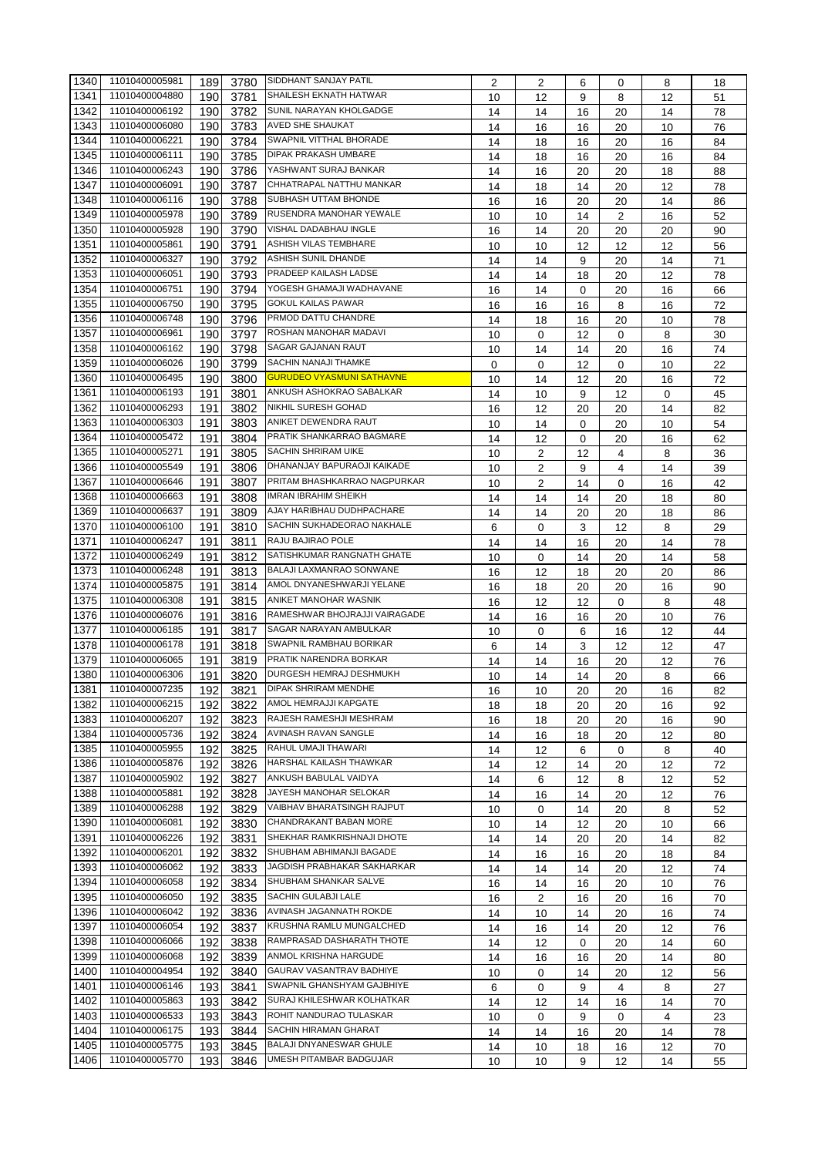| 1340 | 11010400005981 | 189 | 3780 | SIDDHANT SANJAY PATIL            | 2  | 2  | 6  | 0              | 8  | 18 |
|------|----------------|-----|------|----------------------------------|----|----|----|----------------|----|----|
| 1341 | 11010400004880 | 190 | 3781 | <b>SHAILESH EKNATH HATWAR</b>    | 10 | 12 | 9  | 8              | 12 | 51 |
| 1342 | 11010400006192 | 190 | 3782 | SUNIL NARAYAN KHOLGADGE          | 14 | 14 | 16 | 20             | 14 | 78 |
| 1343 | 11010400006080 | 190 | 3783 | <b>AVED SHE SHAUKAT</b>          |    |    |    |                |    |    |
|      |                |     |      | SWAPNIL VITTHAL BHORADE          | 14 | 16 | 16 | 20             | 10 | 76 |
| 1344 | 11010400006221 | 190 | 3784 |                                  | 14 | 18 | 16 | 20             | 16 | 84 |
| 1345 | 11010400006111 | 190 | 3785 | <b>DIPAK PRAKASH UMBARE</b>      | 14 | 18 | 16 | 20             | 16 | 84 |
| 1346 | 11010400006243 | 190 | 3786 | YASHWANT SURAJ BANKAR            | 14 | 16 | 20 | 20             | 18 | 88 |
| 1347 | 11010400006091 | 190 | 3787 | CHHATRAPAL NATTHU MANKAR         | 14 | 18 | 14 | 20             | 12 | 78 |
| 1348 | 11010400006116 | 190 | 3788 | SUBHASH UTTAM BHONDE             | 16 | 16 | 20 | 20             | 14 | 86 |
| 1349 | 11010400005978 | 190 | 3789 | RUSENDRA MANOHAR YEWALE          | 10 | 10 | 14 | 2              | 16 | 52 |
| 1350 | 11010400005928 | 190 | 3790 | <b>VISHAL DADABHAU INGLE</b>     | 16 | 14 | 20 | 20             | 20 | 90 |
| 1351 | 11010400005861 | 190 | 3791 | ASHISH VILAS TEMBHARE            | 10 | 10 | 12 | 12             | 12 | 56 |
| 1352 | 11010400006327 | 190 | 3792 | <b>ASHISH SUNIL DHANDE</b>       | 14 | 14 | 9  | 20             | 14 | 71 |
| 1353 | 11010400006051 | 190 | 3793 | PRADEEP KAILASH LADSE            | 14 | 14 |    | 20             | 12 | 78 |
| 1354 | 11010400006751 | 190 |      | YOGESH GHAMAJI WADHAVANE         |    |    | 18 |                |    |    |
|      | 11010400006750 |     | 3794 | <b>GOKUL KAILAS PAWAR</b>        | 16 | 14 | 0  | 20             | 16 | 66 |
| 1355 |                | 190 | 3795 |                                  | 16 | 16 | 16 | 8              | 16 | 72 |
| 1356 | 11010400006748 | 190 | 3796 | PRMOD DATTU CHANDRE              | 14 | 18 | 16 | 20             | 10 | 78 |
| 1357 | 11010400006961 | 190 | 3797 | ROSHAN MANOHAR MADAVI            | 10 | 0  | 12 | 0              | 8  | 30 |
| 1358 | 11010400006162 | 190 | 3798 | SAGAR GAJANAN RAUT               | 10 | 14 | 14 | 20             | 16 | 74 |
| 1359 | 11010400006026 | 190 | 3799 | <b>SACHIN NANAJI THAMKE</b>      | 0  | 0  | 12 | 0              | 10 | 22 |
| 1360 | 11010400006495 | 190 | 3800 | <b>GURUDEO VYASMUNI SATHAVNE</b> | 10 | 14 | 12 | 20             | 16 | 72 |
| 1361 | 11010400006193 | 191 | 3801 | ANKUSH ASHOKRAO SABALKAR         | 14 | 10 | 9  | 12             | 0  | 45 |
| 1362 | 11010400006293 | 191 | 3802 | <b>NIKHIL SURESH GOHAD</b>       | 16 | 12 | 20 | 20             | 14 | 82 |
| 1363 | 11010400006303 | 191 | 3803 | ANIKET DEWENDRA RAUT             | 10 | 14 | 0  | 20             | 10 | 54 |
| 1364 | 11010400005472 | 191 | 3804 | PRATIK SHANKARRAO BAGMARE        | 14 | 12 | 0  | 20             | 16 | 62 |
| 1365 | 11010400005271 | 191 | 3805 | <b>SACHIN SHRIRAM UIKE</b>       | 10 | 2  | 12 | 4              | 8  | 36 |
| 1366 | 11010400005549 | 191 | 3806 | DHANANJAY BAPURAOJI KAIKADE      |    |    |    |                |    |    |
|      | 11010400006646 |     |      | PRITAM BHASHKARRAO NAGPURKAR     | 10 | 2  | 9  | 4              | 14 | 39 |
| 1367 |                | 191 | 3807 |                                  | 10 | 2  | 14 | 0              | 16 | 42 |
| 1368 | 11010400006663 | 191 | 3808 | <b>IMRAN IBRAHIM SHEIKH</b>      | 14 | 14 | 14 | 20             | 18 | 80 |
| 1369 | 11010400006637 | 191 | 3809 | AJAY HARIBHAU DUDHPACHARE        | 14 | 14 | 20 | 20             | 18 | 86 |
| 1370 | 11010400006100 | 191 | 3810 | SACHIN SUKHADEORAO NAKHALE       | 6  | 0  | 3  | 12             | 8  | 29 |
| 1371 | 11010400006247 | 191 | 3811 | RAJU BAJIRAO POLE                | 14 | 14 | 16 | 20             | 14 | 78 |
| 1372 | 11010400006249 | 191 | 3812 | SATISHKUMAR RANGNATH GHATE       | 10 | 0  | 14 | 20             | 14 | 58 |
| 1373 | 11010400006248 | 191 | 3813 | BALAJI LAXMANRAO SONWANE         | 16 | 12 | 18 | 20             | 20 | 86 |
| 1374 | 11010400005875 | 191 | 3814 | AMOL DNYANESHWARJI YELANE        | 16 | 18 | 20 | 20             | 16 | 90 |
| 1375 | 11010400006308 | 191 | 3815 | ANIKET MANOHAR WASNIK            | 16 | 12 | 12 | 0              | 8  | 48 |
| 1376 | 11010400006076 | 191 | 3816 | RAMESHWAR BHOJRAJJI VAIRAGADE    | 14 | 16 | 16 | 20             | 10 | 76 |
| 1377 | 11010400006185 | 191 | 3817 | SAGAR NARAYAN AMBULKAR           | 10 | 0  | 6  | 16             | 12 | 44 |
| 1378 | 11010400006178 | 191 | 3818 | SWAPNIL RAMBHAU BORIKAR          | 6  | 14 | 3  | 12             | 12 | 47 |
| 1379 | 11010400006065 | 191 | 3819 | PRATIK NARENDRA BORKAR           | 14 | 14 | 16 | 20             | 12 | 76 |
| 1380 | 11010400006306 | 191 | 3820 | DURGESH HEMRAJ DESHMUKH          | 10 | 14 | 14 | 20             | 8  | 66 |
| 1381 | 11010400007235 | 192 |      | 3821 DIPAK SHRIRAM MENDHE        | 16 | 10 | 20 | 20             | 16 | 82 |
|      | 11010400006215 |     |      | AMOL HEMRAJJI KAPGATE            |    |    |    |                |    |    |
| 1382 |                | 192 | 3822 |                                  | 18 | 18 | 20 | 20             | 16 | 92 |
| 1383 | 11010400006207 | 192 | 3823 | RAJESH RAMESHJI MESHRAM          | 16 | 18 | 20 | 20             | 16 | 90 |
| 1384 | 11010400005736 | 192 | 3824 | AVINASH RAVAN SANGLE             | 14 | 16 | 18 | 20             | 12 | 80 |
| 1385 | 11010400005955 | 192 | 3825 | RAHUL UMAJI THAWARI              | 14 | 12 | 6  | 0              | 8  | 40 |
| 1386 | 11010400005876 | 192 | 3826 | HARSHAL KAILASH THAWKAR          | 14 | 12 | 14 | 20             | 12 | 72 |
| 1387 | 11010400005902 | 192 | 3827 | ANKUSH BABULAL VAIDYA            | 14 | 6  | 12 | 8              | 12 | 52 |
| 1388 | 11010400005881 | 192 | 3828 | JAYESH MANOHAR SELOKAR           | 14 | 16 | 14 | 20             | 12 | 76 |
| 1389 | 11010400006288 | 192 | 3829 | VAIBHAV BHARATSINGH RAJPUT       | 10 | 0  | 14 | 20             | 8  | 52 |
| 1390 | 11010400006081 | 192 | 3830 | CHANDRAKANT BABAN MORE           | 10 | 14 | 12 | 20             | 10 | 66 |
| 1391 | 11010400006226 | 192 | 3831 | SHEKHAR RAMKRISHNAJI DHOTE       | 14 | 14 | 20 | 20             | 14 | 82 |
| 1392 | 11010400006201 | 192 | 3832 | SHUBHAM ABHIMANJI BAGADE         | 14 | 16 | 16 | 20             | 18 | 84 |
| 1393 | 11010400006062 | 192 | 3833 | JAGDISH PRABHAKAR SAKHARKAR      | 14 | 14 | 14 | 20             | 12 | 74 |
| 1394 | 11010400006058 | 192 | 3834 | SHUBHAM SHANKAR SALVE            | 16 | 14 | 16 | 20             | 10 | 76 |
| 1395 | 11010400006050 | 192 | 3835 | SACHIN GULABJI LALE              | 16 | 2  | 16 | 20             | 16 | 70 |
| 1396 | 11010400006042 | 192 | 3836 | AVINASH JAGANNATH ROKDE          | 14 |    | 14 | 20             |    | 74 |
| 1397 | 11010400006054 |     |      | KRUSHNA RAMLU MUNGALCHED         |    | 10 |    |                | 16 |    |
|      |                | 192 | 3837 | RAMPRASAD DASHARATH THOTE        | 14 | 16 | 14 | 20             | 12 | 76 |
| 1398 | 11010400006066 | 192 | 3838 |                                  | 14 | 12 | 0  | 20             | 14 | 60 |
| 1399 | 11010400006068 | 192 | 3839 | ANMOL KRISHNA HARGUDE            | 14 | 16 | 16 | 20             | 14 | 80 |
| 1400 | 11010400004954 | 192 | 3840 | GAURAV VASANTRAV BADHIYE         | 10 | 0  | 14 | 20             | 12 | 56 |
| 1401 | 11010400006146 | 193 | 3841 | SWAPNIL GHANSHYAM GAJBHIYE       | 6  | 0  | 9  | $\overline{4}$ | 8  | 27 |
| 1402 | 11010400005863 | 193 | 3842 | SURAJ KHILESHWAR KOLHATKAR       | 14 | 12 | 14 | 16             | 14 | 70 |
| 1403 | 11010400006533 | 193 | 3843 | ROHIT NANDURAO TULASKAR          | 10 | 0  | 9  | 0              | 4  | 23 |
| 1404 | 11010400006175 | 193 | 3844 | SACHIN HIRAMAN GHARAT            | 14 | 14 | 16 | 20             | 14 | 78 |
| 1405 | 11010400005775 | 193 | 3845 | BALAJI DNYANESWAR GHULE          | 14 | 10 | 18 | 16             | 12 | 70 |
| 1406 | 11010400005770 | 193 | 3846 | UMESH PITAMBAR BADGUJAR          | 10 | 10 | 9  | 12             | 14 | 55 |
|      |                |     |      |                                  |    |    |    |                |    |    |